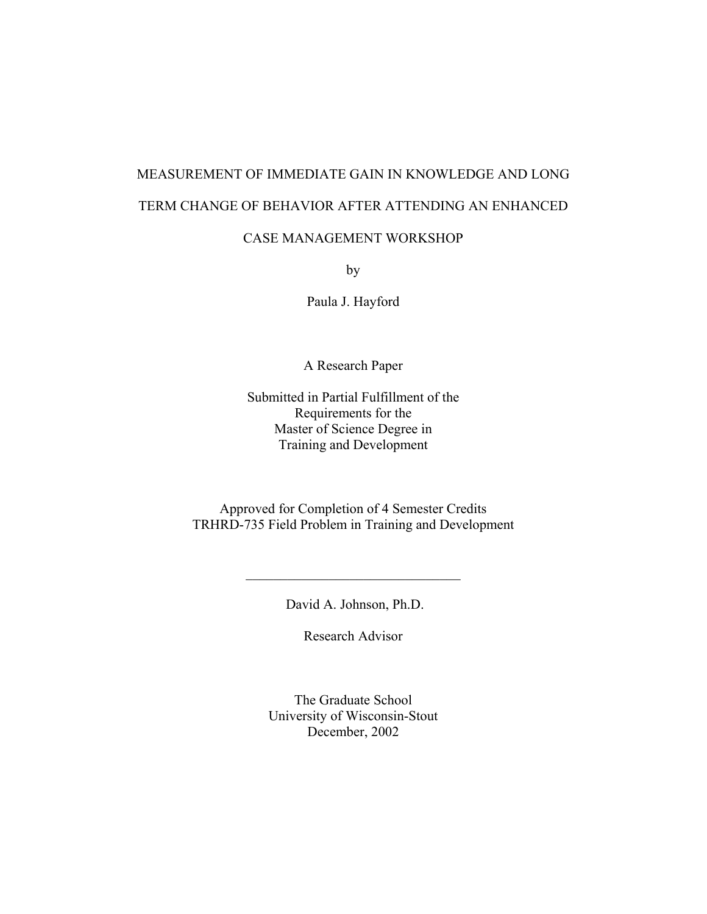# MEASUREMENT OF IMMEDIATE GAIN IN KNOWLEDGE AND LONG TERM CHANGE OF BEHAVIOR AFTER ATTENDING AN ENHANCED

## CASE MANAGEMENT WORKSHOP

by

Paula J. Hayford

A Research Paper

Submitted in Partial Fulfillment of the Requirements for the Master of Science Degree in Training and Development

Approved for Completion of 4 Semester Credits TRHRD-735 Field Problem in Training and Development

David A. Johnson, Ph.D.

 $\overline{\phantom{a}}$  , and the set of the set of the set of the set of the set of the set of the set of the set of the set of the set of the set of the set of the set of the set of the set of the set of the set of the set of the s

Research Advisor

The Graduate School University of Wisconsin-Stout December, 2002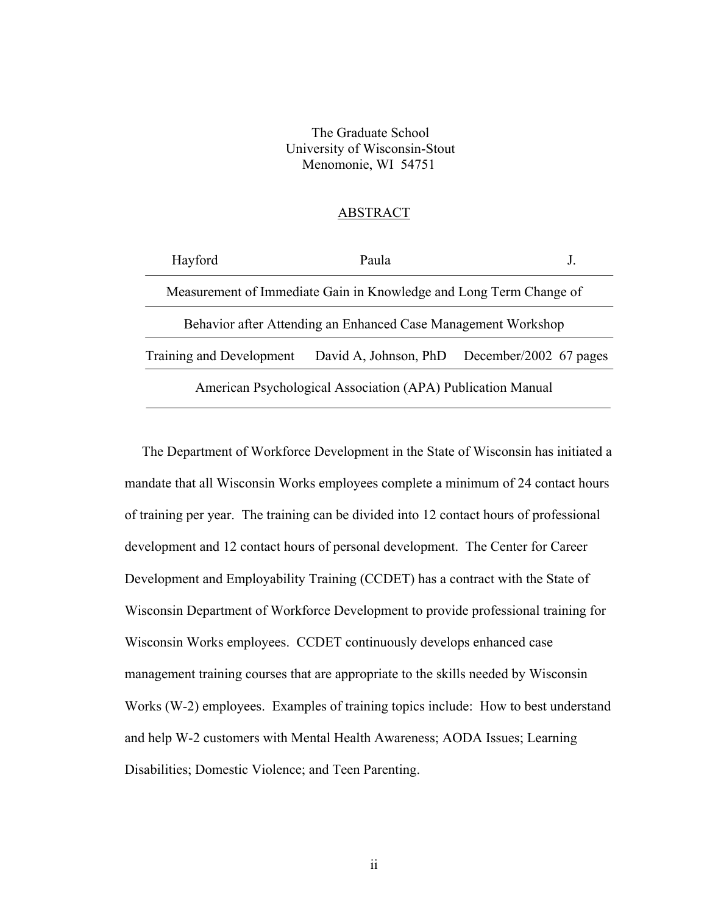The Graduate School University of Wisconsin-Stout Menomonie, WI 54751

## ABSTRACT

| Hayford                                                            | Paula                                                       |                                              |  |  |
|--------------------------------------------------------------------|-------------------------------------------------------------|----------------------------------------------|--|--|
| Measurement of Immediate Gain in Knowledge and Long Term Change of |                                                             |                                              |  |  |
| Behavior after Attending an Enhanced Case Management Workshop      |                                                             |                                              |  |  |
| Training and Development                                           |                                                             | David A, Johnson, PhD December/2002 67 pages |  |  |
|                                                                    | American Psychological Association (APA) Publication Manual |                                              |  |  |

 The Department of Workforce Development in the State of Wisconsin has initiated a mandate that all Wisconsin Works employees complete a minimum of 24 contact hours of training per year. The training can be divided into 12 contact hours of professional development and 12 contact hours of personal development. The Center for Career Development and Employability Training (CCDET) has a contract with the State of Wisconsin Department of Workforce Development to provide professional training for Wisconsin Works employees. CCDET continuously develops enhanced case management training courses that are appropriate to the skills needed by Wisconsin Works (W-2) employees. Examples of training topics include: How to best understand and help W-2 customers with Mental Health Awareness; AODA Issues; Learning Disabilities; Domestic Violence; and Teen Parenting.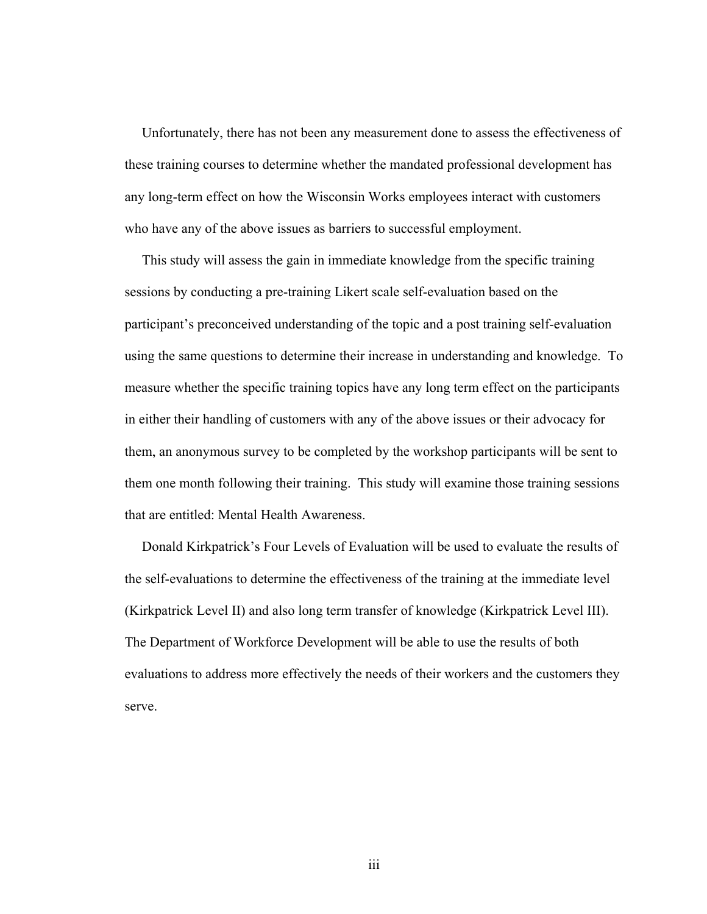Unfortunately, there has not been any measurement done to assess the effectiveness of these training courses to determine whether the mandated professional development has any long-term effect on how the Wisconsin Works employees interact with customers who have any of the above issues as barriers to successful employment.

 This study will assess the gain in immediate knowledge from the specific training sessions by conducting a pre-training Likert scale self-evaluation based on the participant's preconceived understanding of the topic and a post training self-evaluation using the same questions to determine their increase in understanding and knowledge. To measure whether the specific training topics have any long term effect on the participants in either their handling of customers with any of the above issues or their advocacy for them, an anonymous survey to be completed by the workshop participants will be sent to them one month following their training. This study will examine those training sessions that are entitled: Mental Health Awareness.

 Donald Kirkpatrick's Four Levels of Evaluation will be used to evaluate the results of the self-evaluations to determine the effectiveness of the training at the immediate level (Kirkpatrick Level II) and also long term transfer of knowledge (Kirkpatrick Level III). The Department of Workforce Development will be able to use the results of both evaluations to address more effectively the needs of their workers and the customers they serve.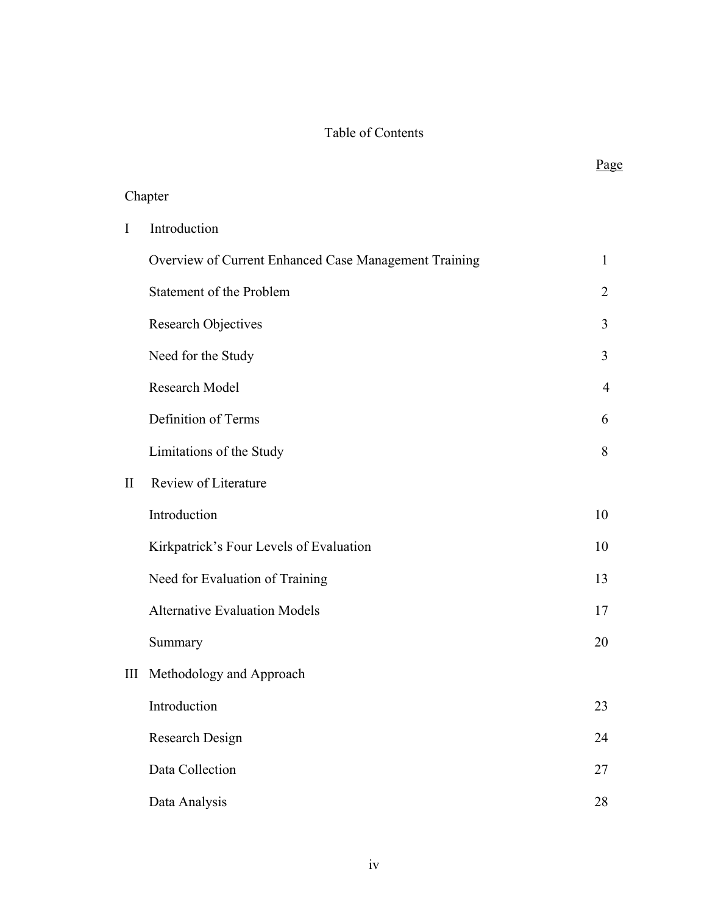# Table of Contents

|              |                                                       | Page           |
|--------------|-------------------------------------------------------|----------------|
|              | Chapter                                               |                |
| I            | Introduction                                          |                |
|              | Overview of Current Enhanced Case Management Training | 1              |
|              | Statement of the Problem                              | $\overline{2}$ |
|              | Research Objectives                                   | 3              |
|              | Need for the Study                                    | 3              |
|              | Research Model                                        | $\overline{4}$ |
|              | Definition of Terms                                   | 6              |
|              | Limitations of the Study                              | 8              |
| $\mathbf{I}$ | Review of Literature                                  |                |
|              | Introduction                                          | 10             |
|              | Kirkpatrick's Four Levels of Evaluation               | 10             |
|              | Need for Evaluation of Training                       | 13             |
|              | <b>Alternative Evaluation Models</b>                  | 17             |
|              | Summary                                               | 20             |
|              | III Methodology and Approach                          |                |
|              | Introduction                                          | 23             |
|              | Research Design                                       | 24             |
|              | Data Collection                                       | 27             |
|              | Data Analysis                                         | 28             |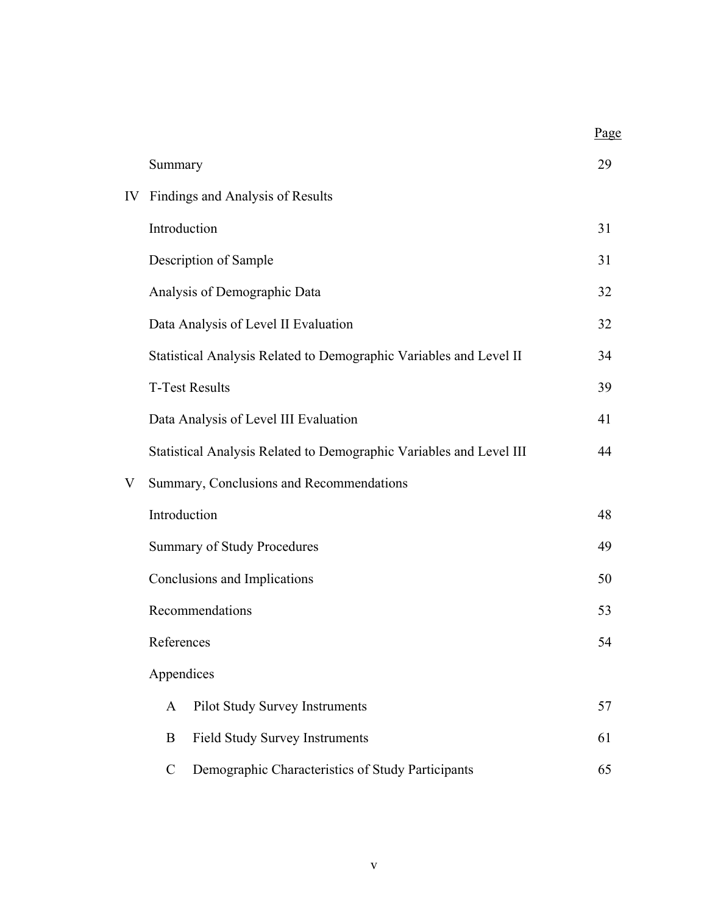|    |                                                                     | Page |
|----|---------------------------------------------------------------------|------|
|    | Summary                                                             | 29   |
| IV | Findings and Analysis of Results                                    |      |
|    | Introduction                                                        | 31   |
|    | Description of Sample                                               | 31   |
|    | Analysis of Demographic Data                                        | 32   |
|    | Data Analysis of Level II Evaluation                                | 32   |
|    | Statistical Analysis Related to Demographic Variables and Level II  | 34   |
|    | <b>T-Test Results</b>                                               | 39   |
|    | Data Analysis of Level III Evaluation                               | 41   |
|    | Statistical Analysis Related to Demographic Variables and Level III | 44   |
| V  | Summary, Conclusions and Recommendations                            |      |
|    | Introduction                                                        | 48   |
|    | <b>Summary of Study Procedures</b>                                  |      |
|    | Conclusions and Implications                                        | 50   |
|    | Recommendations                                                     | 53   |
|    | References                                                          | 54   |
|    | Appendices                                                          |      |
|    | Pilot Study Survey Instruments<br>A                                 | 57   |
|    | <b>Field Study Survey Instruments</b><br>B                          | 61   |
|    | Demographic Characteristics of Study Participants<br>$\mathcal{C}$  | 65   |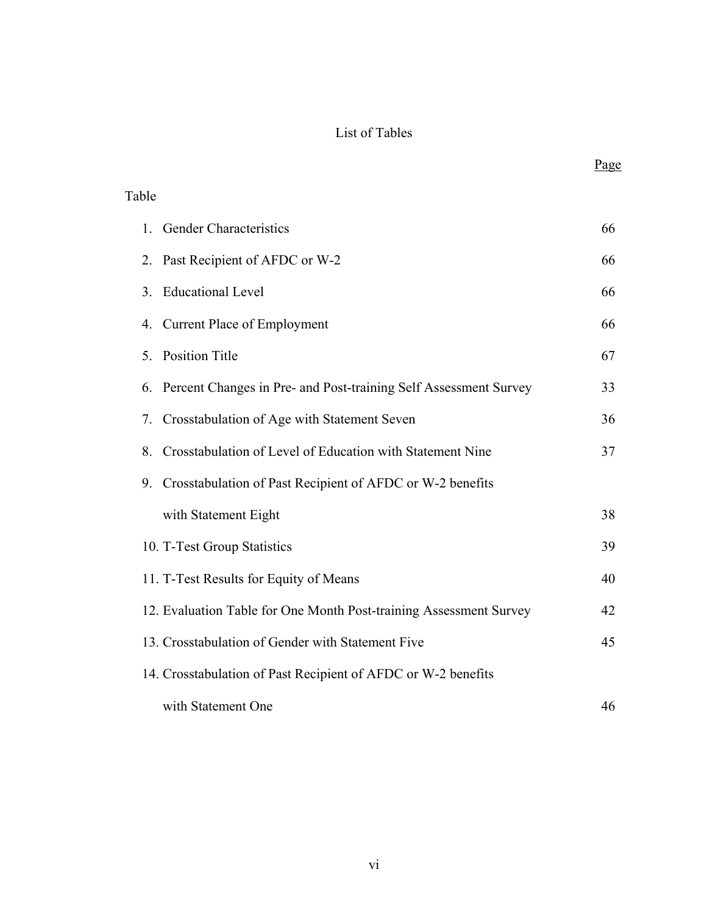# List of Tables

| Table         |                                                                    |    |
|---------------|--------------------------------------------------------------------|----|
|               | 1. Gender Characteristics                                          | 66 |
| 2.            | Past Recipient of AFDC or W-2                                      | 66 |
| $\mathcal{E}$ | <b>Educational Level</b>                                           | 66 |
|               | 4. Current Place of Employment                                     | 66 |
| 5.            | <b>Position Title</b>                                              | 67 |
| 6.            | Percent Changes in Pre- and Post-training Self Assessment Survey   | 33 |
| 7.            | Crosstabulation of Age with Statement Seven                        | 36 |
| 8.            | Crosstabulation of Level of Education with Statement Nine          | 37 |
| 9.            | Crosstabulation of Past Recipient of AFDC or W-2 benefits          |    |
|               | with Statement Eight                                               | 38 |
|               | 10. T-Test Group Statistics                                        | 39 |
|               | 11. T-Test Results for Equity of Means                             | 40 |
|               | 12. Evaluation Table for One Month Post-training Assessment Survey | 42 |
|               | 13. Crosstabulation of Gender with Statement Five                  | 45 |
|               | 14. Crosstabulation of Past Recipient of AFDC or W-2 benefits      |    |
|               | with Statement One                                                 | 46 |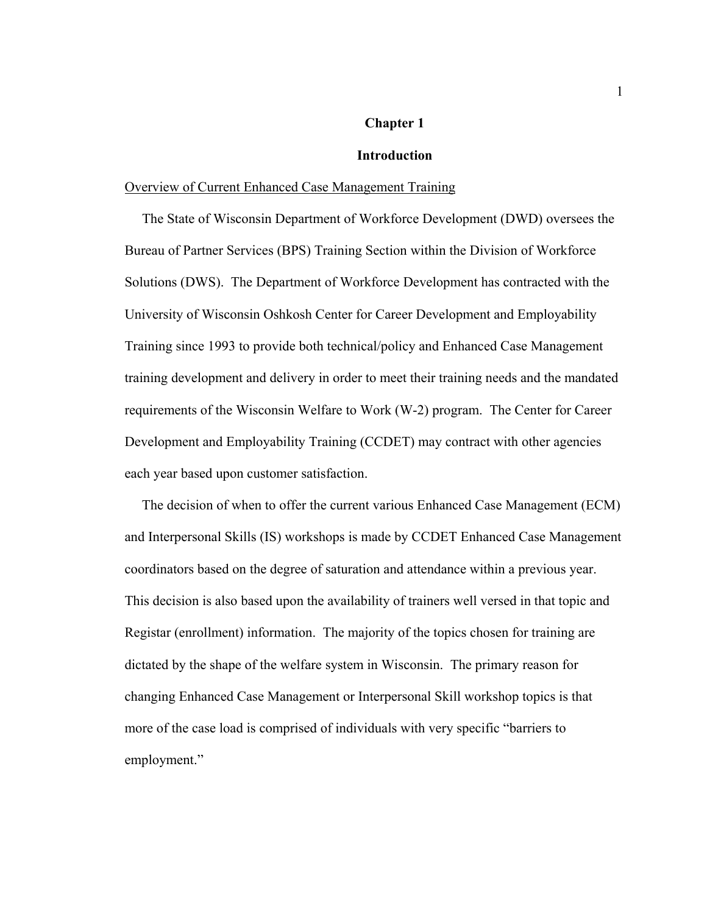## **Chapter 1**

## **Introduction**

## Overview of Current Enhanced Case Management Training

 The State of Wisconsin Department of Workforce Development (DWD) oversees the Bureau of Partner Services (BPS) Training Section within the Division of Workforce Solutions (DWS). The Department of Workforce Development has contracted with the University of Wisconsin Oshkosh Center for Career Development and Employability Training since 1993 to provide both technical/policy and Enhanced Case Management training development and delivery in order to meet their training needs and the mandated requirements of the Wisconsin Welfare to Work (W-2) program. The Center for Career Development and Employability Training (CCDET) may contract with other agencies each year based upon customer satisfaction.

 The decision of when to offer the current various Enhanced Case Management (ECM) and Interpersonal Skills (IS) workshops is made by CCDET Enhanced Case Management coordinators based on the degree of saturation and attendance within a previous year. This decision is also based upon the availability of trainers well versed in that topic and Registar (enrollment) information. The majority of the topics chosen for training are dictated by the shape of the welfare system in Wisconsin. The primary reason for changing Enhanced Case Management or Interpersonal Skill workshop topics is that more of the case load is comprised of individuals with very specific "barriers to employment."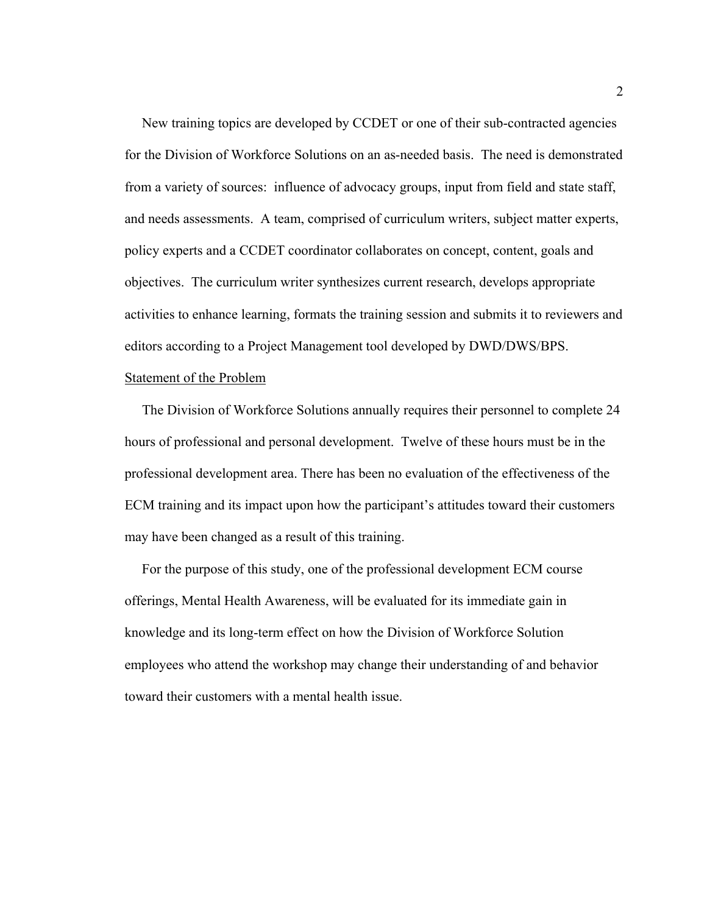New training topics are developed by CCDET or one of their sub-contracted agencies for the Division of Workforce Solutions on an as-needed basis. The need is demonstrated from a variety of sources: influence of advocacy groups, input from field and state staff, and needs assessments. A team, comprised of curriculum writers, subject matter experts, policy experts and a CCDET coordinator collaborates on concept, content, goals and objectives. The curriculum writer synthesizes current research, develops appropriate activities to enhance learning, formats the training session and submits it to reviewers and editors according to a Project Management tool developed by DWD/DWS/BPS.

## Statement of the Problem

 The Division of Workforce Solutions annually requires their personnel to complete 24 hours of professional and personal development. Twelve of these hours must be in the professional development area. There has been no evaluation of the effectiveness of the ECM training and its impact upon how the participant's attitudes toward their customers may have been changed as a result of this training.

 For the purpose of this study, one of the professional development ECM course offerings, Mental Health Awareness, will be evaluated for its immediate gain in knowledge and its long-term effect on how the Division of Workforce Solution employees who attend the workshop may change their understanding of and behavior toward their customers with a mental health issue.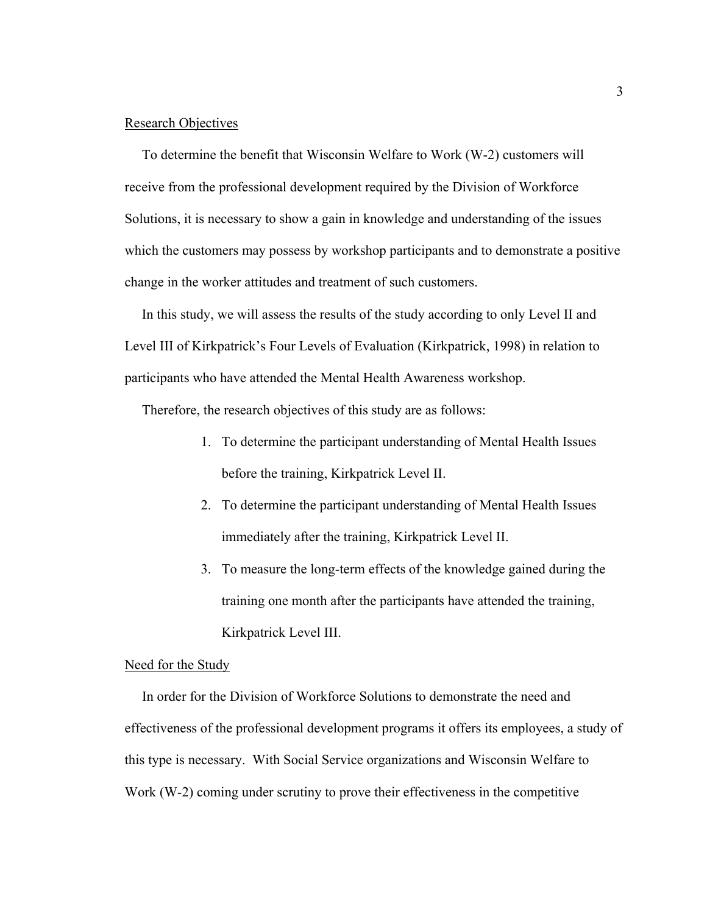## Research Objectives

 To determine the benefit that Wisconsin Welfare to Work (W-2) customers will receive from the professional development required by the Division of Workforce Solutions, it is necessary to show a gain in knowledge and understanding of the issues which the customers may possess by workshop participants and to demonstrate a positive change in the worker attitudes and treatment of such customers.

 In this study, we will assess the results of the study according to only Level II and Level III of Kirkpatrick's Four Levels of Evaluation (Kirkpatrick, 1998) in relation to participants who have attended the Mental Health Awareness workshop.

Therefore, the research objectives of this study are as follows:

- 1. To determine the participant understanding of Mental Health Issues before the training, Kirkpatrick Level II.
- 2. To determine the participant understanding of Mental Health Issues immediately after the training, Kirkpatrick Level II.
- 3. To measure the long-term effects of the knowledge gained during the training one month after the participants have attended the training, Kirkpatrick Level III.

## Need for the Study

 In order for the Division of Workforce Solutions to demonstrate the need and effectiveness of the professional development programs it offers its employees, a study of this type is necessary. With Social Service organizations and Wisconsin Welfare to Work (W-2) coming under scrutiny to prove their effectiveness in the competitive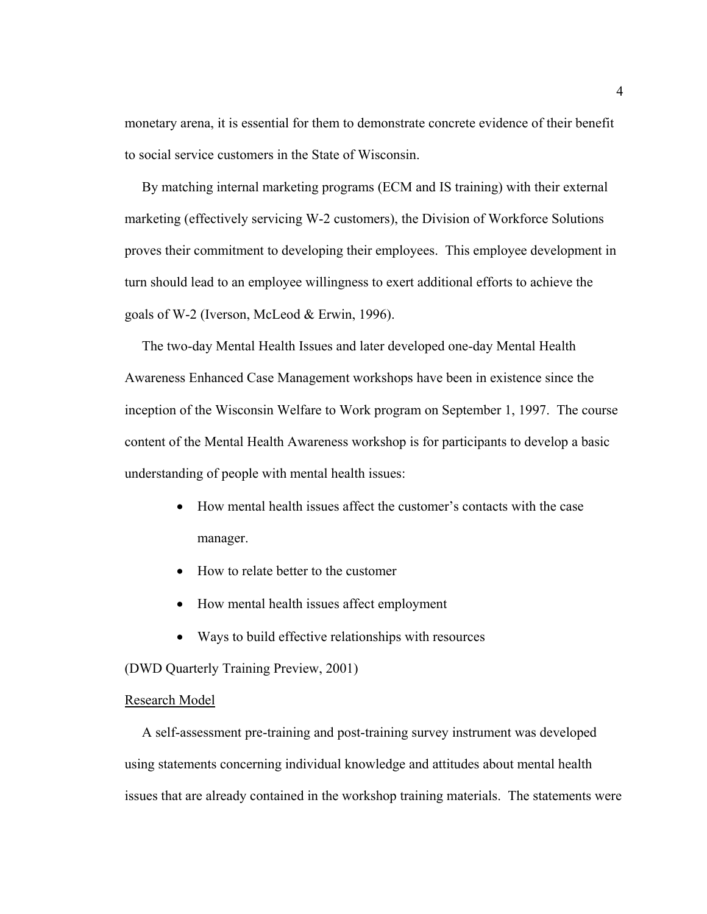monetary arena, it is essential for them to demonstrate concrete evidence of their benefit to social service customers in the State of Wisconsin.

 By matching internal marketing programs (ECM and IS training) with their external marketing (effectively servicing W-2 customers), the Division of Workforce Solutions proves their commitment to developing their employees. This employee development in turn should lead to an employee willingness to exert additional efforts to achieve the goals of W-2 (Iverson, McLeod & Erwin, 1996).

 The two-day Mental Health Issues and later developed one-day Mental Health Awareness Enhanced Case Management workshops have been in existence since the inception of the Wisconsin Welfare to Work program on September 1, 1997. The course content of the Mental Health Awareness workshop is for participants to develop a basic understanding of people with mental health issues:

- How mental health issues affect the customer's contacts with the case manager.
- How to relate better to the customer
- How mental health issues affect employment
- Ways to build effective relationships with resources

(DWD Quarterly Training Preview, 2001)

#### Research Model

 A self-assessment pre-training and post-training survey instrument was developed using statements concerning individual knowledge and attitudes about mental health issues that are already contained in the workshop training materials. The statements were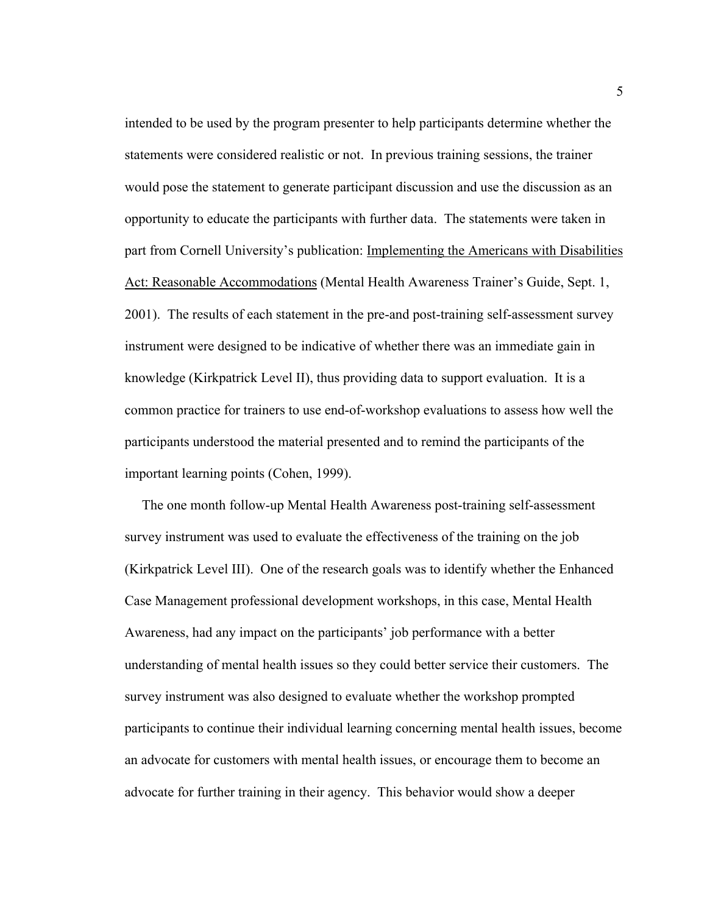intended to be used by the program presenter to help participants determine whether the statements were considered realistic or not. In previous training sessions, the trainer would pose the statement to generate participant discussion and use the discussion as an opportunity to educate the participants with further data. The statements were taken in part from Cornell University's publication: Implementing the Americans with Disabilities Act: Reasonable Accommodations (Mental Health Awareness Trainer's Guide, Sept. 1, 2001). The results of each statement in the pre-and post-training self-assessment survey instrument were designed to be indicative of whether there was an immediate gain in knowledge (Kirkpatrick Level II), thus providing data to support evaluation. It is a common practice for trainers to use end-of-workshop evaluations to assess how well the participants understood the material presented and to remind the participants of the important learning points (Cohen, 1999).

 The one month follow-up Mental Health Awareness post-training self-assessment survey instrument was used to evaluate the effectiveness of the training on the job (Kirkpatrick Level III). One of the research goals was to identify whether the Enhanced Case Management professional development workshops, in this case, Mental Health Awareness, had any impact on the participants' job performance with a better understanding of mental health issues so they could better service their customers. The survey instrument was also designed to evaluate whether the workshop prompted participants to continue their individual learning concerning mental health issues, become an advocate for customers with mental health issues, or encourage them to become an advocate for further training in their agency. This behavior would show a deeper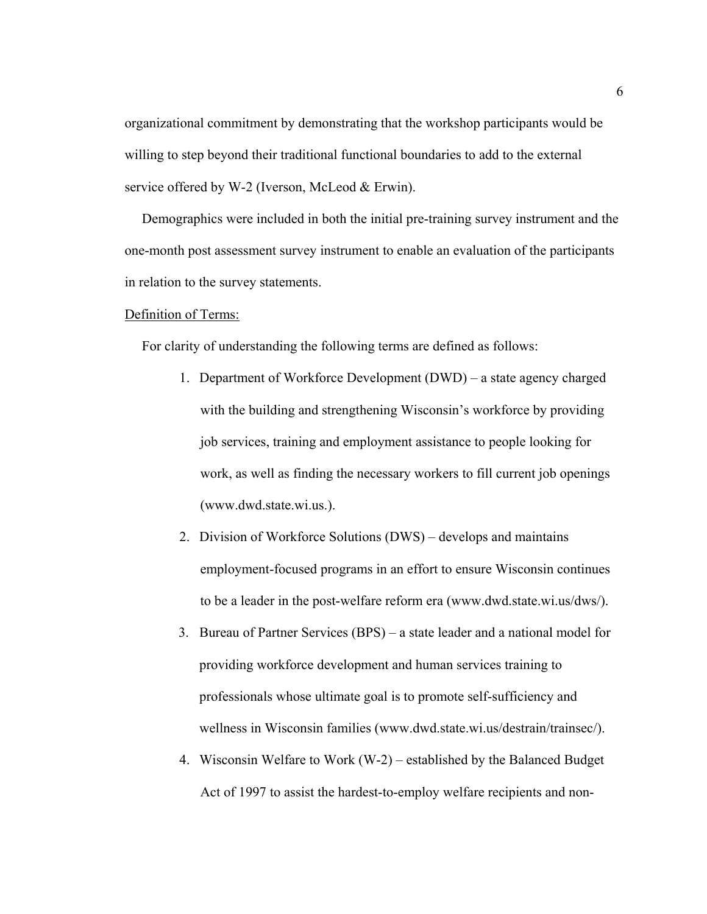organizational commitment by demonstrating that the workshop participants would be willing to step beyond their traditional functional boundaries to add to the external service offered by W-2 (Iverson, McLeod & Erwin).

 Demographics were included in both the initial pre-training survey instrument and the one-month post assessment survey instrument to enable an evaluation of the participants in relation to the survey statements.

## Definition of Terms:

For clarity of understanding the following terms are defined as follows:

- 1. Department of Workforce Development (DWD) a state agency charged with the building and strengthening Wisconsin's workforce by providing job services, training and employment assistance to people looking for work, as well as finding the necessary workers to fill current job openings (www.dwd.state.wi.us.).
- 2. Division of Workforce Solutions (DWS) develops and maintains employment-focused programs in an effort to ensure Wisconsin continues to be a leader in the post-welfare reform era (www.dwd.state.wi.us/dws/).
- 3. Bureau of Partner Services (BPS) a state leader and a national model for providing workforce development and human services training to professionals whose ultimate goal is to promote self-sufficiency and wellness in Wisconsin families ([www.dwd.state.wi.us/destrain/trainsec/](http://www.dwd.state.wi.us/destrain/trainsec/)).
- 4. Wisconsin Welfare to Work (W-2) established by the Balanced Budget Act of 1997 to assist the hardest-to-employ welfare recipients and non-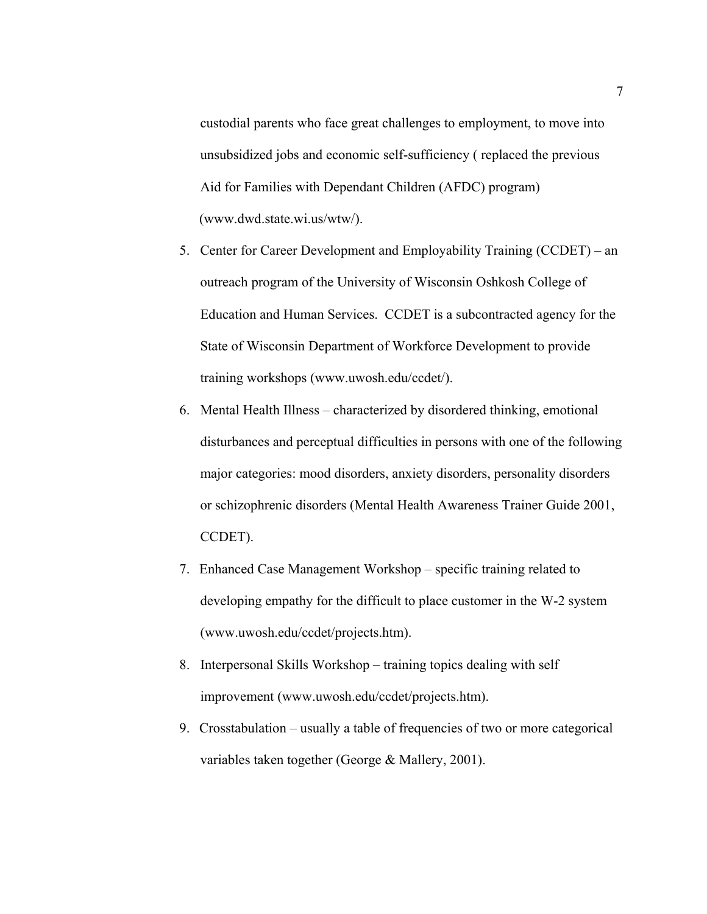custodial parents who face great challenges to employment, to move into unsubsidized jobs and economic self-sufficiency ( replaced the previous Aid for Families with Dependant Children (AFDC) program) (www.dwd.state.wi.us/wtw/).

- 5. Center for Career Development and Employability Training (CCDET) an outreach program of the University of Wisconsin Oshkosh College of Education and Human Services. CCDET is a subcontracted agency for the State of Wisconsin Department of Workforce Development to provide training workshops (www.uwosh.edu/ccdet/).
- 6. Mental Health Illness characterized by disordered thinking, emotional disturbances and perceptual difficulties in persons with one of the following major categories: mood disorders, anxiety disorders, personality disorders or schizophrenic disorders (Mental Health Awareness Trainer Guide 2001, CCDET).
- 7. Enhanced Case Management Workshop specific training related to developing empathy for the difficult to place customer in the W-2 system (www.uwosh.edu/ccdet/projects.htm).
- 8. Interpersonal Skills Workshop training topics dealing with self improvement [\(www.uwosh.edu/ccdet/projects.htm\)](http://www.uwosh.edu/ccdet/projects.htm).
- 9. Crosstabulation usually a table of frequencies of two or more categorical variables taken together (George & Mallery, 2001).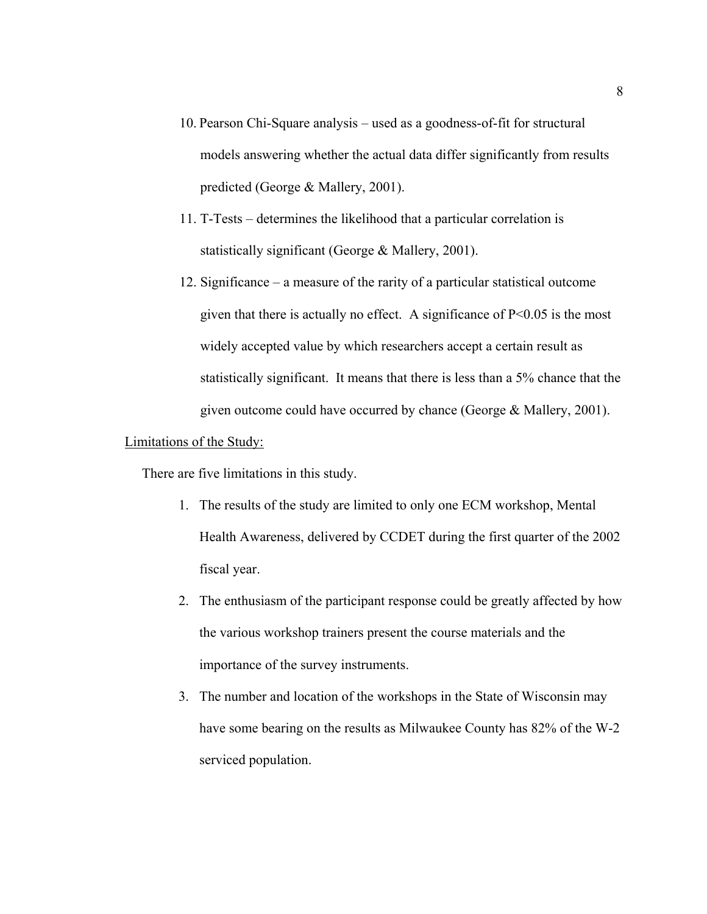- 10. Pearson Chi-Square analysis used as a goodness-of-fit for structural models answering whether the actual data differ significantly from results predicted (George & Mallery, 2001).
- 11. T-Tests determines the likelihood that a particular correlation is statistically significant (George & Mallery, 2001).
- 12. Significance a measure of the rarity of a particular statistical outcome given that there is actually no effect. A significance of  $P<0.05$  is the most widely accepted value by which researchers accept a certain result as statistically significant. It means that there is less than a 5% chance that the given outcome could have occurred by chance (George & Mallery, 2001).

## Limitations of the Study:

There are five limitations in this study.

- 1. The results of the study are limited to only one ECM workshop, Mental Health Awareness, delivered by CCDET during the first quarter of the 2002 fiscal year.
- 2. The enthusiasm of the participant response could be greatly affected by how the various workshop trainers present the course materials and the importance of the survey instruments.
- 3. The number and location of the workshops in the State of Wisconsin may have some bearing on the results as Milwaukee County has 82% of the W-2 serviced population.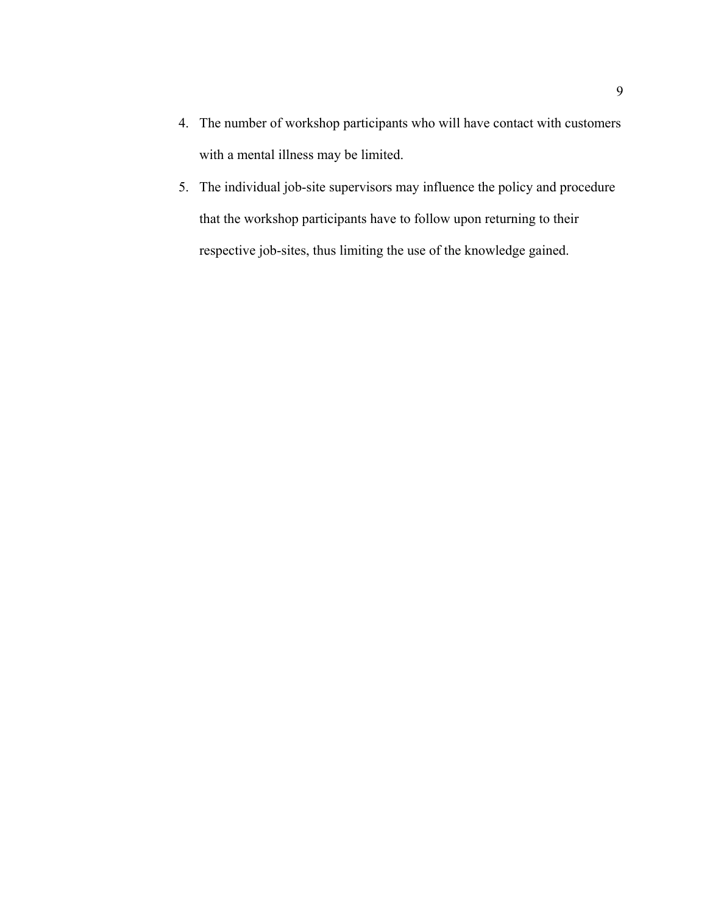- 4. The number of workshop participants who will have contact with customers with a mental illness may be limited.
- 5. The individual job-site supervisors may influence the policy and procedure that the workshop participants have to follow upon returning to their respective job-sites, thus limiting the use of the knowledge gained.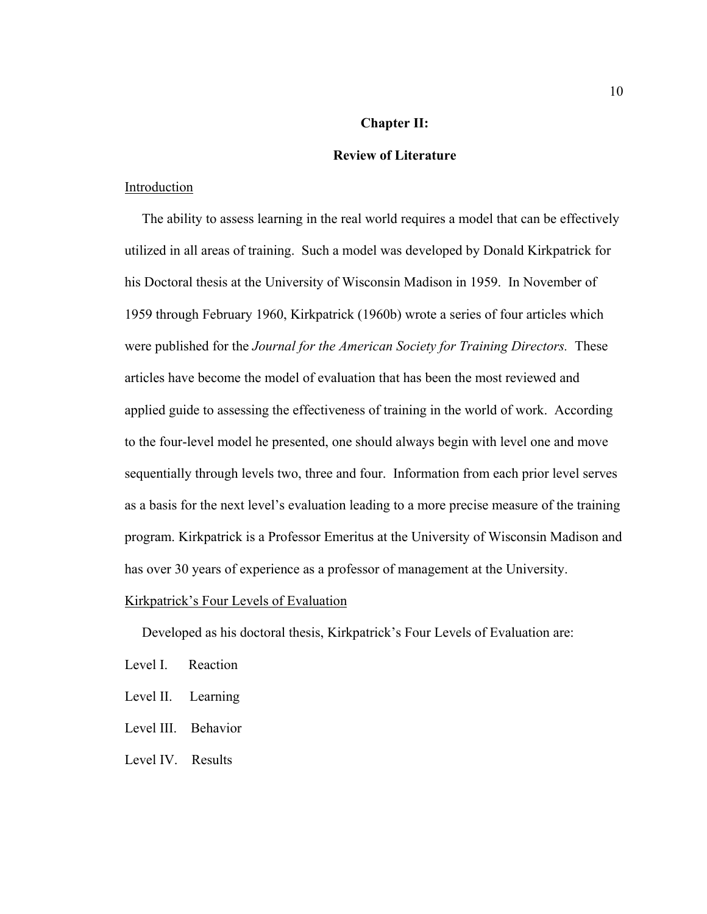## **Chapter II:**

## **Review of Literature**

## Introduction

 The ability to assess learning in the real world requires a model that can be effectively utilized in all areas of training. Such a model was developed by Donald Kirkpatrick for his Doctoral thesis at the University of Wisconsin Madison in 1959. In November of 1959 through February 1960, Kirkpatrick (1960b) wrote a series of four articles which were published for the *Journal for the American Society for Training Directors.* These articles have become the model of evaluation that has been the most reviewed and applied guide to assessing the effectiveness of training in the world of work. According to the four-level model he presented, one should always begin with level one and move sequentially through levels two, three and four. Information from each prior level serves as a basis for the next level's evaluation leading to a more precise measure of the training program. Kirkpatrick is a Professor Emeritus at the University of Wisconsin Madison and has over 30 years of experience as a professor of management at the University.

#### Kirkpatrick's Four Levels of Evaluation

Developed as his doctoral thesis, Kirkpatrick's Four Levels of Evaluation are:

- Level I. Reaction
- Level II. Learning
- Level III. Behavior
- Level IV. Results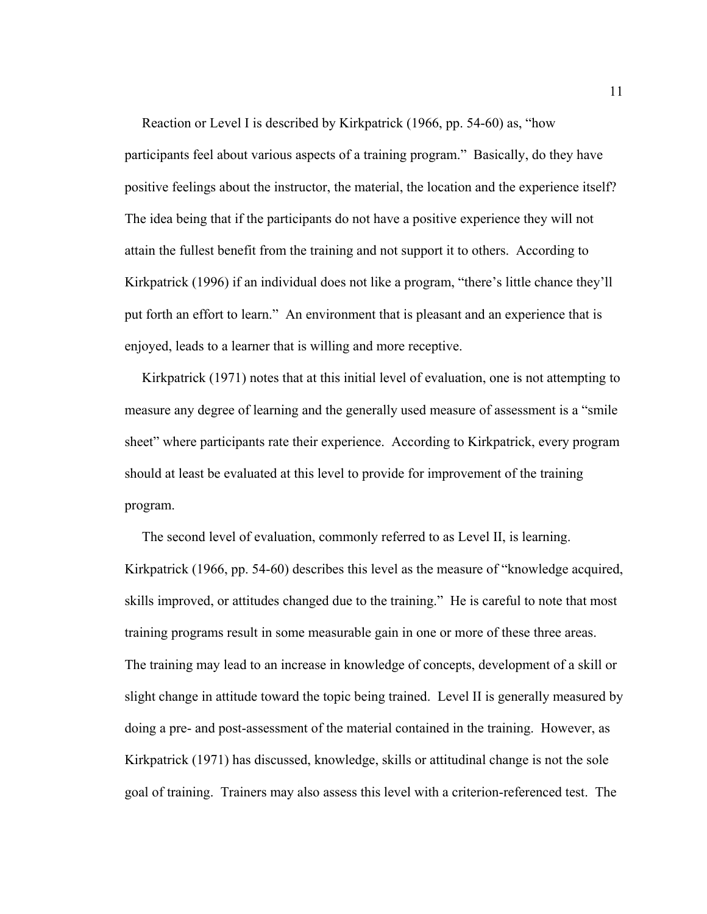Reaction or Level I is described by Kirkpatrick (1966, pp. 54-60) as, "how participants feel about various aspects of a training program." Basically, do they have positive feelings about the instructor, the material, the location and the experience itself? The idea being that if the participants do not have a positive experience they will not attain the fullest benefit from the training and not support it to others. According to Kirkpatrick (1996) if an individual does not like a program, "there's little chance they'll put forth an effort to learn." An environment that is pleasant and an experience that is enjoyed, leads to a learner that is willing and more receptive.

 Kirkpatrick (1971) notes that at this initial level of evaluation, one is not attempting to measure any degree of learning and the generally used measure of assessment is a "smile sheet" where participants rate their experience. According to Kirkpatrick, every program should at least be evaluated at this level to provide for improvement of the training program.

 The second level of evaluation, commonly referred to as Level II, is learning. Kirkpatrick (1966, pp. 54-60) describes this level as the measure of "knowledge acquired, skills improved, or attitudes changed due to the training." He is careful to note that most training programs result in some measurable gain in one or more of these three areas. The training may lead to an increase in knowledge of concepts, development of a skill or slight change in attitude toward the topic being trained. Level II is generally measured by doing a pre- and post-assessment of the material contained in the training. However, as Kirkpatrick (1971) has discussed, knowledge, skills or attitudinal change is not the sole goal of training. Trainers may also assess this level with a criterion-referenced test. The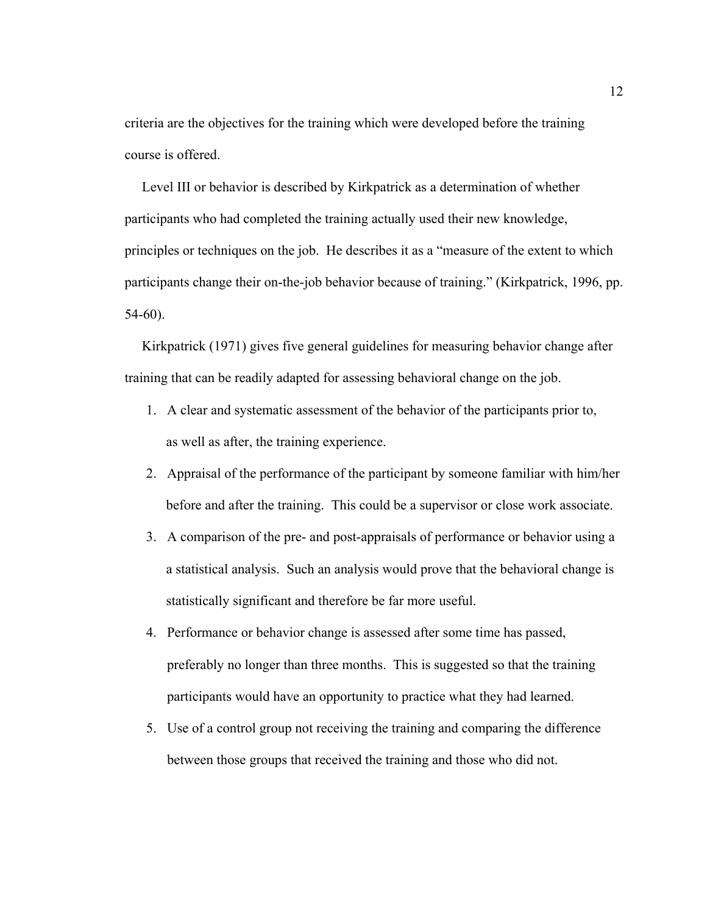criteria are the objectives for the training which were developed before the training course is offered.

 Level III or behavior is described by Kirkpatrick as a determination of whether participants who had completed the training actually used their new knowledge, principles or techniques on the job. He describes it as a "measure of the extent to which participants change their on-the-job behavior because of training." (Kirkpatrick, 1996, pp. 54-60).

 Kirkpatrick (1971) gives five general guidelines for measuring behavior change after training that can be readily adapted for assessing behavioral change on the job.

- 1. A clear and systematic assessment of the behavior of the participants prior to, as well as after, the training experience.
- 2. Appraisal of the performance of the participant by someone familiar with him/her before and after the training. This could be a supervisor or close work associate.
- 3. A comparison of the pre- and post-appraisals of performance or behavior using a a statistical analysis. Such an analysis would prove that the behavioral change is statistically significant and therefore be far more useful.
- 4. Performance or behavior change is assessed after some time has passed, preferably no longer than three months. This is suggested so that the training participants would have an opportunity to practice what they had learned.
- 5. Use of a control group not receiving the training and comparing the difference between those groups that received the training and those who did not.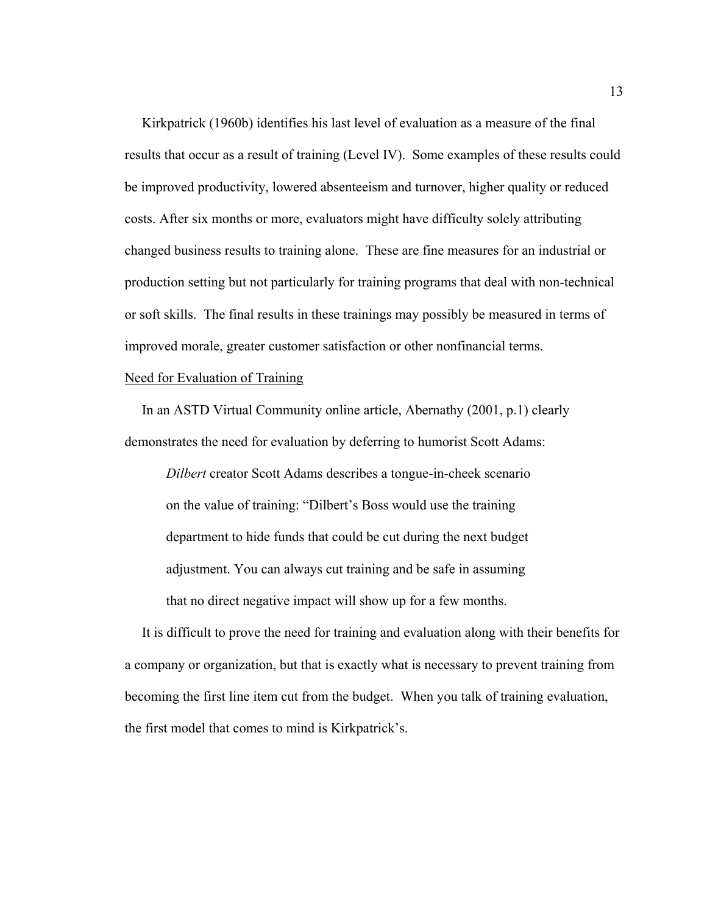Kirkpatrick (1960b) identifies his last level of evaluation as a measure of the final results that occur as a result of training (Level IV). Some examples of these results could be improved productivity, lowered absenteeism and turnover, higher quality or reduced costs. After six months or more, evaluators might have difficulty solely attributing changed business results to training alone. These are fine measures for an industrial or production setting but not particularly for training programs that deal with non-technical or soft skills. The final results in these trainings may possibly be measured in terms of improved morale, greater customer satisfaction or other nonfinancial terms.

## Need for Evaluation of Training

 In an ASTD Virtual Community online article, Abernathy (2001, p.1) clearly demonstrates the need for evaluation by deferring to humorist Scott Adams:

*Dilbert* creator Scott Adams describes a tongue-in-cheek scenario on the value of training: "Dilbert's Boss would use the training department to hide funds that could be cut during the next budget adjustment. You can always cut training and be safe in assuming that no direct negative impact will show up for a few months.

 It is difficult to prove the need for training and evaluation along with their benefits for a company or organization, but that is exactly what is necessary to prevent training from becoming the first line item cut from the budget. When you talk of training evaluation, the first model that comes to mind is Kirkpatrick's.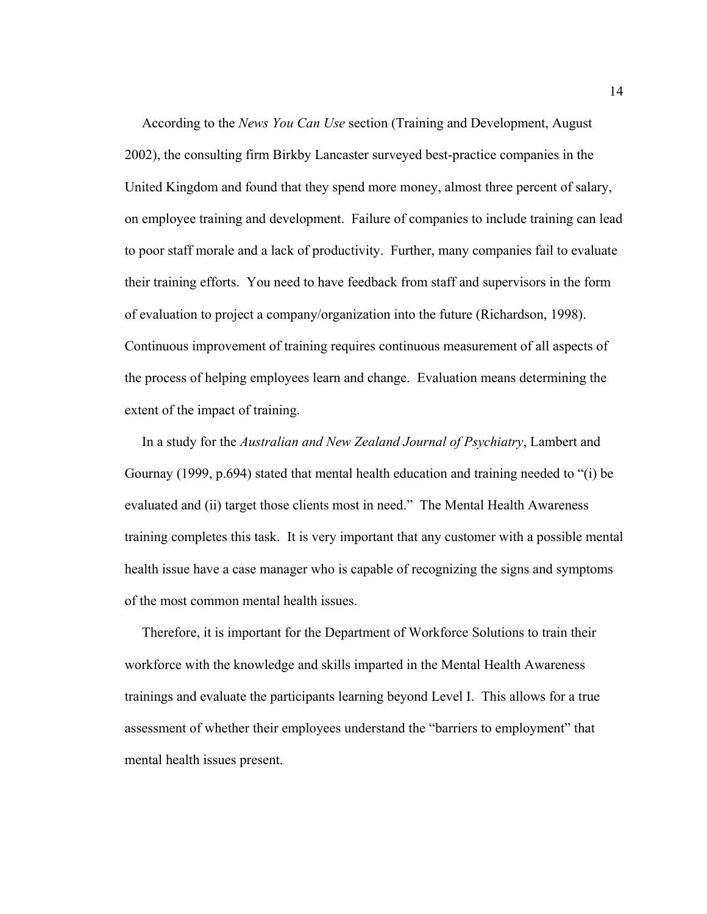According to the *News You Can Use* section (Training and Development, August 2002), the consulting firm Birkby Lancaster surveyed best-practice companies in the United Kingdom and found that they spend more money, almost three percent of salary, on employee training and development. Failure of companies to include training can lead to poor staff morale and a lack of productivity. Further, many companies fail to evaluate their training efforts. You need to have feedback from staff and supervisors in the form of evaluation to project a company/organization into the future (Richardson, 1998). Continuous improvement of training requires continuous measurement of all aspects of the process of helping employees learn and change. Evaluation means determining the extent of the impact of training.

 In a study for the *Australian and New Zealand Journal of Psychiatry*, Lambert and Gournay (1999, p.694) stated that mental health education and training needed to "(i) be evaluated and (ii) target those clients most in need." The Mental Health Awareness training completes this task. It is very important that any customer with a possible mental health issue have a case manager who is capable of recognizing the signs and symptoms of the most common mental health issues.

 Therefore, it is important for the Department of Workforce Solutions to train their workforce with the knowledge and skills imparted in the Mental Health Awareness trainings and evaluate the participants learning beyond Level I. This allows for a true assessment of whether their employees understand the "barriers to employment" that mental health issues present.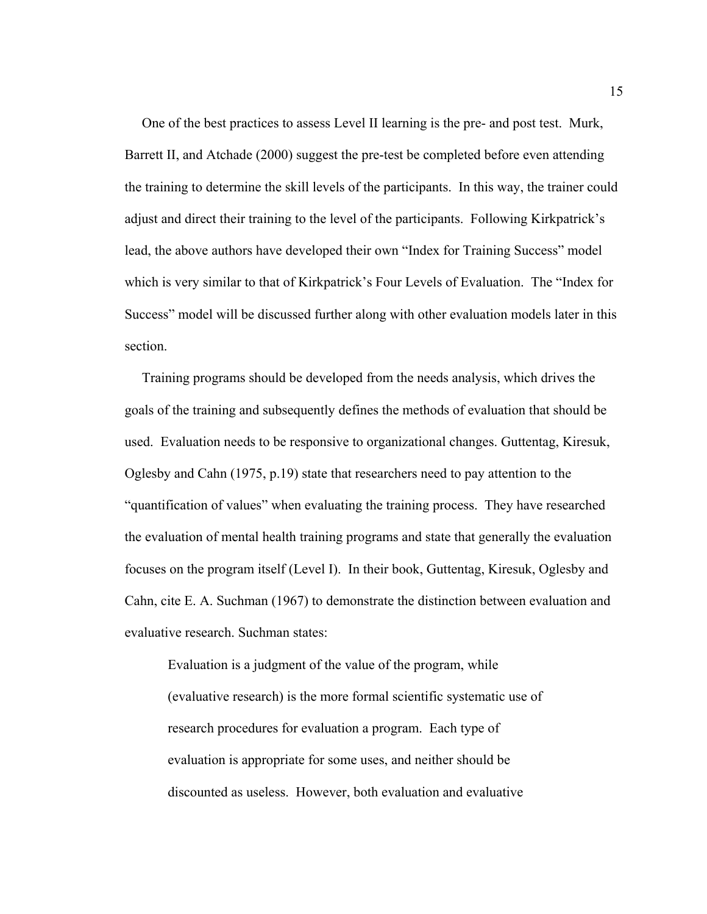One of the best practices to assess Level II learning is the pre- and post test. Murk, Barrett II, and Atchade (2000) suggest the pre-test be completed before even attending the training to determine the skill levels of the participants. In this way, the trainer could adjust and direct their training to the level of the participants. Following Kirkpatrick's lead, the above authors have developed their own "Index for Training Success" model which is very similar to that of Kirkpatrick's Four Levels of Evaluation. The "Index for Success" model will be discussed further along with other evaluation models later in this section.

 Training programs should be developed from the needs analysis, which drives the goals of the training and subsequently defines the methods of evaluation that should be used. Evaluation needs to be responsive to organizational changes. Guttentag, Kiresuk, Oglesby and Cahn (1975, p.19) state that researchers need to pay attention to the "quantification of values" when evaluating the training process. They have researched the evaluation of mental health training programs and state that generally the evaluation focuses on the program itself (Level I). In their book, Guttentag, Kiresuk, Oglesby and Cahn, cite E. A. Suchman (1967) to demonstrate the distinction between evaluation and evaluative research. Suchman states:

Evaluation is a judgment of the value of the program, while (evaluative research) is the more formal scientific systematic use of research procedures for evaluation a program. Each type of evaluation is appropriate for some uses, and neither should be discounted as useless. However, both evaluation and evaluative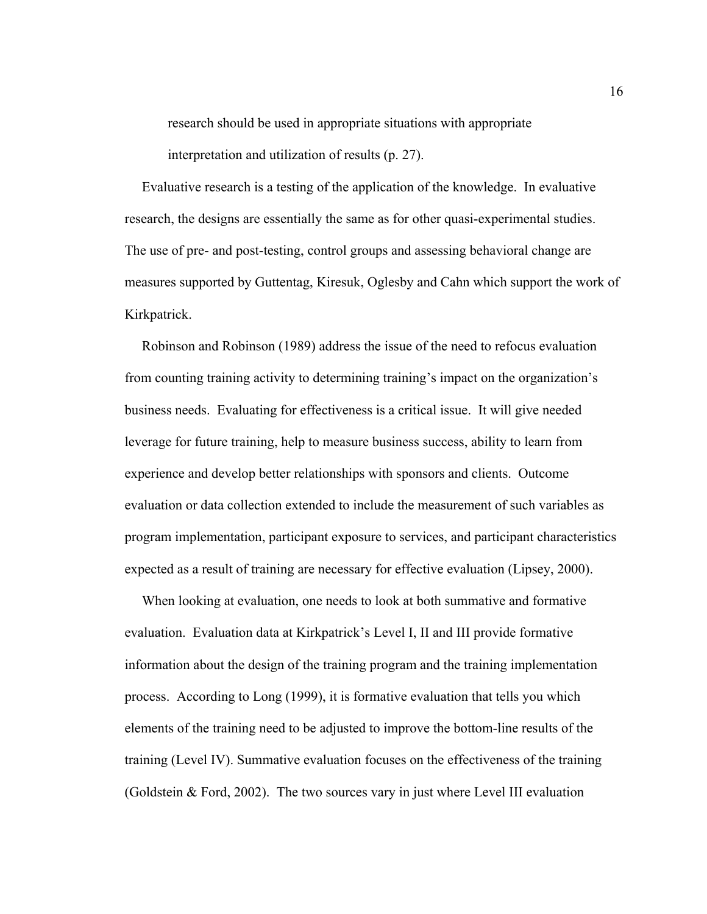research should be used in appropriate situations with appropriate

interpretation and utilization of results (p. 27).

 Evaluative research is a testing of the application of the knowledge. In evaluative research, the designs are essentially the same as for other quasi-experimental studies. The use of pre- and post-testing, control groups and assessing behavioral change are measures supported by Guttentag, Kiresuk, Oglesby and Cahn which support the work of Kirkpatrick.

 Robinson and Robinson (1989) address the issue of the need to refocus evaluation from counting training activity to determining training's impact on the organization's business needs. Evaluating for effectiveness is a critical issue. It will give needed leverage for future training, help to measure business success, ability to learn from experience and develop better relationships with sponsors and clients. Outcome evaluation or data collection extended to include the measurement of such variables as program implementation, participant exposure to services, and participant characteristics expected as a result of training are necessary for effective evaluation (Lipsey, 2000).

 When looking at evaluation, one needs to look at both summative and formative evaluation. Evaluation data at Kirkpatrick's Level I, II and III provide formative information about the design of the training program and the training implementation process. According to Long (1999), it is formative evaluation that tells you which elements of the training need to be adjusted to improve the bottom-line results of the training (Level IV). Summative evaluation focuses on the effectiveness of the training (Goldstein  $\&$  Ford, 2002). The two sources vary in just where Level III evaluation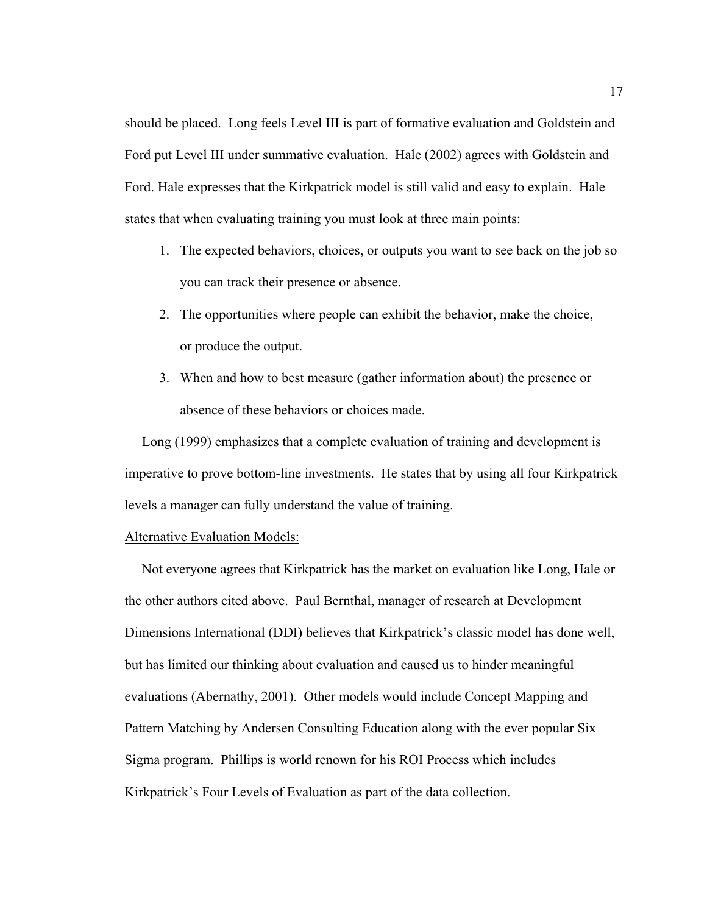should be placed. Long feels Level III is part of formative evaluation and Goldstein and Ford put Level III under summative evaluation. Hale (2002) agrees with Goldstein and Ford. Hale expresses that the Kirkpatrick model is still valid and easy to explain. Hale states that when evaluating training you must look at three main points:

- 1. The expected behaviors, choices, or outputs you want to see back on the job so you can track their presence or absence.
- 2. The opportunities where people can exhibit the behavior, make the choice, or produce the output.
- 3. When and how to best measure (gather information about) the presence or absence of these behaviors or choices made.

 Long (1999) emphasizes that a complete evaluation of training and development is imperative to prove bottom-line investments. He states that by using all four Kirkpatrick levels a manager can fully understand the value of training.

## Alternative Evaluation Models:

 Not everyone agrees that Kirkpatrick has the market on evaluation like Long, Hale or the other authors cited above. Paul Bernthal, manager of research at Development Dimensions International (DDI) believes that Kirkpatrick's classic model has done well, but has limited our thinking about evaluation and caused us to hinder meaningful evaluations (Abernathy, 2001). Other models would include Concept Mapping and Pattern Matching by Andersen Consulting Education along with the ever popular Six Sigma program. Phillips is world renown for his ROI Process which includes Kirkpatrick's Four Levels of Evaluation as part of the data collection.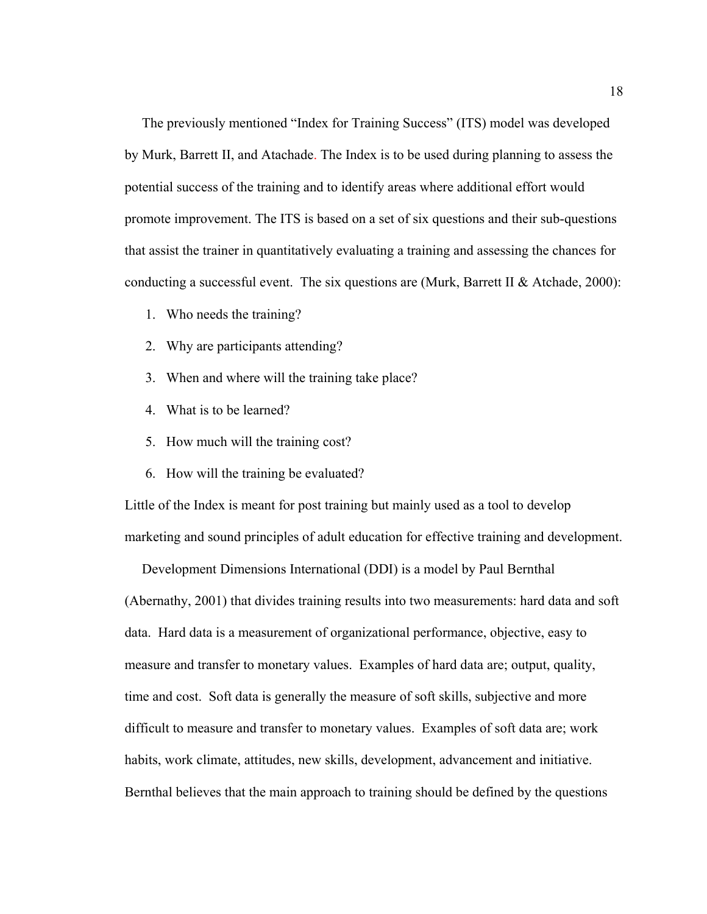The previously mentioned "Index for Training Success" (ITS) model was developed by Murk, Barrett II, and Atachade. The Index is to be used during planning to assess the potential success of the training and to identify areas where additional effort would promote improvement. The ITS is based on a set of six questions and their sub-questions that assist the trainer in quantitatively evaluating a training and assessing the chances for conducting a successful event. The six questions are (Murk, Barrett II & Atchade, 2000):

- 1. Who needs the training?
- 2. Why are participants attending?
- 3. When and where will the training take place?
- 4. What is to be learned?
- 5. How much will the training cost?
- 6. How will the training be evaluated?

Little of the Index is meant for post training but mainly used as a tool to develop marketing and sound principles of adult education for effective training and development.

 Development Dimensions International (DDI) is a model by Paul Bernthal (Abernathy, 2001) that divides training results into two measurements: hard data and soft data. Hard data is a measurement of organizational performance, objective, easy to measure and transfer to monetary values. Examples of hard data are; output, quality, time and cost. Soft data is generally the measure of soft skills, subjective and more difficult to measure and transfer to monetary values. Examples of soft data are; work habits, work climate, attitudes, new skills, development, advancement and initiative. Bernthal believes that the main approach to training should be defined by the questions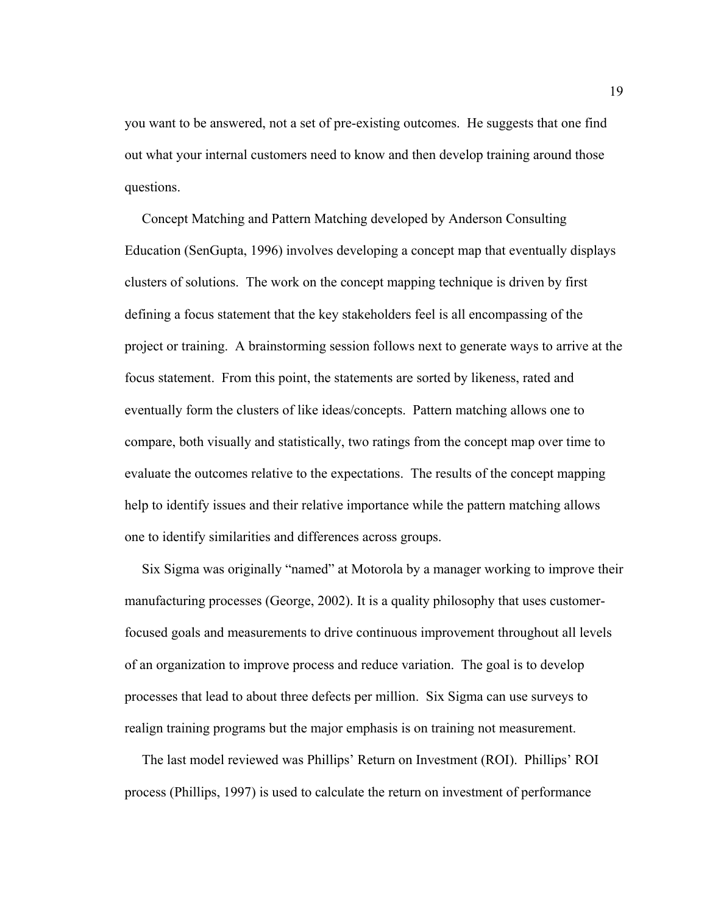you want to be answered, not a set of pre-existing outcomes. He suggests that one find out what your internal customers need to know and then develop training around those questions.

 Concept Matching and Pattern Matching developed by Anderson Consulting Education (SenGupta, 1996) involves developing a concept map that eventually displays clusters of solutions. The work on the concept mapping technique is driven by first defining a focus statement that the key stakeholders feel is all encompassing of the project or training. A brainstorming session follows next to generate ways to arrive at the focus statement. From this point, the statements are sorted by likeness, rated and eventually form the clusters of like ideas/concepts. Pattern matching allows one to compare, both visually and statistically, two ratings from the concept map over time to evaluate the outcomes relative to the expectations. The results of the concept mapping help to identify issues and their relative importance while the pattern matching allows one to identify similarities and differences across groups.

 Six Sigma was originally "named" at Motorola by a manager working to improve their manufacturing processes (George, 2002). It is a quality philosophy that uses customerfocused goals and measurements to drive continuous improvement throughout all levels of an organization to improve process and reduce variation. The goal is to develop processes that lead to about three defects per million. Six Sigma can use surveys to realign training programs but the major emphasis is on training not measurement.

 The last model reviewed was Phillips' Return on Investment (ROI). Phillips' ROI process (Phillips, 1997) is used to calculate the return on investment of performance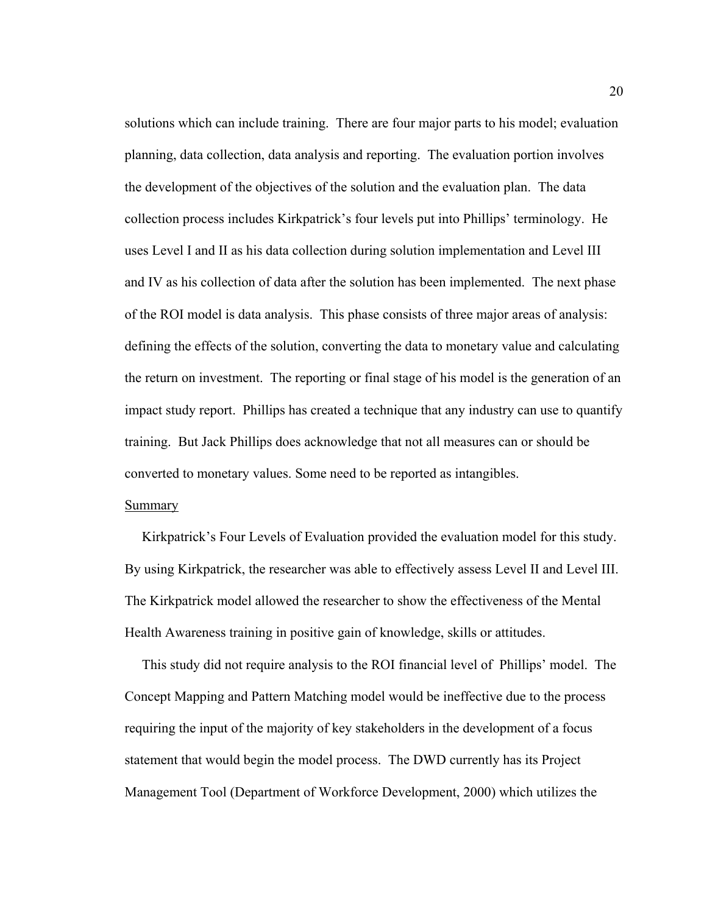solutions which can include training. There are four major parts to his model; evaluation planning, data collection, data analysis and reporting. The evaluation portion involves the development of the objectives of the solution and the evaluation plan. The data collection process includes Kirkpatrick's four levels put into Phillips' terminology. He uses Level I and II as his data collection during solution implementation and Level III and IV as his collection of data after the solution has been implemented. The next phase of the ROI model is data analysis. This phase consists of three major areas of analysis: defining the effects of the solution, converting the data to monetary value and calculating the return on investment. The reporting or final stage of his model is the generation of an impact study report. Phillips has created a technique that any industry can use to quantify training. But Jack Phillips does acknowledge that not all measures can or should be converted to monetary values. Some need to be reported as intangibles.

## **Summary**

 Kirkpatrick's Four Levels of Evaluation provided the evaluation model for this study. By using Kirkpatrick, the researcher was able to effectively assess Level II and Level III. The Kirkpatrick model allowed the researcher to show the effectiveness of the Mental Health Awareness training in positive gain of knowledge, skills or attitudes.

 This study did not require analysis to the ROI financial level of Phillips' model. The Concept Mapping and Pattern Matching model would be ineffective due to the process requiring the input of the majority of key stakeholders in the development of a focus statement that would begin the model process. The DWD currently has its Project Management Tool (Department of Workforce Development, 2000) which utilizes the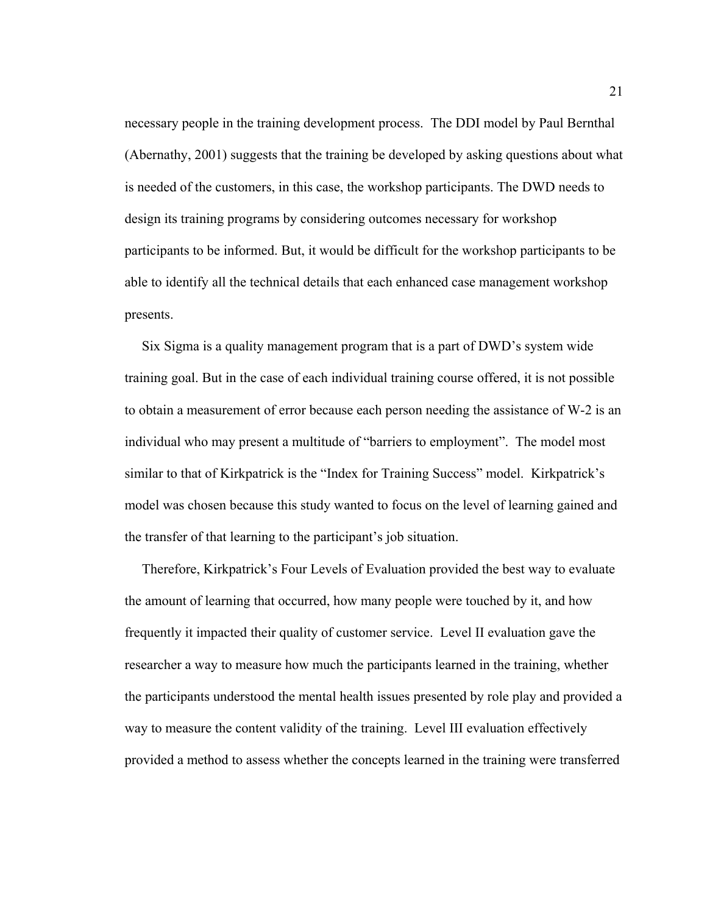necessary people in the training development process. The DDI model by Paul Bernthal (Abernathy, 2001) suggests that the training be developed by asking questions about what is needed of the customers, in this case, the workshop participants. The DWD needs to design its training programs by considering outcomes necessary for workshop participants to be informed. But, it would be difficult for the workshop participants to be able to identify all the technical details that each enhanced case management workshop presents.

 Six Sigma is a quality management program that is a part of DWD's system wide training goal. But in the case of each individual training course offered, it is not possible to obtain a measurement of error because each person needing the assistance of W-2 is an individual who may present a multitude of "barriers to employment". The model most similar to that of Kirkpatrick is the "Index for Training Success" model. Kirkpatrick's model was chosen because this study wanted to focus on the level of learning gained and the transfer of that learning to the participant's job situation.

 Therefore, Kirkpatrick's Four Levels of Evaluation provided the best way to evaluate the amount of learning that occurred, how many people were touched by it, and how frequently it impacted their quality of customer service. Level II evaluation gave the researcher a way to measure how much the participants learned in the training, whether the participants understood the mental health issues presented by role play and provided a way to measure the content validity of the training. Level III evaluation effectively provided a method to assess whether the concepts learned in the training were transferred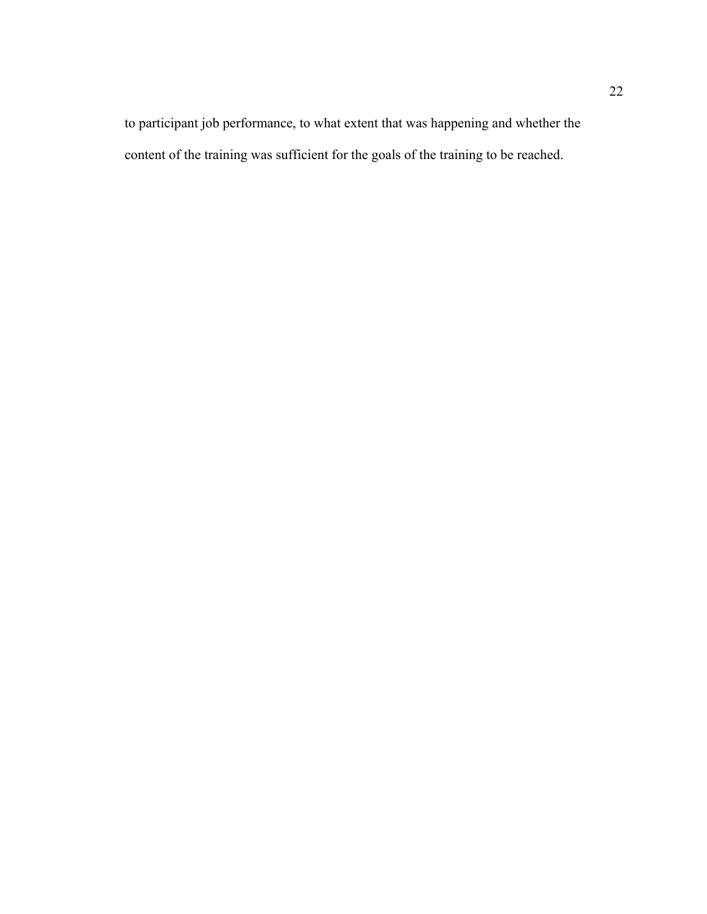to participant job performance, to what extent that was happening and whether the content of the training was sufficient for the goals of the training to be reached.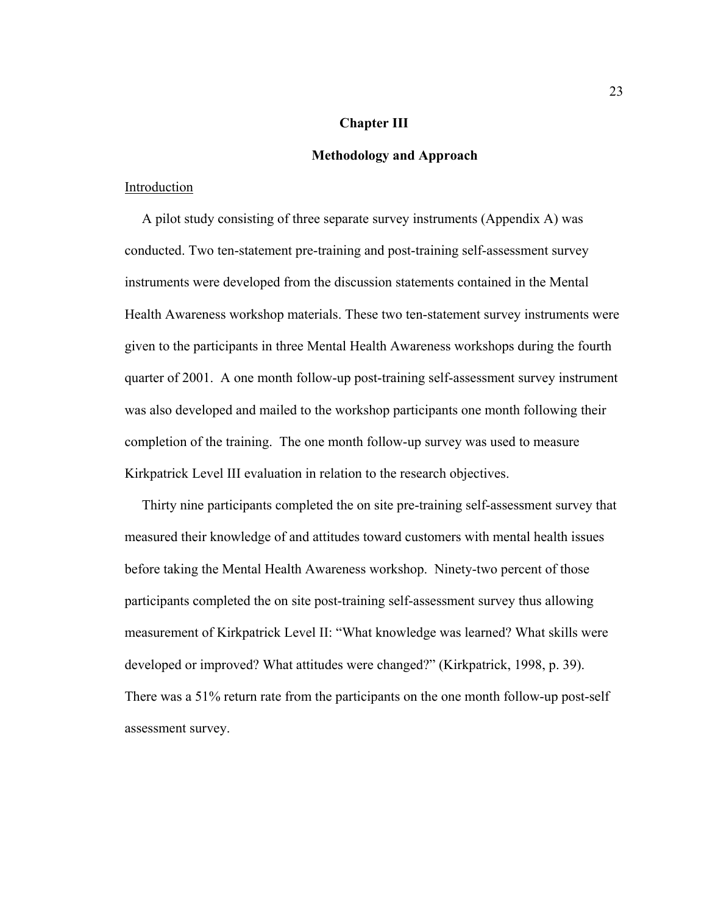## **Chapter III**

## **Methodology and Approach**

## Introduction

 A pilot study consisting of three separate survey instruments (Appendix A) was conducted. Two ten-statement pre-training and post-training self-assessment survey instruments were developed from the discussion statements contained in the Mental Health Awareness workshop materials. These two ten-statement survey instruments were given to the participants in three Mental Health Awareness workshops during the fourth quarter of 2001. A one month follow-up post-training self-assessment survey instrument was also developed and mailed to the workshop participants one month following their completion of the training. The one month follow-up survey was used to measure Kirkpatrick Level III evaluation in relation to the research objectives.

 Thirty nine participants completed the on site pre-training self-assessment survey that measured their knowledge of and attitudes toward customers with mental health issues before taking the Mental Health Awareness workshop. Ninety-two percent of those participants completed the on site post-training self-assessment survey thus allowing measurement of Kirkpatrick Level II: "What knowledge was learned? What skills were developed or improved? What attitudes were changed?" (Kirkpatrick, 1998, p. 39). There was a 51% return rate from the participants on the one month follow-up post-self assessment survey.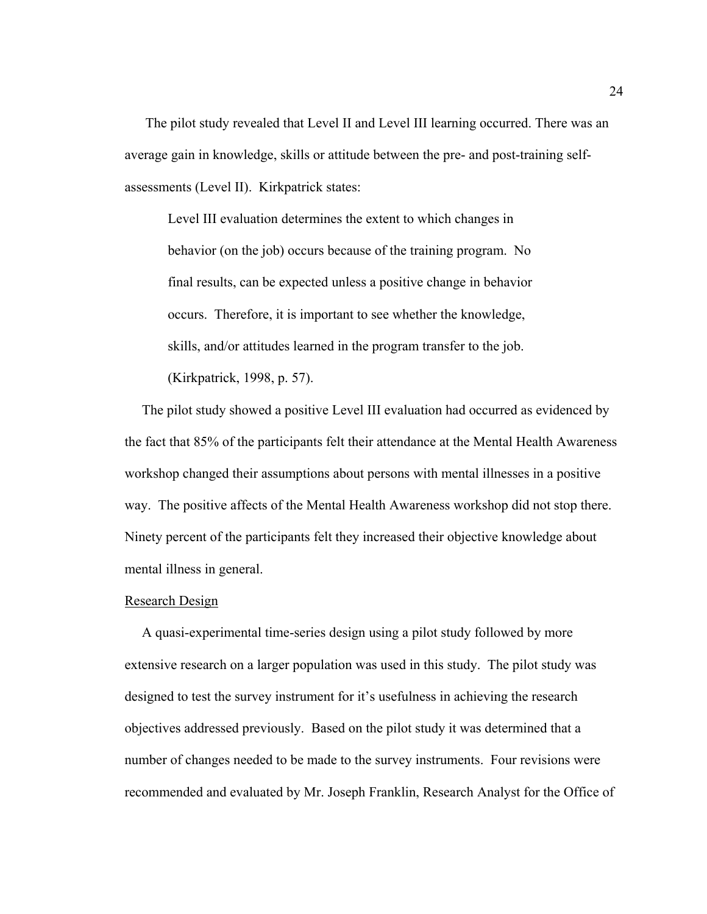The pilot study revealed that Level II and Level III learning occurred. There was an average gain in knowledge, skills or attitude between the pre- and post-training selfassessments (Level II). Kirkpatrick states:

Level III evaluation determines the extent to which changes in behavior (on the job) occurs because of the training program. No final results, can be expected unless a positive change in behavior occurs. Therefore, it is important to see whether the knowledge, skills, and/or attitudes learned in the program transfer to the job. (Kirkpatrick, 1998, p. 57).

 The pilot study showed a positive Level III evaluation had occurred as evidenced by the fact that 85% of the participants felt their attendance at the Mental Health Awareness workshop changed their assumptions about persons with mental illnesses in a positive way. The positive affects of the Mental Health Awareness workshop did not stop there. Ninety percent of the participants felt they increased their objective knowledge about mental illness in general.

#### Research Design

 A quasi-experimental time-series design using a pilot study followed by more extensive research on a larger population was used in this study. The pilot study was designed to test the survey instrument for it's usefulness in achieving the research objectives addressed previously. Based on the pilot study it was determined that a number of changes needed to be made to the survey instruments. Four revisions were recommended and evaluated by Mr. Joseph Franklin, Research Analyst for the Office of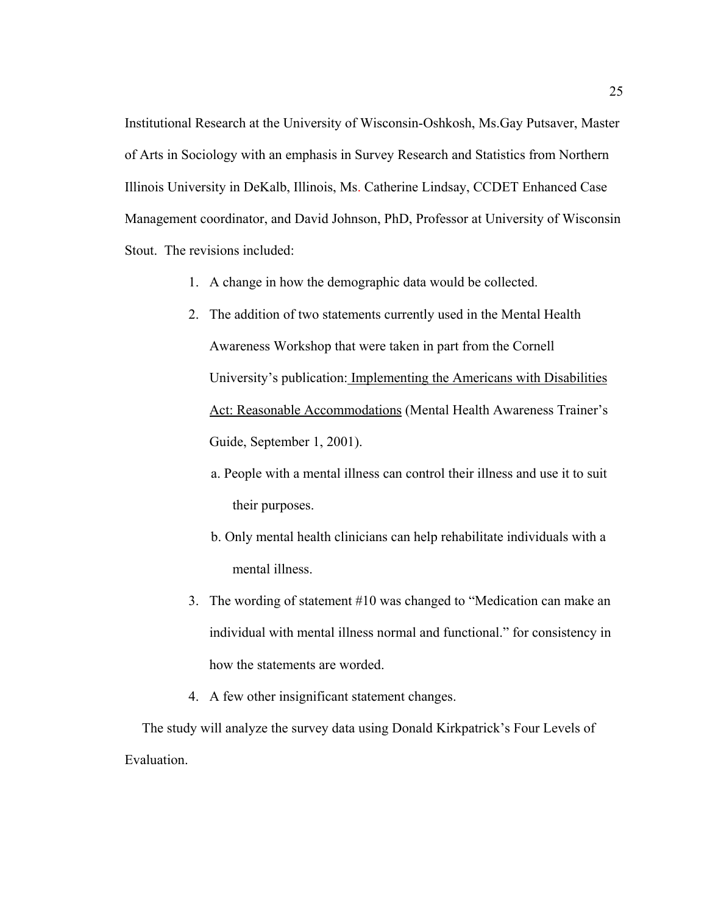Institutional Research at the University of Wisconsin-Oshkosh, Ms.Gay Putsaver, Master of Arts in Sociology with an emphasis in Survey Research and Statistics from Northern Illinois University in DeKalb, Illinois, Ms. Catherine Lindsay, CCDET Enhanced Case Management coordinator, and David Johnson, PhD, Professor at University of Wisconsin Stout. The revisions included:

- 1. A change in how the demographic data would be collected.
- 2. The addition of two statements currently used in the Mental Health Awareness Workshop that were taken in part from the Cornell University's publication: Implementing the Americans with Disabilities Act: Reasonable Accommodations (Mental Health Awareness Trainer's Guide, September 1, 2001).
	- a. People with a mental illness can control their illness and use it to suit their purposes.
	- b. Only mental health clinicians can help rehabilitate individuals with a mental illness.
- 3. The wording of statement #10 was changed to "Medication can make an individual with mental illness normal and functional." for consistency in how the statements are worded.
- 4. A few other insignificant statement changes.

 The study will analyze the survey data using Donald Kirkpatrick's Four Levels of Evaluation.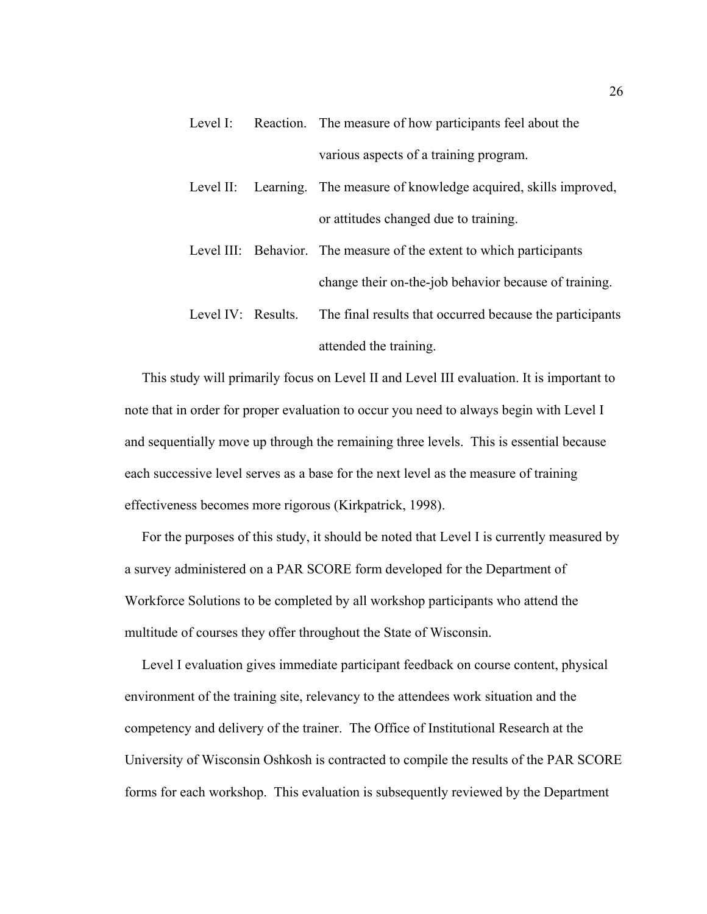- Level I: Reaction. The measure of how participants feel about the various aspects of a training program.
- Level II: Learning. The measure of knowledge acquired, skills improved, or attitudes changed due to training.
- Level III: Behavior. The measure of the extent to which participants change their on-the-job behavior because of training.
- Level IV: Results. The final results that occurred because the participants attended the training.

 This study will primarily focus on Level II and Level III evaluation. It is important to note that in order for proper evaluation to occur you need to always begin with Level I and sequentially move up through the remaining three levels. This is essential because each successive level serves as a base for the next level as the measure of training effectiveness becomes more rigorous (Kirkpatrick, 1998).

 For the purposes of this study, it should be noted that Level I is currently measured by a survey administered on a PAR SCORE form developed for the Department of Workforce Solutions to be completed by all workshop participants who attend the multitude of courses they offer throughout the State of Wisconsin.

 Level I evaluation gives immediate participant feedback on course content, physical environment of the training site, relevancy to the attendees work situation and the competency and delivery of the trainer. The Office of Institutional Research at the University of Wisconsin Oshkosh is contracted to compile the results of the PAR SCORE forms for each workshop. This evaluation is subsequently reviewed by the Department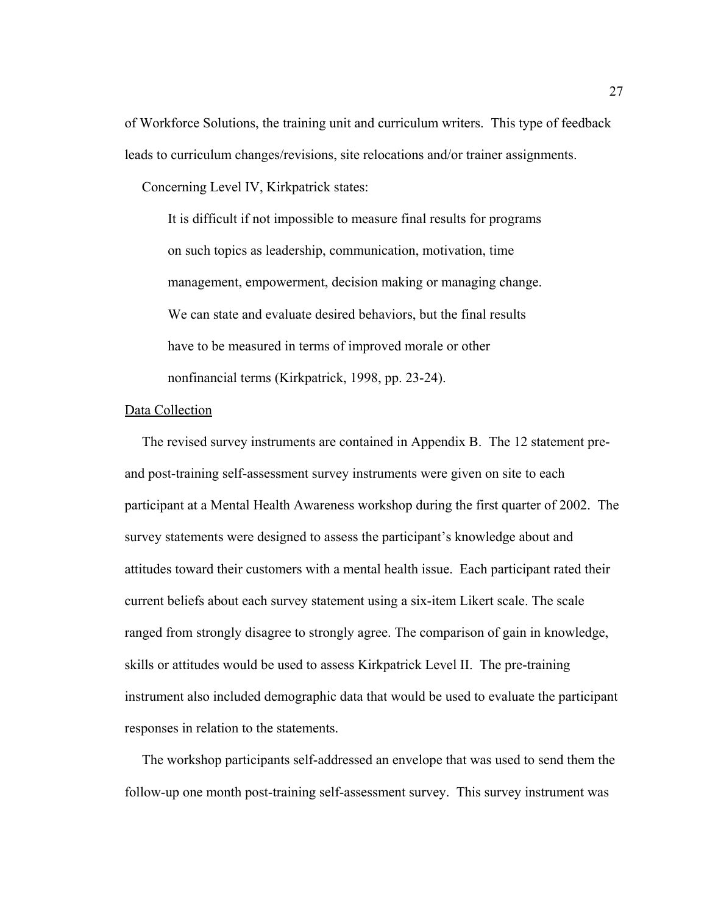of Workforce Solutions, the training unit and curriculum writers. This type of feedback leads to curriculum changes/revisions, site relocations and/or trainer assignments.

Concerning Level IV, Kirkpatrick states:

It is difficult if not impossible to measure final results for programs on such topics as leadership, communication, motivation, time management, empowerment, decision making or managing change. We can state and evaluate desired behaviors, but the final results have to be measured in terms of improved morale or other nonfinancial terms (Kirkpatrick, 1998, pp. 23-24).

## Data Collection

 The revised survey instruments are contained in Appendix B. The 12 statement preand post-training self-assessment survey instruments were given on site to each participant at a Mental Health Awareness workshop during the first quarter of 2002. The survey statements were designed to assess the participant's knowledge about and attitudes toward their customers with a mental health issue. Each participant rated their current beliefs about each survey statement using a six-item Likert scale. The scale ranged from strongly disagree to strongly agree. The comparison of gain in knowledge, skills or attitudes would be used to assess Kirkpatrick Level II. The pre-training instrument also included demographic data that would be used to evaluate the participant responses in relation to the statements.

 The workshop participants self-addressed an envelope that was used to send them the follow-up one month post-training self-assessment survey. This survey instrument was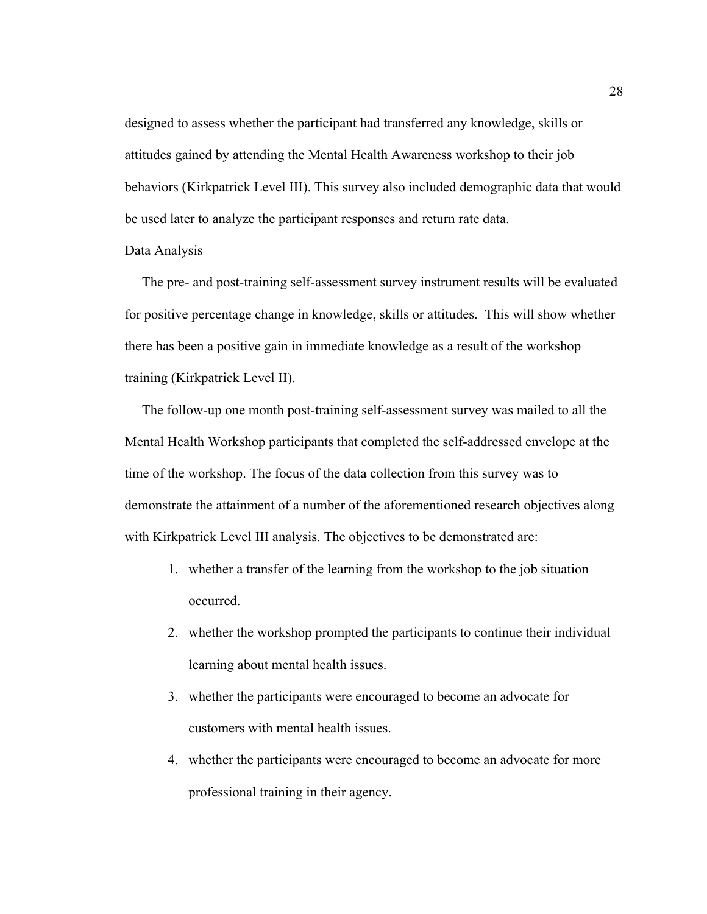designed to assess whether the participant had transferred any knowledge, skills or attitudes gained by attending the Mental Health Awareness workshop to their job behaviors (Kirkpatrick Level III). This survey also included demographic data that would be used later to analyze the participant responses and return rate data.

### Data Analysis

 The pre- and post-training self-assessment survey instrument results will be evaluated for positive percentage change in knowledge, skills or attitudes. This will show whether there has been a positive gain in immediate knowledge as a result of the workshop training (Kirkpatrick Level II).

 The follow-up one month post-training self-assessment survey was mailed to all the Mental Health Workshop participants that completed the self-addressed envelope at the time of the workshop. The focus of the data collection from this survey was to demonstrate the attainment of a number of the aforementioned research objectives along with Kirkpatrick Level III analysis. The objectives to be demonstrated are:

- 1. whether a transfer of the learning from the workshop to the job situation occurred.
- 2. whether the workshop prompted the participants to continue their individual learning about mental health issues.
- 3. whether the participants were encouraged to become an advocate for customers with mental health issues.
- 4. whether the participants were encouraged to become an advocate for more professional training in their agency.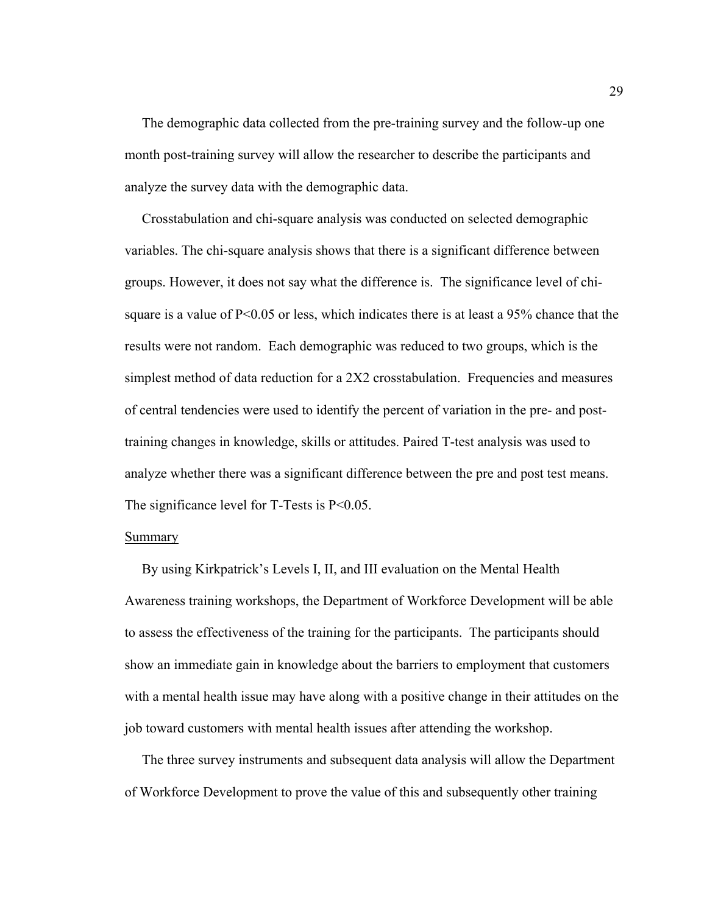The demographic data collected from the pre-training survey and the follow-up one month post-training survey will allow the researcher to describe the participants and analyze the survey data with the demographic data.

 Crosstabulation and chi-square analysis was conducted on selected demographic variables. The chi-square analysis shows that there is a significant difference between groups. However, it does not say what the difference is. The significance level of chisquare is a value of P<0.05 or less, which indicates there is at least a 95% chance that the results were not random. Each demographic was reduced to two groups, which is the simplest method of data reduction for a 2X2 crosstabulation. Frequencies and measures of central tendencies were used to identify the percent of variation in the pre- and posttraining changes in knowledge, skills or attitudes. Paired T-test analysis was used to analyze whether there was a significant difference between the pre and post test means. The significance level for  $T$ -Tests is  $P < 0.05$ .

#### **Summary**

 By using Kirkpatrick's Levels I, II, and III evaluation on the Mental Health Awareness training workshops, the Department of Workforce Development will be able to assess the effectiveness of the training for the participants. The participants should show an immediate gain in knowledge about the barriers to employment that customers with a mental health issue may have along with a positive change in their attitudes on the job toward customers with mental health issues after attending the workshop.

 The three survey instruments and subsequent data analysis will allow the Department of Workforce Development to prove the value of this and subsequently other training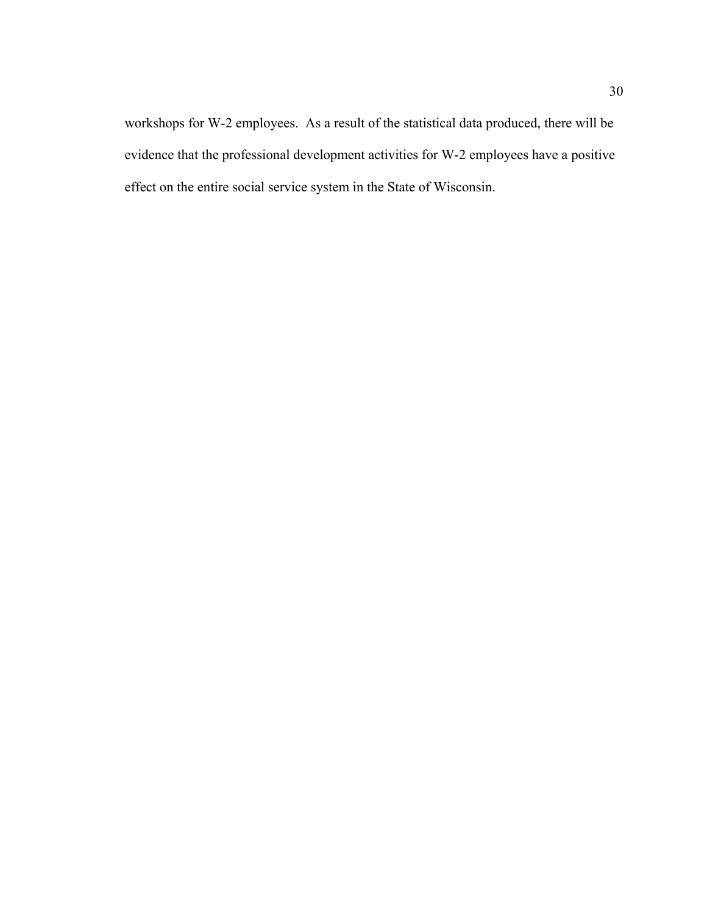workshops for W-2 employees. As a result of the statistical data produced, there will be evidence that the professional development activities for W-2 employees have a positive effect on the entire social service system in the State of Wisconsin.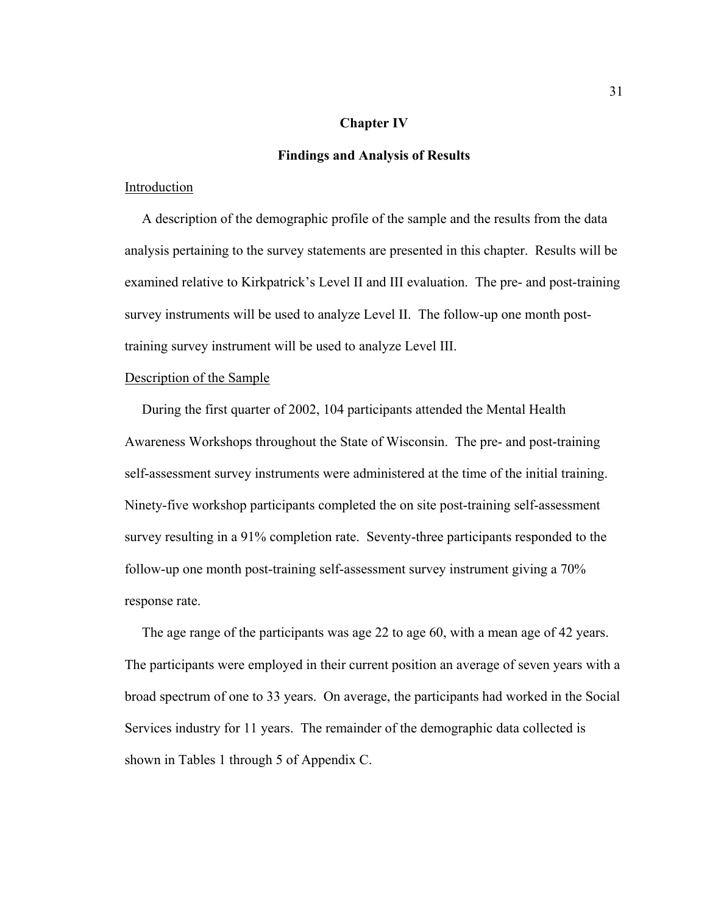### **Chapter IV**

#### **Findings and Analysis of Results**

#### Introduction

 A description of the demographic profile of the sample and the results from the data analysis pertaining to the survey statements are presented in this chapter. Results will be examined relative to Kirkpatrick's Level II and III evaluation. The pre- and post-training survey instruments will be used to analyze Level II. The follow-up one month posttraining survey instrument will be used to analyze Level III.

### Description of the Sample

 During the first quarter of 2002, 104 participants attended the Mental Health Awareness Workshops throughout the State of Wisconsin. The pre- and post-training self-assessment survey instruments were administered at the time of the initial training. Ninety-five workshop participants completed the on site post-training self-assessment survey resulting in a 91% completion rate. Seventy-three participants responded to the follow-up one month post-training self-assessment survey instrument giving a 70% response rate.

 The age range of the participants was age 22 to age 60, with a mean age of 42 years. The participants were employed in their current position an average of seven years with a broad spectrum of one to 33 years. On average, the participants had worked in the Social Services industry for 11 years. The remainder of the demographic data collected is shown in Tables 1 through 5 of Appendix C.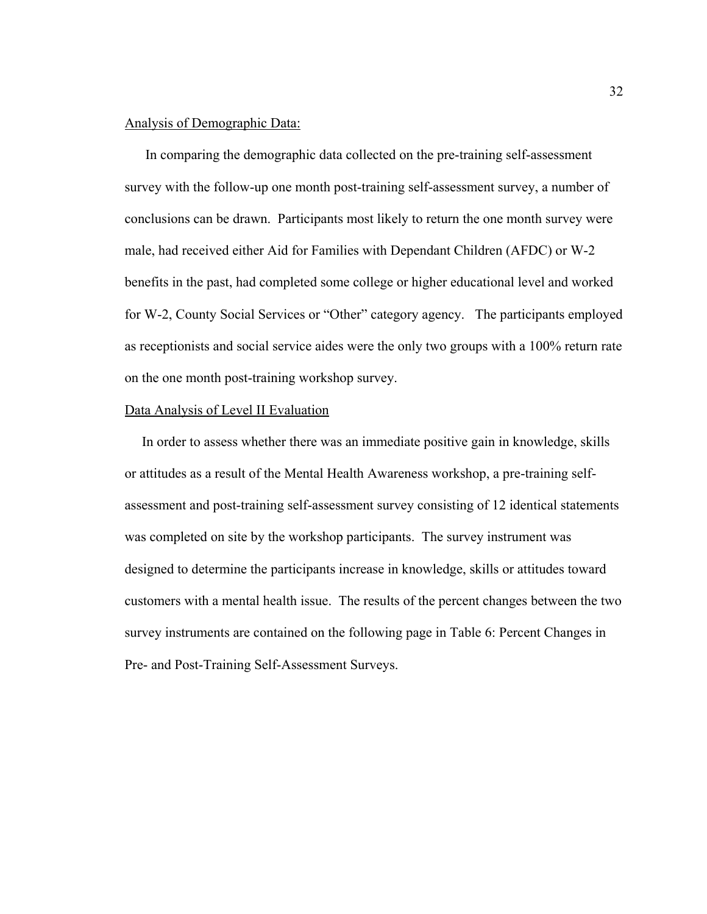### Analysis of Demographic Data:

 In comparing the demographic data collected on the pre-training self-assessment survey with the follow-up one month post-training self-assessment survey, a number of conclusions can be drawn. Participants most likely to return the one month survey were male, had received either Aid for Families with Dependant Children (AFDC) or W-2 benefits in the past, had completed some college or higher educational level and worked for W-2, County Social Services or "Other" category agency. The participants employed as receptionists and social service aides were the only two groups with a 100% return rate on the one month post-training workshop survey.

#### Data Analysis of Level II Evaluation

 In order to assess whether there was an immediate positive gain in knowledge, skills or attitudes as a result of the Mental Health Awareness workshop, a pre-training selfassessment and post-training self-assessment survey consisting of 12 identical statements was completed on site by the workshop participants. The survey instrument was designed to determine the participants increase in knowledge, skills or attitudes toward customers with a mental health issue. The results of the percent changes between the two survey instruments are contained on the following page in Table 6: Percent Changes in Pre- and Post-Training Self-Assessment Surveys.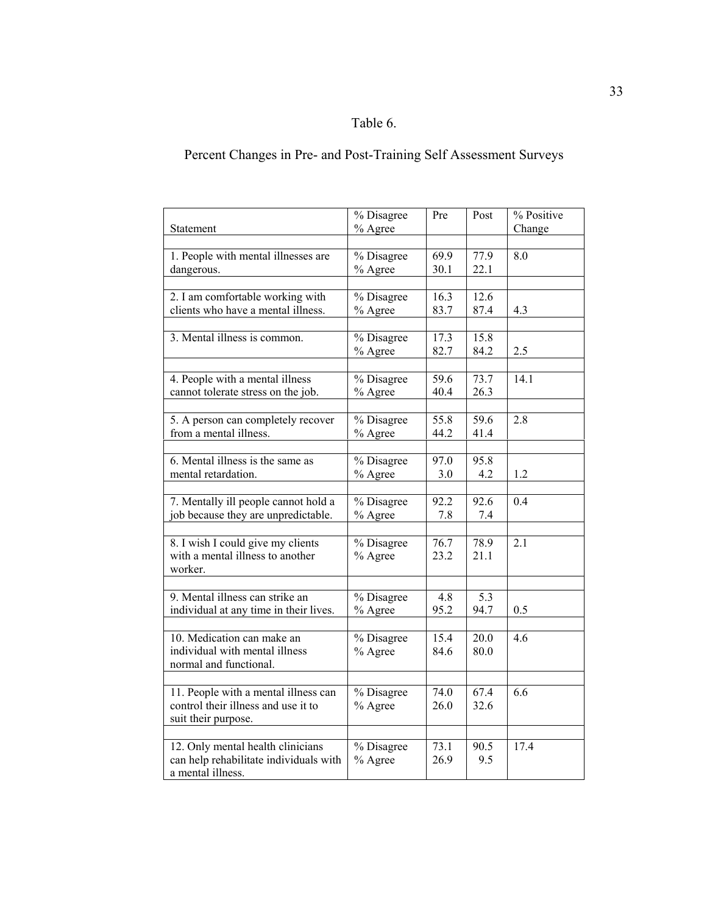# Table 6.

# Percent Changes in Pre- and Post-Training Self Assessment Surveys

|                                        | % Disagree                    | Pre  | Post | % Positive |
|----------------------------------------|-------------------------------|------|------|------------|
| <b>Statement</b>                       | % Agree                       |      |      | Change     |
| 1. People with mental illnesses are    | % Disagree                    | 69.9 | 77.9 | 8.0        |
| dangerous.                             | % Agree                       | 30.1 | 22.1 |            |
|                                        |                               |      |      |            |
| 2. I am comfortable working with       | % Disagree                    | 16.3 | 12.6 |            |
| clients who have a mental illness.     | % Agree                       | 83.7 | 87.4 | 4.3        |
|                                        |                               |      |      |            |
| 3. Mental illness is common.           | % Disagree                    | 17.3 | 15.8 |            |
|                                        | % Agree                       | 82.7 | 84.2 | 2.5        |
|                                        |                               |      |      |            |
| 4. People with a mental illness        | $\overline{\%}$ Disagree      | 59.6 | 73.7 | 14.1       |
| cannot tolerate stress on the job.     | % Agree                       | 40.4 | 26.3 |            |
|                                        |                               |      |      |            |
| 5. A person can completely recover     | % Disagree                    | 55.8 | 59.6 | 2.8        |
| from a mental illness.                 | % Agree                       | 44.2 | 41.4 |            |
|                                        |                               |      |      |            |
| 6. Mental illness is the same as       | % Disagree                    | 97.0 | 95.8 |            |
| mental retardation.                    | % Agree                       | 3.0  | 4.2  | 1.2        |
|                                        |                               |      |      |            |
| 7. Mentally ill people cannot hold a   | % Disagree                    | 92.2 | 92.6 | 0.4        |
| job because they are unpredictable.    | % Agree                       | 7.8  | 7.4  |            |
|                                        |                               |      |      |            |
| 8. I wish I could give my clients      | % Disagree                    | 76.7 | 78.9 | 2.1        |
| with a mental illness to another       | % Agree                       | 23.2 | 21.1 |            |
| worker.                                |                               |      |      |            |
| 9. Mental illness can strike an        | % Disagree                    | 4.8  | 5.3  |            |
| individual at any time in their lives. | % Agree                       | 95.2 | 94.7 | 0.5        |
|                                        |                               |      |      |            |
| 10. Medication can make an             | $\sqrt[9]{\text{o}}$ Disagree | 15.4 | 20.0 | 4.6        |
| individual with mental illness         | % Agree                       | 84.6 | 80.0 |            |
| normal and functional.                 |                               |      |      |            |
|                                        |                               |      |      |            |
| 11. People with a mental illness can   | % Disagree                    | 74.0 | 67.4 | 6.6        |
| control their illness and use it to    | % Agree                       | 26.0 | 32.6 |            |
| suit their purpose.                    |                               |      |      |            |
|                                        |                               |      |      |            |
| 12. Only mental health clinicians      | $\frac{1}{2}$ Disagree        | 73.1 | 90.5 | 17.4       |
| can help rehabilitate individuals with | % Agree                       | 26.9 | 9.5  |            |
| a mental illness.                      |                               |      |      |            |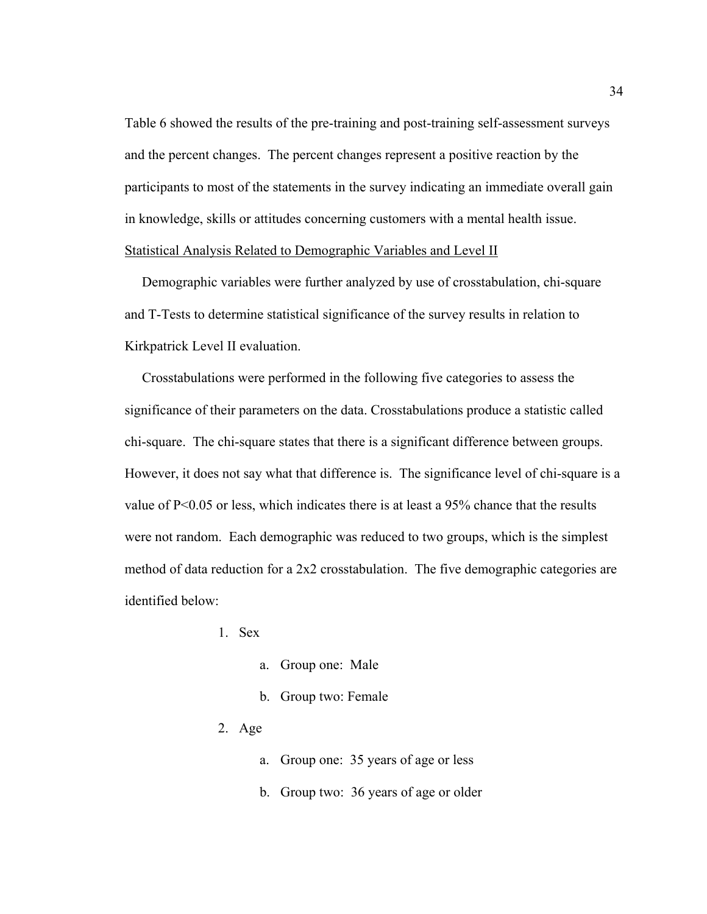Table 6 showed the results of the pre-training and post-training self-assessment surveys and the percent changes. The percent changes represent a positive reaction by the participants to most of the statements in the survey indicating an immediate overall gain in knowledge, skills or attitudes concerning customers with a mental health issue. Statistical Analysis Related to Demographic Variables and Level II

 Demographic variables were further analyzed by use of crosstabulation, chi-square and T-Tests to determine statistical significance of the survey results in relation to Kirkpatrick Level II evaluation.

 Crosstabulations were performed in the following five categories to assess the significance of their parameters on the data. Crosstabulations produce a statistic called chi-square. The chi-square states that there is a significant difference between groups. However, it does not say what that difference is. The significance level of chi-square is a value of  $P<0.05$  or less, which indicates there is at least a 95% chance that the results were not random. Each demographic was reduced to two groups, which is the simplest method of data reduction for a 2x2 crosstabulation. The five demographic categories are identified below:

- 1. Sex
	- a. Group one: Male
	- b. Group two: Female
- 2. Age
	- a. Group one: 35 years of age or less
	- b. Group two: 36 years of age or older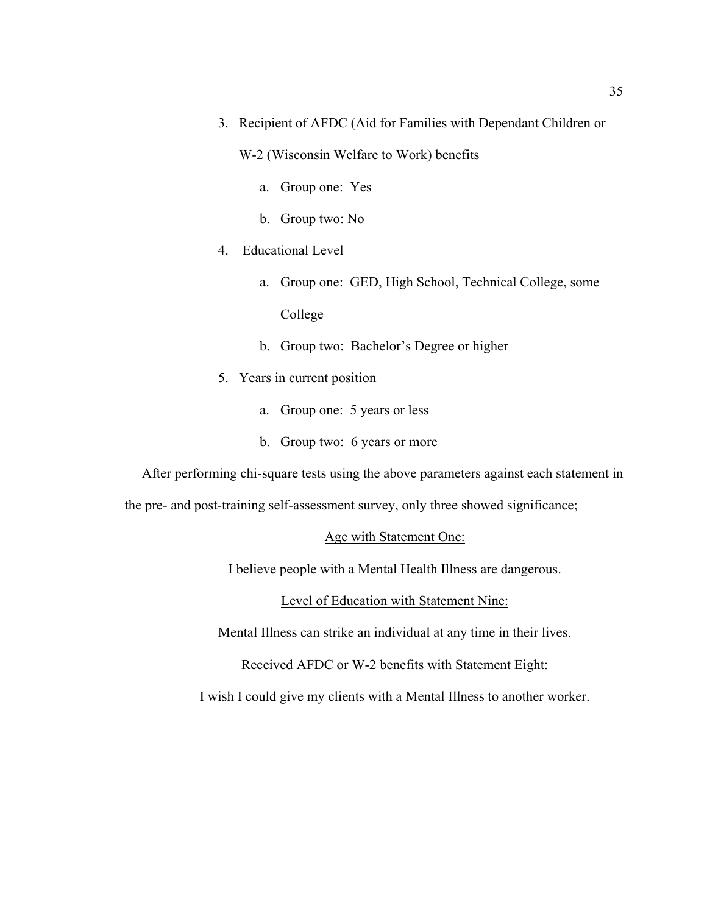- 3. Recipient of AFDC (Aid for Families with Dependant Children or
	- W-2 (Wisconsin Welfare to Work) benefits
		- a. Group one: Yes
		- b. Group two: No
- 4. Educational Level
	- a. Group one: GED, High School, Technical College, some College
	- b. Group two: Bachelor's Degree or higher
- 5. Years in current position
	- a. Group one: 5 years or less
	- b. Group two: 6 years or more

After performing chi-square tests using the above parameters against each statement in

the pre- and post-training self-assessment survey, only three showed significance;

#### Age with Statement One:

I believe people with a Mental Health Illness are dangerous.

Level of Education with Statement Nine:

Mental Illness can strike an individual at any time in their lives.

Received AFDC or W-2 benefits with Statement Eight:

I wish I could give my clients with a Mental Illness to another worker.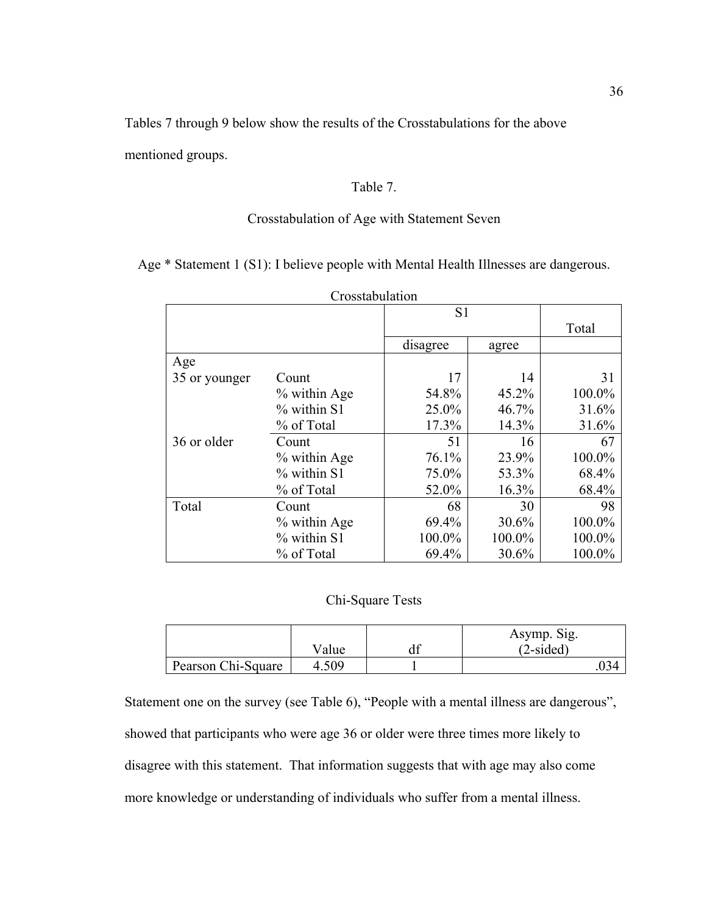Tables 7 through 9 below show the results of the Crosstabulations for the above mentioned groups.

### Table 7.

## Crosstabulation of Age with Statement Seven

Age \* Statement 1 (S1): I believe people with Mental Health Illnesses are dangerous.

| Crosstabulation |              |                |        |        |
|-----------------|--------------|----------------|--------|--------|
|                 |              | S <sub>1</sub> |        |        |
|                 |              |                |        | Total  |
|                 |              | disagree       | agree  |        |
| Age             |              |                |        |        |
| 35 or younger   | Count        | 17             | 14     | 31     |
|                 | % within Age | 54.8%          | 45.2%  | 100.0% |
|                 | % within S1  | 25.0%          | 46.7%  | 31.6%  |
|                 | % of Total   | 17.3%          | 14.3%  | 31.6%  |
| 36 or older     | Count        | 51             | 16     | 67     |
|                 | % within Age | 76.1%          | 23.9%  | 100.0% |
|                 | % within S1  | 75.0%          | 53.3%  | 68.4%  |
|                 | % of Total   | 52.0%          | 16.3%  | 68.4%  |
| Total           | Count        | 68             | 30     | 98     |
|                 | % within Age | 69.4%          | 30.6%  | 100.0% |
|                 | % within S1  | 100.0%         | 100.0% | 100.0% |
|                 | % of Total   | 69.4%          | 30.6%  | 100.0% |

## Chi-Square Tests

|                    |       | Asymp. Sig. |
|--------------------|-------|-------------|
|                    | Value | $(2-sided)$ |
| Pearson Chi-Square | 4.509 |             |

Statement one on the survey (see Table 6), "People with a mental illness are dangerous", showed that participants who were age 36 or older were three times more likely to disagree with this statement. That information suggests that with age may also come more knowledge or understanding of individuals who suffer from a mental illness.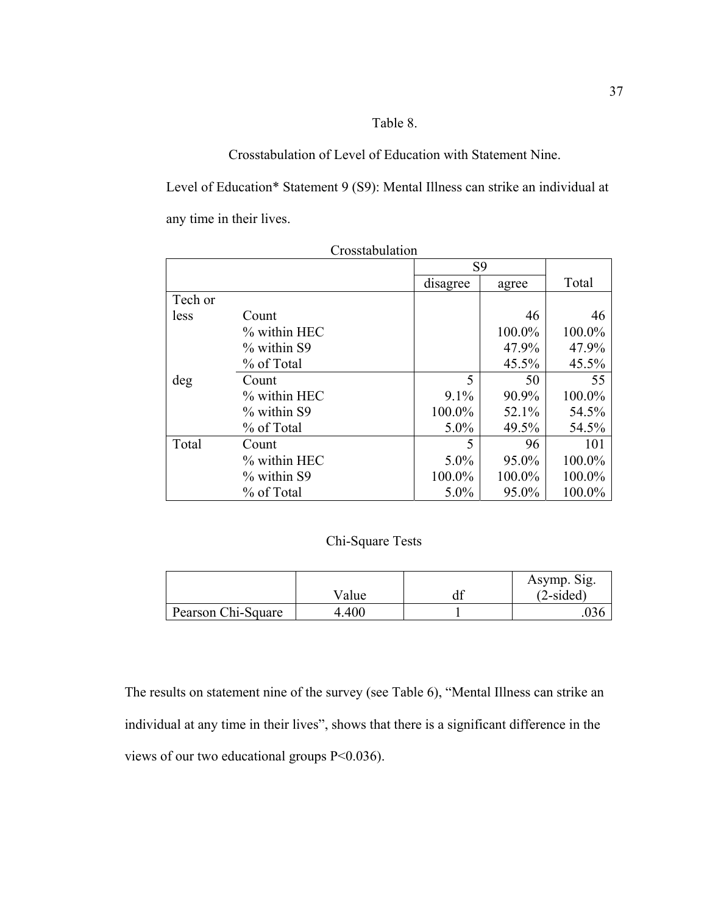## Table 8.

Crosstabulation of Level of Education with Statement Nine.

Level of Education\* Statement 9 (S9): Mental Illness can strike an individual at any time in their lives.

|         |              | S <sub>9</sub> |        |        |
|---------|--------------|----------------|--------|--------|
|         |              | disagree       | agree  | Total  |
| Tech or |              |                |        |        |
| less    | Count        |                | 46     | 46     |
|         | % within HEC |                | 100.0% | 100.0% |
|         | % within S9  |                | 47.9%  | 47.9%  |
|         | % of Total   |                | 45.5%  | 45.5%  |
| deg     | Count        | 5              | 50     | 55     |
|         | % within HEC | 9.1%           | 90.9%  | 100.0% |
|         | % within S9  | 100.0%         | 52.1%  | 54.5%  |
|         | % of Total   | $5.0\%$        | 49.5%  | 54.5%  |
| Total   | Count        | 5              | 96     | 101    |
|         | % within HEC | $5.0\%$        | 95.0%  | 100.0% |
|         | % within S9  | 100.0%         | 100.0% | 100.0% |
|         | % of Total   | 5.0%           | 95.0%  | 100.0% |

Crosstabulation

# Chi-Square Tests

|                    |       | Asymp. Sig. |
|--------------------|-------|-------------|
|                    | Value | $(2-sided)$ |
| Pearson Chi-Square | 4.400 |             |

The results on statement nine of the survey (see Table 6), "Mental Illness can strike an individual at any time in their lives", shows that there is a significant difference in the views of our two educational groups P<0.036).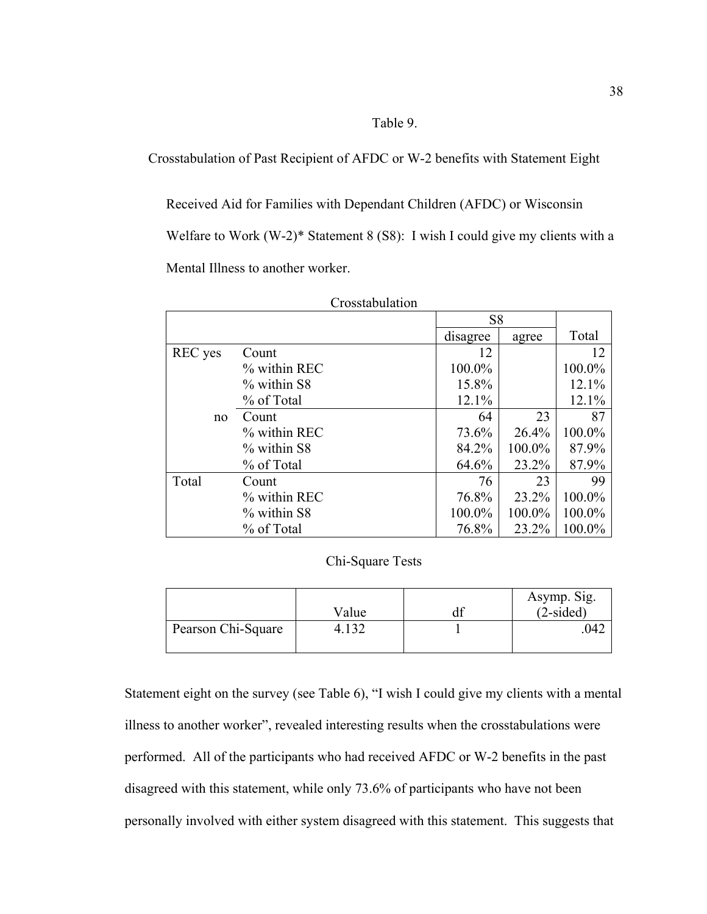### Table 9.

Crosstabulation of Past Recipient of AFDC or W-2 benefits with Statement Eight

Received Aid for Families with Dependant Children (AFDC) or Wisconsin Welfare to Work (W-2)\* Statement 8 (S8): I wish I could give my clients with a Mental Illness to another worker.

|                |                 | S <sub>8</sub> |        |        |
|----------------|-----------------|----------------|--------|--------|
|                |                 | disagree       | agree  | Total  |
| <b>REC</b> yes | Count           | 12             |        | 12     |
|                | $\%$ within REC | 100.0%         |        | 100.0% |
|                | % within S8     | 15.8%          |        | 12.1%  |
|                | % of Total      | 12.1%          |        | 12.1%  |
| no             | Count           | 64             | 23     | 87     |
|                | % within REC    | 73.6%          | 26.4%  | 100.0% |
|                | % within S8     | 84.2%          | 100.0% | 87.9%  |
|                | % of Total      | 64.6%          | 23.2%  | 87.9%  |
| Total          | Count           | 76             | 23     | 99     |
|                | % within REC    | 76.8%          | 23.2%  | 100.0% |
|                | % within S8     | 100.0%         | 100.0% | 100.0% |
|                | % of Total      | 76.8%          | 23.2%  | 100.0% |

Crosstabulation

### Chi-Square Tests

|                    | Value | Asymp. Sig.<br>$(2-sided)$ |
|--------------------|-------|----------------------------|
| Pearson Chi-Square |       | $\Delta$                   |

Statement eight on the survey (see Table 6), "I wish I could give my clients with a mental illness to another worker", revealed interesting results when the crosstabulations were performed. All of the participants who had received AFDC or W-2 benefits in the past disagreed with this statement, while only 73.6% of participants who have not been personally involved with either system disagreed with this statement. This suggests that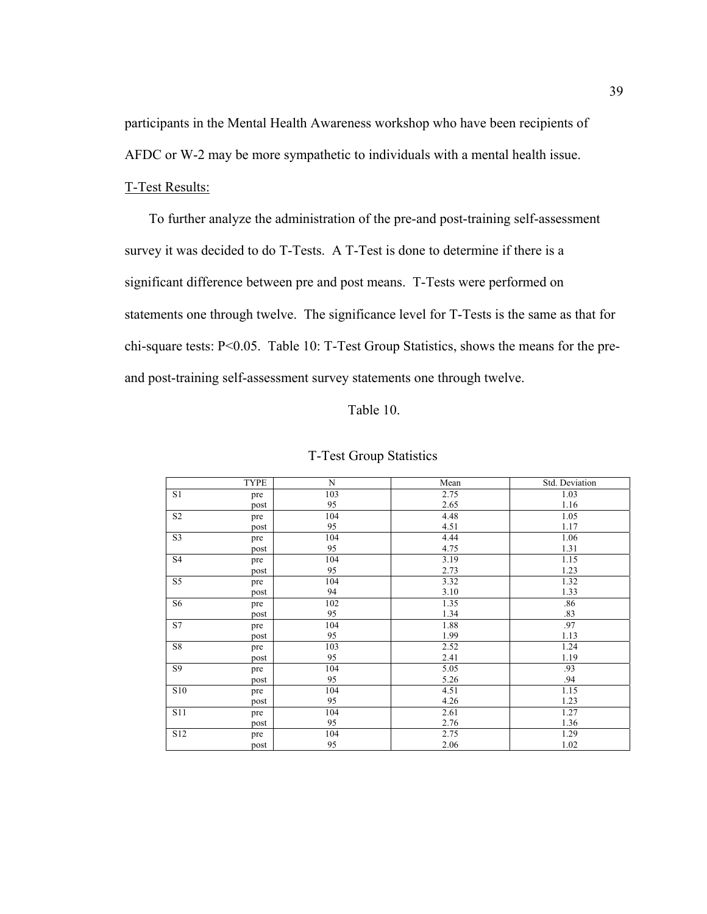participants in the Mental Health Awareness workshop who have been recipients of AFDC or W-2 may be more sympathetic to individuals with a mental health issue.

### T-Test Results:

 To further analyze the administration of the pre-and post-training self-assessment survey it was decided to do T-Tests. A T-Test is done to determine if there is a significant difference between pre and post means. T-Tests were performed on statements one through twelve. The significance level for T-Tests is the same as that for chi-square tests: P<0.05. Table 10: T-Test Group Statistics, shows the means for the preand post-training self-assessment survey statements one through twelve.

### Table 10.

|                 | <b>TYPE</b> | N   | Mean | Std. Deviation |
|-----------------|-------------|-----|------|----------------|
| S1              | pre         | 103 | 2.75 | 1.03           |
|                 | post        | 95  | 2.65 | 1.16           |
| $\rm S2$        | pre         | 104 | 4.48 | 1.05           |
|                 | post        | 95  | 4.51 | 1.17           |
| S <sub>3</sub>  | pre         | 104 | 4.44 | 1.06           |
|                 | post        | 95  | 4.75 | 1.31           |
| S <sub>4</sub>  | pre         | 104 | 3.19 | 1.15           |
|                 | post        | 95  | 2.73 | 1.23           |
| S <sub>5</sub>  | pre         | 104 | 3.32 | 1.32           |
|                 | post        | 94  | 3.10 | 1.33           |
| S <sub>6</sub>  | pre         | 102 | 1.35 | .86            |
|                 | post        | 95  | 1.34 | .83            |
| S7              | pre         | 104 | 1.88 | .97            |
|                 | post        | 95  | 1.99 | 1.13           |
| S8              | pre         | 103 | 2.52 | 1.24           |
|                 | post        | 95  | 2.41 | 1.19           |
| S9              | pre         | 104 | 5.05 | .93            |
|                 | post        | 95  | 5.26 | .94            |
| <b>S10</b>      | pre         | 104 | 4.51 | 1.15           |
|                 | post        | 95  | 4.26 | 1.23           |
| <b>S11</b>      | pre         | 104 | 2.61 | 1.27           |
|                 | post        | 95  | 2.76 | 1.36           |
| S <sub>12</sub> | pre         | 104 | 2.75 | 1.29           |
|                 | post        | 95  | 2.06 | 1.02           |

#### T-Test Group Statistics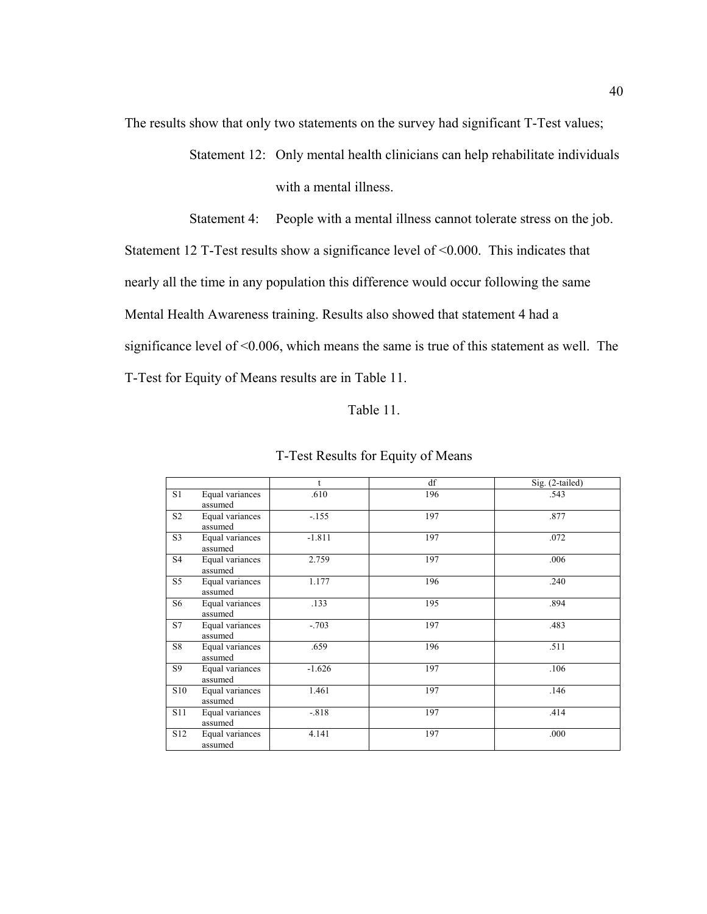The results show that only two statements on the survey had significant T-Test values;

Statement 12: Only mental health clinicians can help rehabilitate individuals with a mental illness.

Statement 4: People with a mental illness cannot tolerate stress on the job.

Statement 12 T-Test results show a significance level of <0.000. This indicates that nearly all the time in any population this difference would occur following the same Mental Health Awareness training. Results also showed that statement 4 had a significance level of <0.006, which means the same is true of this statement as well. The T-Test for Equity of Means results are in Table 11.

### Table 11.

|                 |                            | t        | df  | Sig. (2-tailed) |
|-----------------|----------------------------|----------|-----|-----------------|
| S1              | Equal variances<br>assumed | .610     | 196 | .543            |
| S <sub>2</sub>  | Equal variances<br>assumed | $-155$   | 197 | .877            |
| S <sub>3</sub>  | Equal variances<br>assumed | $-1.811$ | 197 | .072            |
| S <sub>4</sub>  | Equal variances<br>assumed | 2.759    | 197 | .006            |
| S <sub>5</sub>  | Equal variances<br>assumed | 1.177    | 196 | .240            |
| S6              | Equal variances<br>assumed | .133     | 195 | .894            |
| <b>S7</b>       | Equal variances<br>assumed | $-.703$  | 197 | .483            |
| S8              | Equal variances<br>assumed | .659     | 196 | .511            |
| S9              | Equal variances<br>assumed | $-1.626$ | 197 | .106            |
| S10             | Equal variances<br>assumed | 1.461    | 197 | .146            |
| <b>S11</b>      | Equal variances<br>assumed | $-.818$  | 197 | .414            |
| S <sub>12</sub> | Equal variances<br>assumed | 4.141    | 197 | .000            |

#### T-Test Results for Equity of Means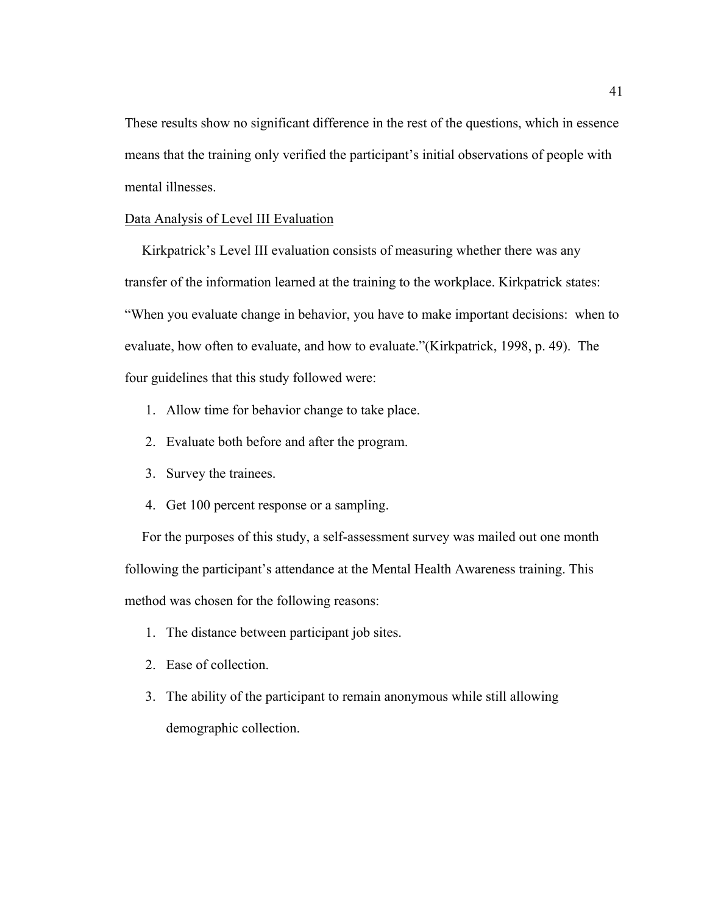These results show no significant difference in the rest of the questions, which in essence means that the training only verified the participant's initial observations of people with mental illnesses.

### Data Analysis of Level III Evaluation

 Kirkpatrick's Level III evaluation consists of measuring whether there was any transfer of the information learned at the training to the workplace. Kirkpatrick states: "When you evaluate change in behavior, you have to make important decisions: when to evaluate, how often to evaluate, and how to evaluate."(Kirkpatrick, 1998, p. 49). The four guidelines that this study followed were:

- 1. Allow time for behavior change to take place.
- 2. Evaluate both before and after the program.
- 3. Survey the trainees.
- 4. Get 100 percent response or a sampling.

 For the purposes of this study, a self-assessment survey was mailed out one month following the participant's attendance at the Mental Health Awareness training. This method was chosen for the following reasons:

- 1. The distance between participant job sites.
- 2. Ease of collection.
- 3. The ability of the participant to remain anonymous while still allowing demographic collection.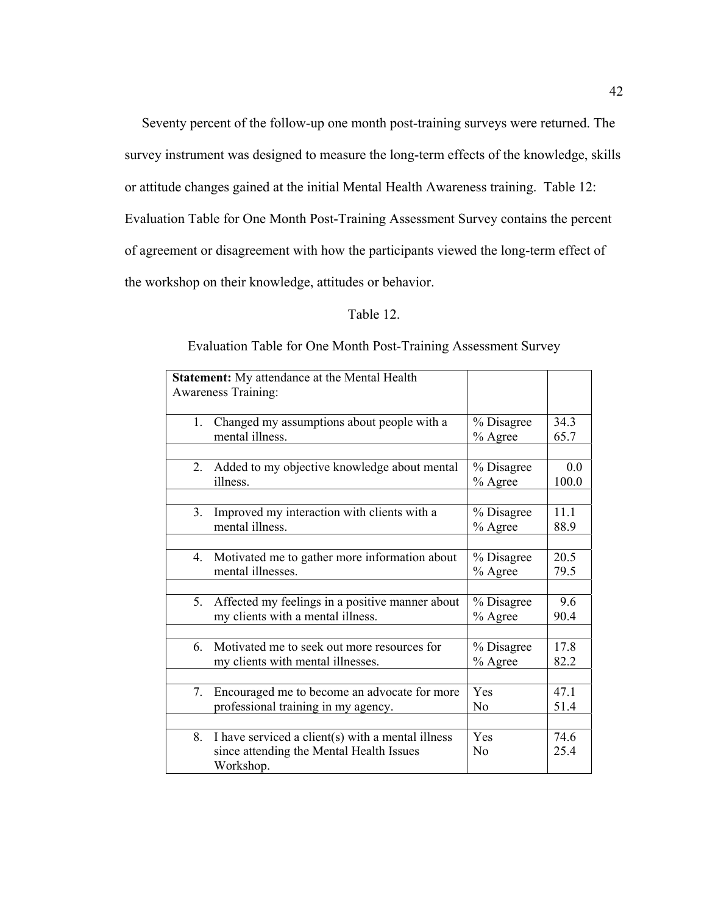Seventy percent of the follow-up one month post-training surveys were returned. The survey instrument was designed to measure the long-term effects of the knowledge, skills or attitude changes gained at the initial Mental Health Awareness training. Table 12: Evaluation Table for One Month Post-Training Assessment Survey contains the percent of agreement or disagreement with how the participants viewed the long-term effect of the workshop on their knowledge, attitudes or behavior.

### Table 12.

#### **Statement:** My attendance at the Mental Health Awareness Training: 1. Changed my assumptions about people with a mental illness. % Disagree % Agree 34.3 65.7 2. Added to my objective knowledge about mental illness. % Disagree % Agree 0.0 100.0 3. Improved my interaction with clients with a mental illness. % Disagree % Agree 11.1 88.9 4. Motivated me to gather more information about mental illnesses. % Disagree % Agree 20.5 79.5 5. Affected my feelings in a positive manner about my clients with a mental illness. % Disagree % Agree 9.6 90.4 6. Motivated me to seek out more resources for my clients with mental illnesses. % Disagree % Agree 17.8 82.2 7. Encouraged me to become an advocate for more professional training in my agency. Yes No 47.1 51.4 8. I have serviced a client(s) with a mental illness since attending the Mental Health Issues Workshop. Yes No 74.6 25.4

#### Evaluation Table for One Month Post-Training Assessment Survey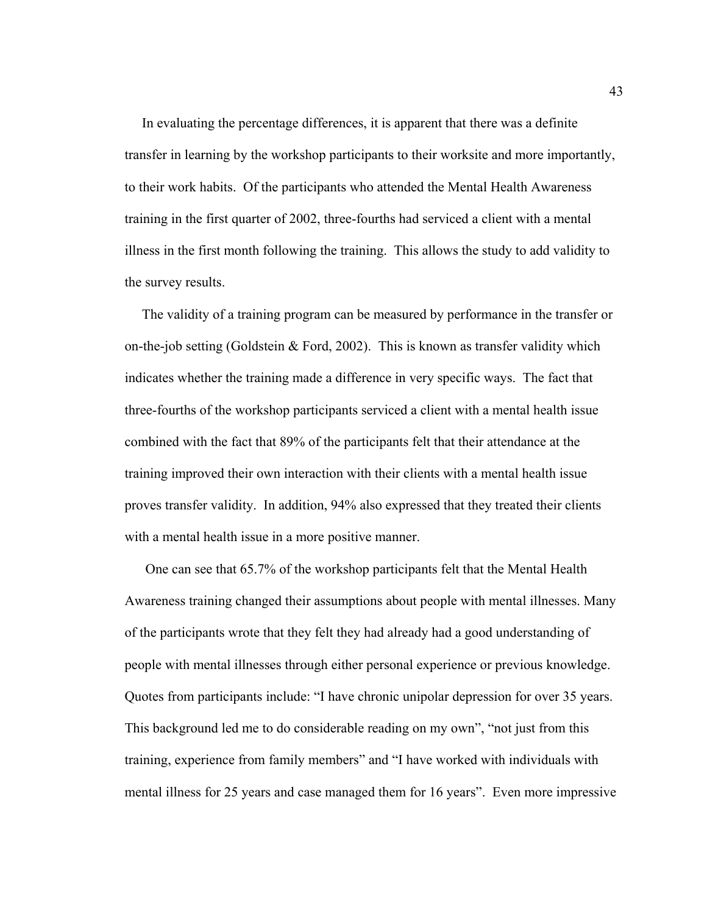In evaluating the percentage differences, it is apparent that there was a definite transfer in learning by the workshop participants to their worksite and more importantly, to their work habits. Of the participants who attended the Mental Health Awareness training in the first quarter of 2002, three-fourths had serviced a client with a mental illness in the first month following the training. This allows the study to add validity to the survey results.

 The validity of a training program can be measured by performance in the transfer or on-the-job setting (Goldstein & Ford, 2002). This is known as transfer validity which indicates whether the training made a difference in very specific ways. The fact that three-fourths of the workshop participants serviced a client with a mental health issue combined with the fact that 89% of the participants felt that their attendance at the training improved their own interaction with their clients with a mental health issue proves transfer validity. In addition, 94% also expressed that they treated their clients with a mental health issue in a more positive manner.

 One can see that 65.7% of the workshop participants felt that the Mental Health Awareness training changed their assumptions about people with mental illnesses. Many of the participants wrote that they felt they had already had a good understanding of people with mental illnesses through either personal experience or previous knowledge. Quotes from participants include: "I have chronic unipolar depression for over 35 years. This background led me to do considerable reading on my own", "not just from this training, experience from family members" and "I have worked with individuals with mental illness for 25 years and case managed them for 16 years". Even more impressive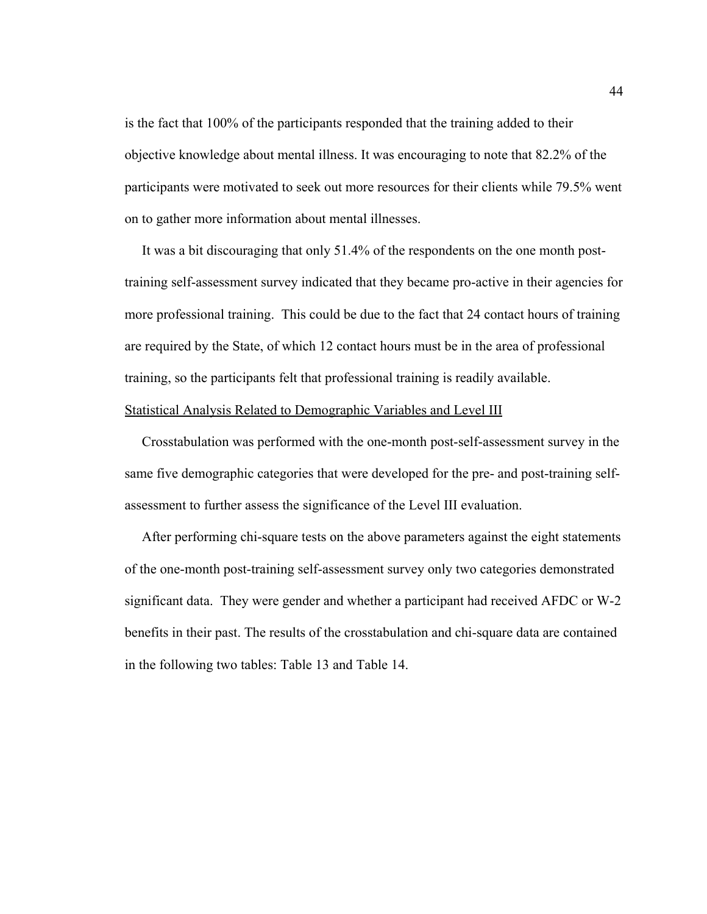is the fact that 100% of the participants responded that the training added to their objective knowledge about mental illness. It was encouraging to note that 82.2% of the participants were motivated to seek out more resources for their clients while 79.5% went on to gather more information about mental illnesses.

 It was a bit discouraging that only 51.4% of the respondents on the one month posttraining self-assessment survey indicated that they became pro-active in their agencies for more professional training. This could be due to the fact that 24 contact hours of training are required by the State, of which 12 contact hours must be in the area of professional training, so the participants felt that professional training is readily available.

### Statistical Analysis Related to Demographic Variables and Level III

 Crosstabulation was performed with the one-month post-self-assessment survey in the same five demographic categories that were developed for the pre- and post-training selfassessment to further assess the significance of the Level III evaluation.

 After performing chi-square tests on the above parameters against the eight statements of the one-month post-training self-assessment survey only two categories demonstrated significant data. They were gender and whether a participant had received AFDC or W-2 benefits in their past. The results of the crosstabulation and chi-square data are contained in the following two tables: Table 13 and Table 14.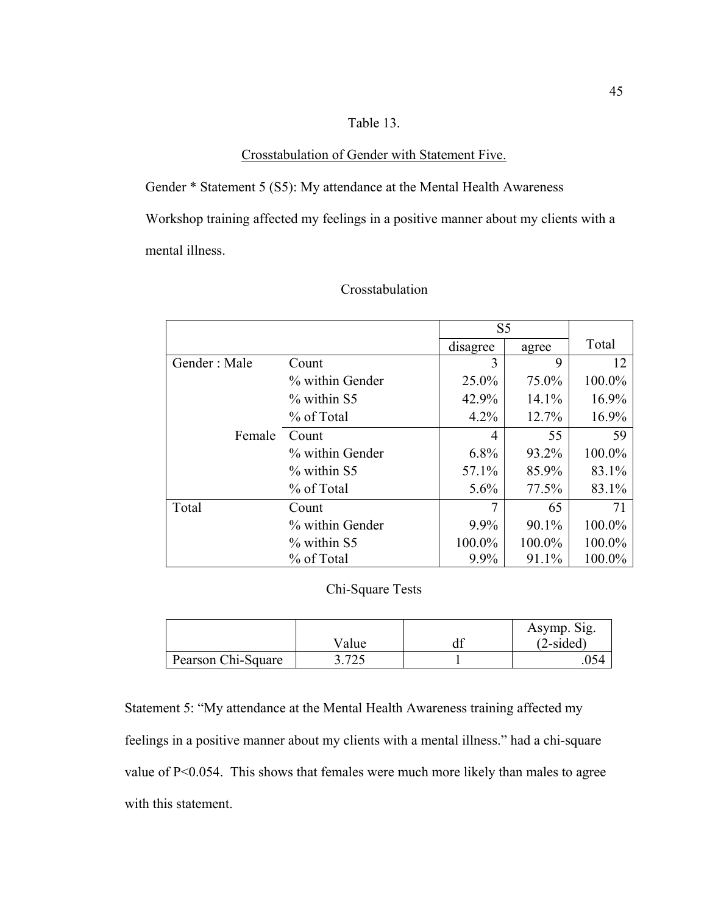## Table 13.

## Crosstabulation of Gender with Statement Five.

Gender \* Statement 5 (S5): My attendance at the Mental Health Awareness Workshop training affected my feelings in a positive manner about my clients with a mental illness.

|              |                 | S <sub>5</sub> |        |        |
|--------------|-----------------|----------------|--------|--------|
|              |                 | disagree       | agree  | Total  |
| Gender: Male | Count           | 3              | 9      | 12     |
|              | % within Gender | 25.0%          | 75.0%  | 100.0% |
|              | $\%$ within S5  | 42.9%          | 14.1%  | 16.9%  |
|              | % of Total      | 4.2%           | 12.7%  | 16.9%  |
| Female       | Count           | 4              | 55     | 59     |
|              | % within Gender | $6.8\%$        | 93.2%  | 100.0% |
|              | $\%$ within S5  | 57.1%          | 85.9%  | 83.1%  |
|              | % of Total      | $5.6\%$        | 77.5%  | 83.1%  |
| Total        | Count           | 7              | 65     | 71     |
|              | % within Gender | 9.9%           | 90.1%  | 100.0% |
|              | $\%$ within S5  | 100.0%         | 100.0% | 100.0% |
|              | % of Total      | 9.9%           | 91.1%  | 100.0% |

### Crosstabulation

## Chi-Square Tests

|                    |            | Asymp. Sig. |
|--------------------|------------|-------------|
|                    | Value      | $(2-sided)$ |
| Pearson Chi-Square | 705<br>ب ک | J54         |

Statement 5: "My attendance at the Mental Health Awareness training affected my feelings in a positive manner about my clients with a mental illness." had a chi-square value of P<0.054. This shows that females were much more likely than males to agree with this statement.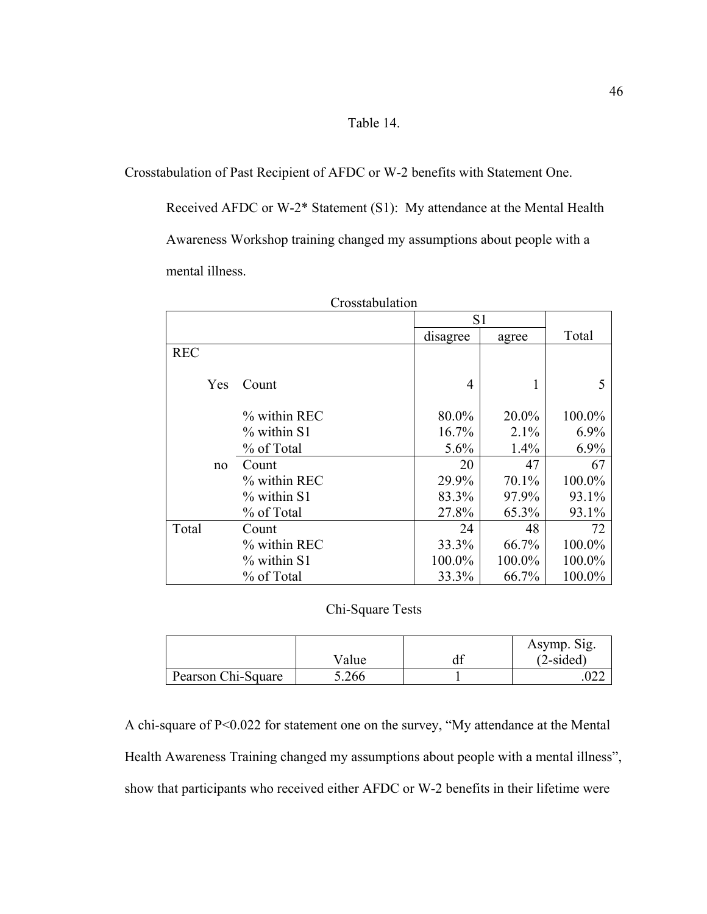## Table 14.

Crosstabulation of Past Recipient of AFDC or W-2 benefits with Statement One.

Received AFDC or W-2\* Statement (S1): My attendance at the Mental Health Awareness Workshop training changed my assumptions about people with a mental illness.

|            |               | S <sub>1</sub> |        |        |
|------------|---------------|----------------|--------|--------|
|            |               | disagree       | agree  | Total  |
| <b>REC</b> |               |                |        |        |
| Yes        | Count         | 4              |        | 5      |
|            | % within REC  | 80.0%          | 20.0%  | 100.0% |
|            | % within S1   | 16.7%          | 2.1%   | 6.9%   |
|            | % of Total    | 5.6%           | 1.4%   | 6.9%   |
| no         | Count         | 20             | 47     | 67     |
|            | % within REC  | 29.9%          | 70.1%  | 100.0% |
|            | $%$ within S1 | 83.3%          | 97.9%  | 93.1%  |
|            | % of Total    | 27.8%          | 65.3%  | 93.1%  |
| Total      | Count         | 24             | 48     | 72     |
|            | % within REC  | 33.3%          | 66.7%  | 100.0% |
|            | $%$ within S1 | 100.0%         | 100.0% | 100.0% |
|            | % of Total    | 33.3%          | 66.7%  | 100.0% |

| Crosstabulation |  |  |
|-----------------|--|--|
|                 |  |  |

## Chi-Square Tests

|                    |       | Asymp. Sig. |
|--------------------|-------|-------------|
|                    | Value | $(2-sided)$ |
| Pearson Chi-Square | 5.266 | ∪∠∠         |

A chi-square of P<0.022 for statement one on the survey, "My attendance at the Mental Health Awareness Training changed my assumptions about people with a mental illness", show that participants who received either AFDC or W-2 benefits in their lifetime were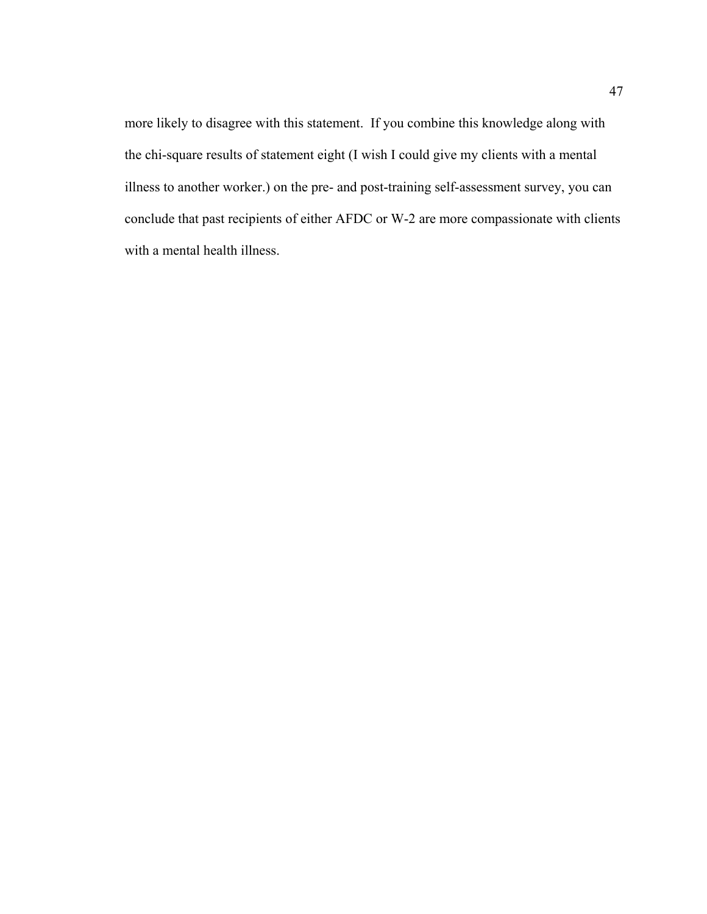more likely to disagree with this statement. If you combine this knowledge along with the chi-square results of statement eight (I wish I could give my clients with a mental illness to another worker.) on the pre- and post-training self-assessment survey, you can conclude that past recipients of either AFDC or W-2 are more compassionate with clients with a mental health illness.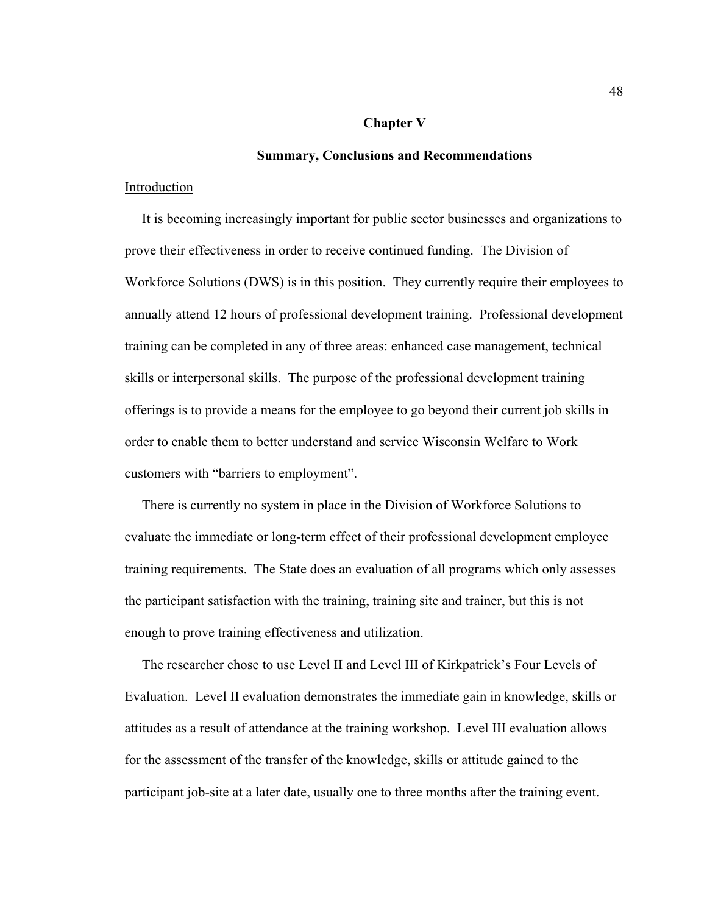#### **Chapter V**

#### **Summary, Conclusions and Recommendations**

#### Introduction

 It is becoming increasingly important for public sector businesses and organizations to prove their effectiveness in order to receive continued funding. The Division of Workforce Solutions (DWS) is in this position. They currently require their employees to annually attend 12 hours of professional development training. Professional development training can be completed in any of three areas: enhanced case management, technical skills or interpersonal skills. The purpose of the professional development training offerings is to provide a means for the employee to go beyond their current job skills in order to enable them to better understand and service Wisconsin Welfare to Work customers with "barriers to employment".

 There is currently no system in place in the Division of Workforce Solutions to evaluate the immediate or long-term effect of their professional development employee training requirements. The State does an evaluation of all programs which only assesses the participant satisfaction with the training, training site and trainer, but this is not enough to prove training effectiveness and utilization.

 The researcher chose to use Level II and Level III of Kirkpatrick's Four Levels of Evaluation. Level II evaluation demonstrates the immediate gain in knowledge, skills or attitudes as a result of attendance at the training workshop. Level III evaluation allows for the assessment of the transfer of the knowledge, skills or attitude gained to the participant job-site at a later date, usually one to three months after the training event.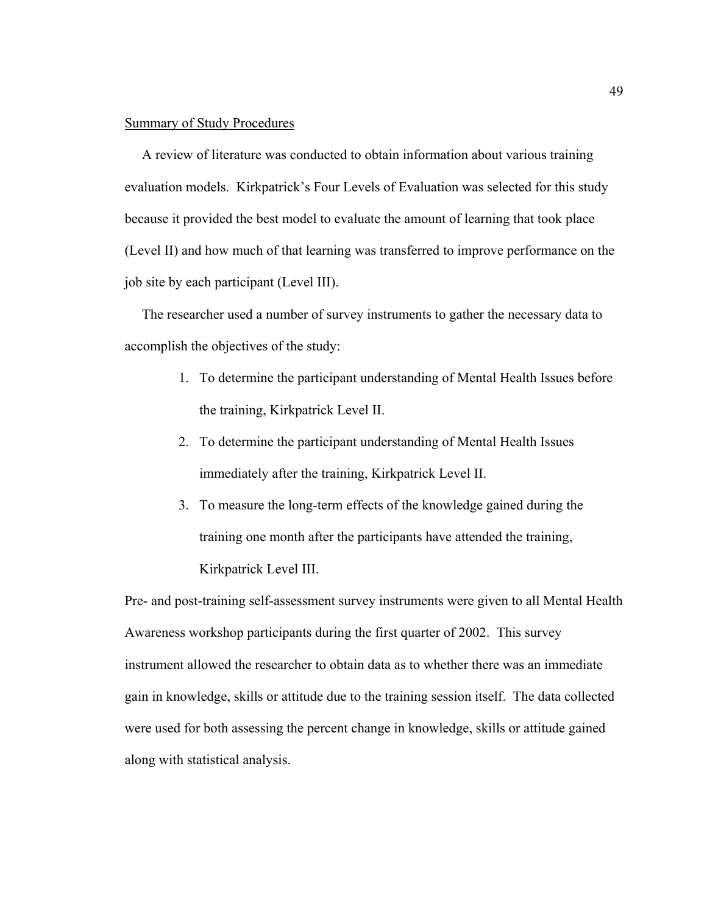### Summary of Study Procedures

 A review of literature was conducted to obtain information about various training evaluation models. Kirkpatrick's Four Levels of Evaluation was selected for this study because it provided the best model to evaluate the amount of learning that took place (Level II) and how much of that learning was transferred to improve performance on the job site by each participant (Level III).

 The researcher used a number of survey instruments to gather the necessary data to accomplish the objectives of the study:

- 1. To determine the participant understanding of Mental Health Issues before the training, Kirkpatrick Level II.
- 2. To determine the participant understanding of Mental Health Issues immediately after the training, Kirkpatrick Level II.
- 3. To measure the long-term effects of the knowledge gained during the training one month after the participants have attended the training, Kirkpatrick Level III.

Pre- and post-training self-assessment survey instruments were given to all Mental Health Awareness workshop participants during the first quarter of 2002. This survey instrument allowed the researcher to obtain data as to whether there was an immediate gain in knowledge, skills or attitude due to the training session itself. The data collected were used for both assessing the percent change in knowledge, skills or attitude gained along with statistical analysis.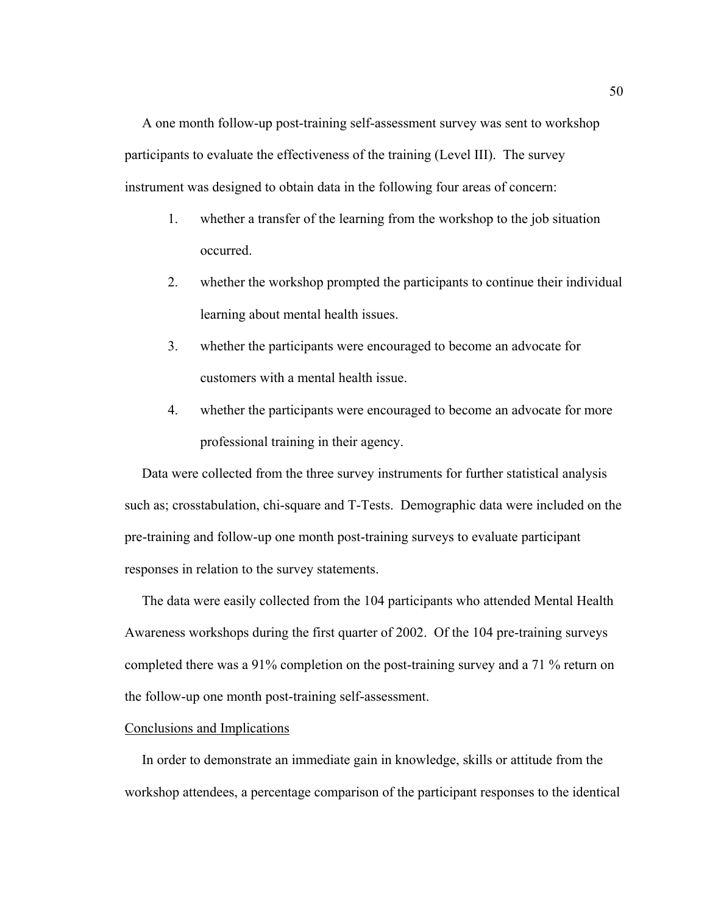A one month follow-up post-training self-assessment survey was sent to workshop participants to evaluate the effectiveness of the training (Level III). The survey instrument was designed to obtain data in the following four areas of concern:

- 1. whether a transfer of the learning from the workshop to the job situation occurred.
- 2. whether the workshop prompted the participants to continue their individual learning about mental health issues.
- 3. whether the participants were encouraged to become an advocate for customers with a mental health issue.
- 4. whether the participants were encouraged to become an advocate for more professional training in their agency.

 Data were collected from the three survey instruments for further statistical analysis such as; crosstabulation, chi-square and T-Tests. Demographic data were included on the pre-training and follow-up one month post-training surveys to evaluate participant responses in relation to the survey statements.

 The data were easily collected from the 104 participants who attended Mental Health Awareness workshops during the first quarter of 2002. Of the 104 pre-training surveys completed there was a 91% completion on the post-training survey and a 71 % return on the follow-up one month post-training self-assessment.

### Conclusions and Implications

 In order to demonstrate an immediate gain in knowledge, skills or attitude from the workshop attendees, a percentage comparison of the participant responses to the identical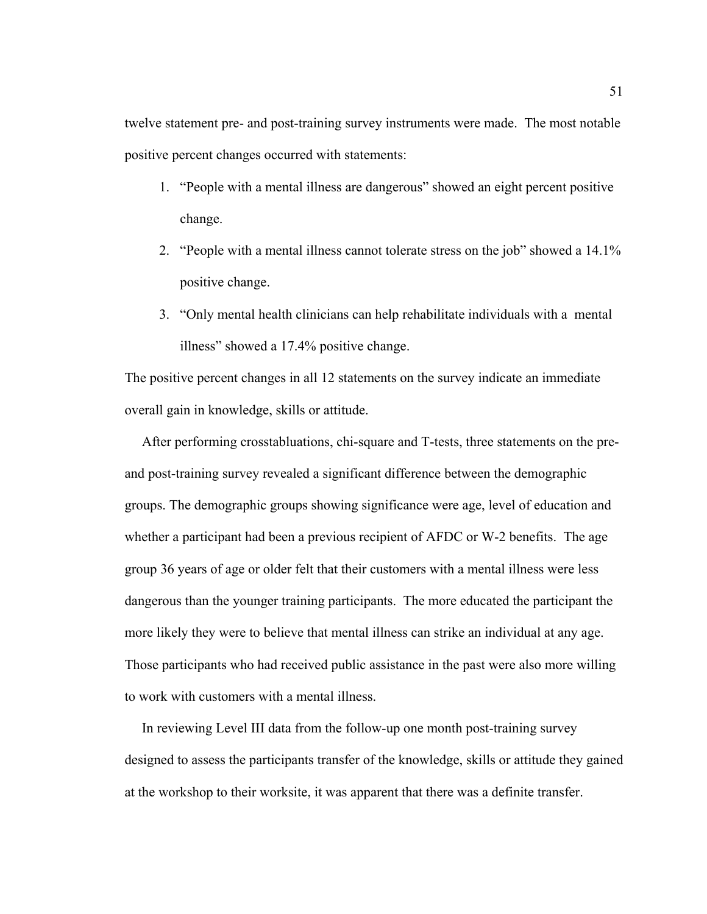twelve statement pre- and post-training survey instruments were made. The most notable positive percent changes occurred with statements:

- 1. "People with a mental illness are dangerous" showed an eight percent positive change.
- 2. "People with a mental illness cannot tolerate stress on the job" showed a 14.1% positive change.
- 3. "Only mental health clinicians can help rehabilitate individuals with a mental illness" showed a 17.4% positive change.

The positive percent changes in all 12 statements on the survey indicate an immediate overall gain in knowledge, skills or attitude.

 After performing crosstabluations, chi-square and T-tests, three statements on the preand post-training survey revealed a significant difference between the demographic groups. The demographic groups showing significance were age, level of education and whether a participant had been a previous recipient of AFDC or W-2 benefits. The age group 36 years of age or older felt that their customers with a mental illness were less dangerous than the younger training participants. The more educated the participant the more likely they were to believe that mental illness can strike an individual at any age. Those participants who had received public assistance in the past were also more willing to work with customers with a mental illness.

 In reviewing Level III data from the follow-up one month post-training survey designed to assess the participants transfer of the knowledge, skills or attitude they gained at the workshop to their worksite, it was apparent that there was a definite transfer.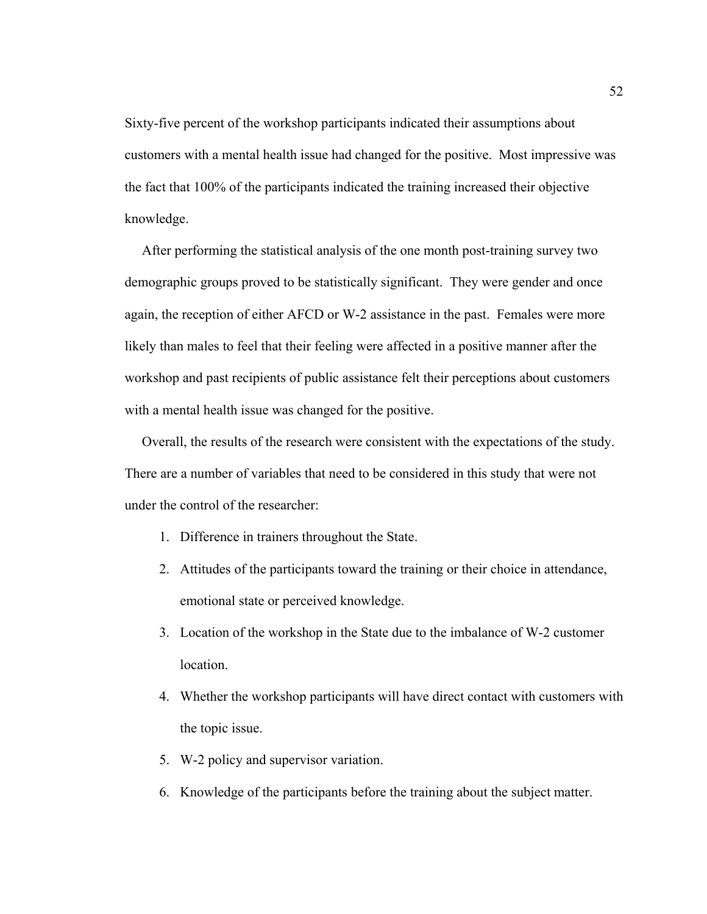Sixty-five percent of the workshop participants indicated their assumptions about customers with a mental health issue had changed for the positive. Most impressive was the fact that 100% of the participants indicated the training increased their objective knowledge.

 After performing the statistical analysis of the one month post-training survey two demographic groups proved to be statistically significant. They were gender and once again, the reception of either AFCD or W-2 assistance in the past. Females were more likely than males to feel that their feeling were affected in a positive manner after the workshop and past recipients of public assistance felt their perceptions about customers with a mental health issue was changed for the positive.

 Overall, the results of the research were consistent with the expectations of the study. There are a number of variables that need to be considered in this study that were not under the control of the researcher:

- 1. Difference in trainers throughout the State.
- 2. Attitudes of the participants toward the training or their choice in attendance, emotional state or perceived knowledge.
- 3. Location of the workshop in the State due to the imbalance of W-2 customer location.
- 4. Whether the workshop participants will have direct contact with customers with the topic issue.
- 5. W-2 policy and supervisor variation.
- 6. Knowledge of the participants before the training about the subject matter.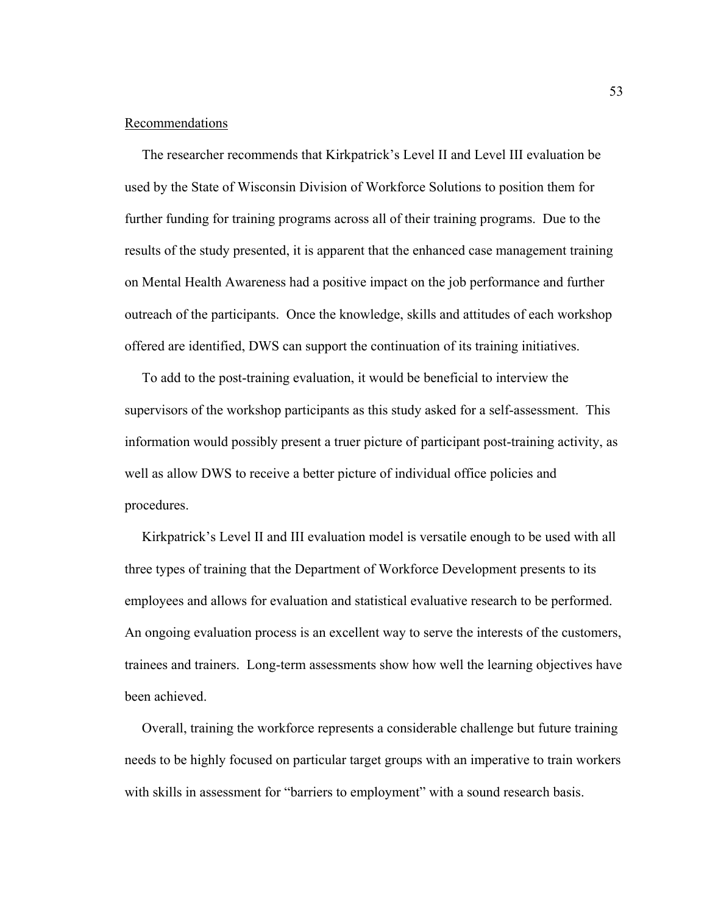### Recommendations

 The researcher recommends that Kirkpatrick's Level II and Level III evaluation be used by the State of Wisconsin Division of Workforce Solutions to position them for further funding for training programs across all of their training programs. Due to the results of the study presented, it is apparent that the enhanced case management training on Mental Health Awareness had a positive impact on the job performance and further outreach of the participants. Once the knowledge, skills and attitudes of each workshop offered are identified, DWS can support the continuation of its training initiatives.

 To add to the post-training evaluation, it would be beneficial to interview the supervisors of the workshop participants as this study asked for a self-assessment. This information would possibly present a truer picture of participant post-training activity, as well as allow DWS to receive a better picture of individual office policies and procedures.

 Kirkpatrick's Level II and III evaluation model is versatile enough to be used with all three types of training that the Department of Workforce Development presents to its employees and allows for evaluation and statistical evaluative research to be performed. An ongoing evaluation process is an excellent way to serve the interests of the customers, trainees and trainers. Long-term assessments show how well the learning objectives have been achieved.

 Overall, training the workforce represents a considerable challenge but future training needs to be highly focused on particular target groups with an imperative to train workers with skills in assessment for "barriers to employment" with a sound research basis.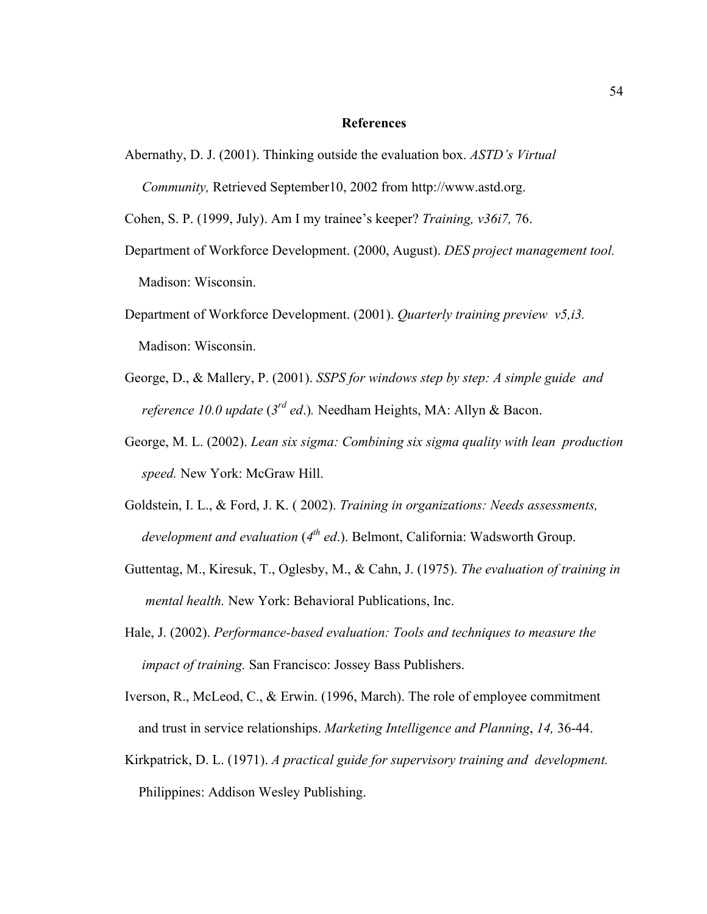#### **References**

Abernathy, D. J. (2001). Thinking outside the evaluation box. *ASTD's Virtual Community,* Retrieved September10, 2002 from http://www.astd.org.

Cohen, S. P. (1999, July). Am I my trainee's keeper? *Training, v36i7,* 76.

- Department of Workforce Development. (2000, August). *DES project management tool.* Madison: Wisconsin.
- Department of Workforce Development. (2001). *Quarterly training preview v5,i3.* Madison: Wisconsin.
- George, D., & Mallery, P. (2001). *SSPS for windows step by step: A simple guide and reference 10.0 update* (*3rd ed*.)*.* Needham Heights, MA: Allyn & Bacon.
- George, M. L. (2002). *Lean six sigma: Combining six sigma quality with lean production speed.* New York: McGraw Hill.
- Goldstein, I. L., & Ford, J. K. ( 2002). *Training in organizations: Needs assessments, development and evaluation* (4<sup>th</sup> ed.). Belmont, California: Wadsworth Group.
- Guttentag, M., Kiresuk, T., Oglesby, M., & Cahn, J. (1975). *The evaluation of training in mental health.* New York: Behavioral Publications, Inc.
- Hale, J. (2002). *Performance-based evaluation: Tools and techniques to measure the impact of training.* San Francisco: Jossey Bass Publishers.
- Iverson, R., McLeod, C., & Erwin. (1996, March). The role of employee commitment and trust in service relationships. *Marketing Intelligence and Planning*, *14,* 36-44.
- Kirkpatrick, D. L. (1971). *A practical guide for supervisory training and development.*  Philippines: Addison Wesley Publishing.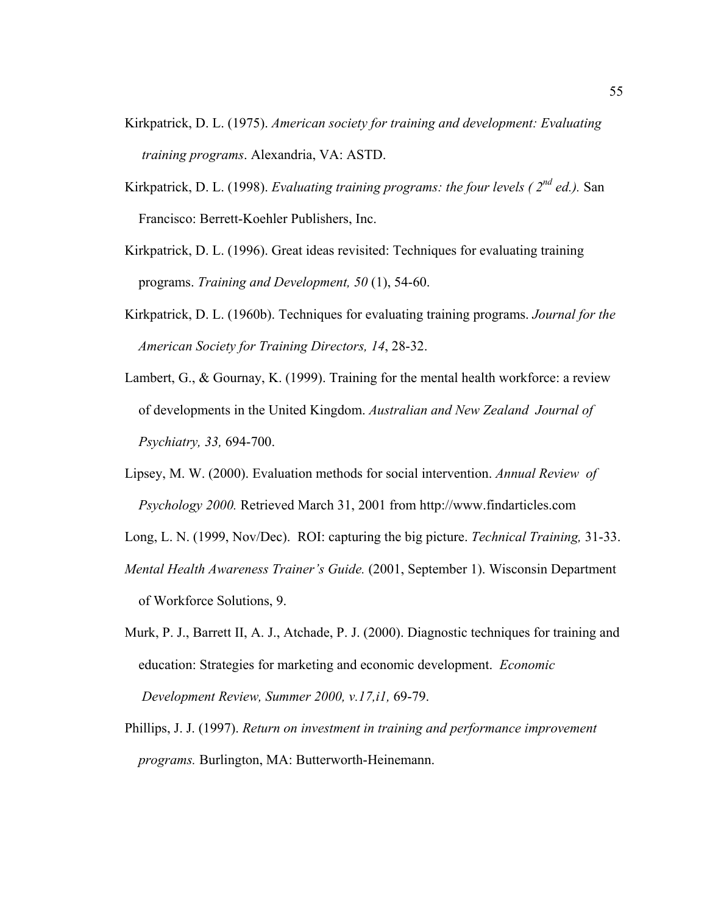- Kirkpatrick, D. L. (1975). *American society for training and development: Evaluating training programs*. Alexandria, VA: ASTD.
- Kirkpatrick, D. L. (1998). *Evaluating training programs: the four levels ( 2nd ed.).* San Francisco: Berrett-Koehler Publishers, Inc.
- Kirkpatrick, D. L. (1996). Great ideas revisited: Techniques for evaluating training programs. *Training and Development, 50* (1), 54-60.
- Kirkpatrick, D. L. (1960b). Techniques for evaluating training programs. *Journal for the American Society for Training Directors, 14*, 28-32.
- Lambert, G., & Gournay, K. (1999). Training for the mental health workforce: a review of developments in the United Kingdom. *Australian and New Zealand Journal of Psychiatry, 33,* 694-700.
- Lipsey, M. W. (2000). Evaluation methods for social intervention. *Annual Review of Psychology 2000.* Retrieved March 31, 2001 from http://www.findarticles.com
- Long, L. N. (1999, Nov/Dec). ROI: capturing the big picture. *Technical Training,* 31-33.
- *Mental Health Awareness Trainer's Guide.* (2001, September 1). Wisconsin Department of Workforce Solutions, 9.
- Murk, P. J., Barrett II, A. J., Atchade, P. J. (2000). Diagnostic techniques for training and education: Strategies for marketing and economic development. *Economic Development Review, Summer 2000, v.17,i1,* 69-79.
- Phillips, J. J. (1997). *Return on investment in training and performance improvement programs.* Burlington, MA: Butterworth-Heinemann.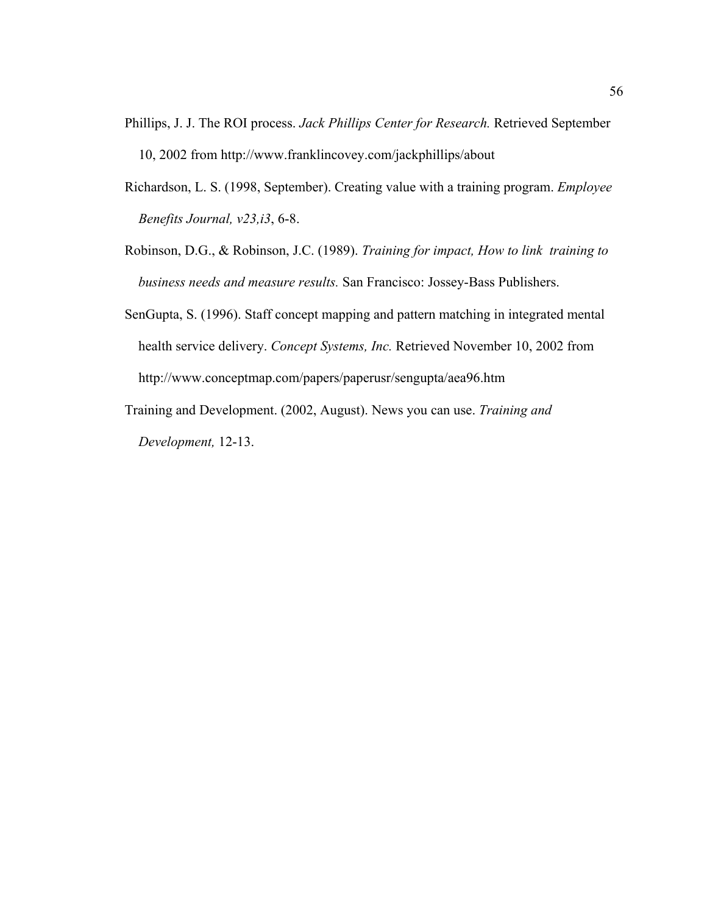- Phillips, J. J. The ROI process. *Jack Phillips Center for Research.* Retrieved September 10, 2002 from <http://www.franklincovey.com/jackphillips/about>
- Richardson, L. S. (1998, September). Creating value with a training program. *Employee Benefits Journal, v23,i3*, 6-8.
- Robinson, D.G., & Robinson, J.C. (1989). *Training for impact, How to link training to business needs and measure results.* San Francisco: Jossey-Bass Publishers.
- SenGupta, S. (1996). Staff concept mapping and pattern matching in integrated mental health service delivery. *Concept Systems, Inc.* Retrieved November 10, 2002 from http://www.conceptmap.com/papers/paperusr/sengupta/aea96.htm
- Training and Development. (2002, August). News you can use. *Training and Development,* 12-13.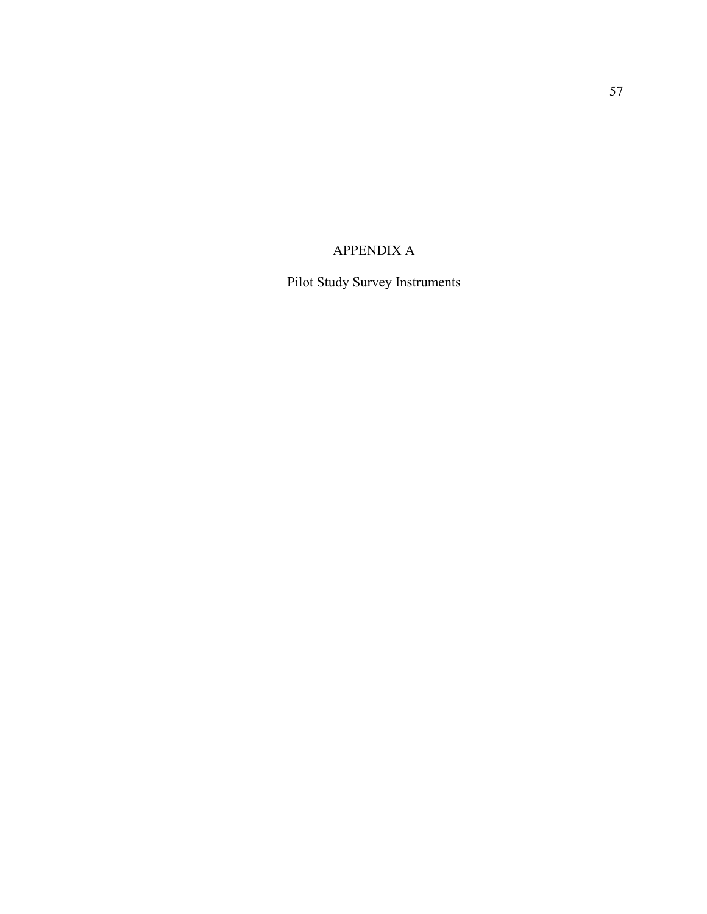# APPENDIX A

Pilot Study Survey Instruments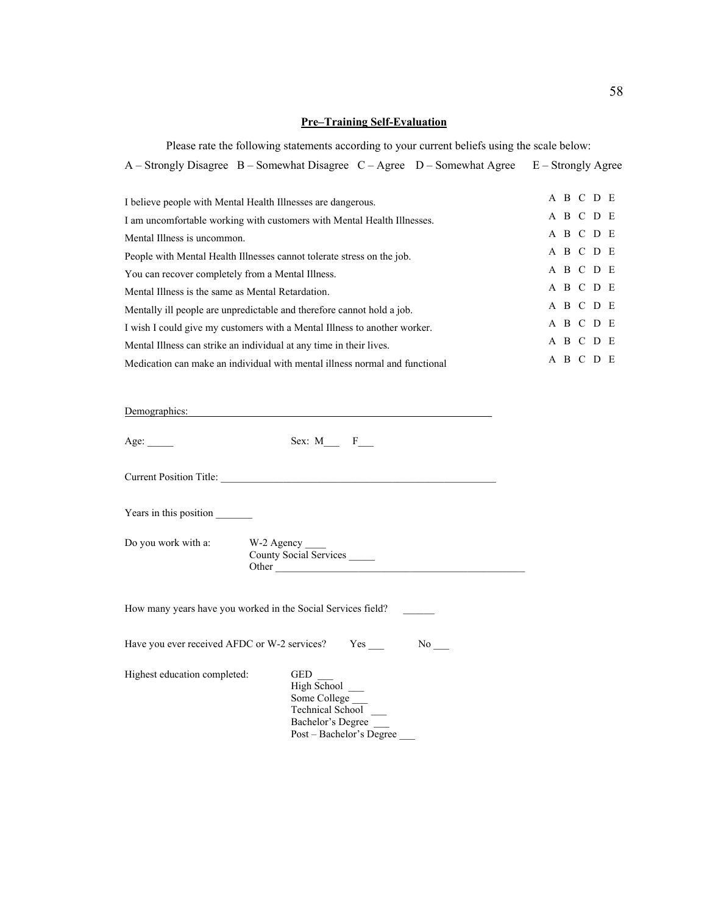### **Pre–Training Self-Evaluation**

Please rate the following statements according to your current beliefs using the scale below:

A – Strongly Disagree B – Somewhat Disagree C – Agree D – Somewhat Agree E – Strongly Agree

| I believe people with Mental Health Illnesses are dangerous.                |  | A B C D E |  |
|-----------------------------------------------------------------------------|--|-----------|--|
| I am uncomfortable working with customers with Mental Health Illnesses.     |  | A B C D E |  |
| Mental Illness is uncommon.                                                 |  | A B C D E |  |
| People with Mental Health Illnesses cannot tolerate stress on the job.      |  | A B C D E |  |
| You can recover completely from a Mental Illness.                           |  | A B C D E |  |
| Mental Illness is the same as Mental Retardation.                           |  | A B C D E |  |
| Mentally ill people are unpredictable and therefore cannot hold a job.      |  | A B C D E |  |
| I wish I could give my customers with a Mental Illness to another worker.   |  | A B C D E |  |
| Mental Illness can strike an individual at any time in their lives.         |  | A B C D E |  |
| Medication can make an individual with mental illness normal and functional |  | A B C D E |  |

Demographics:

| Age: $\_\_$                           | Sex: $M_{\_\_\}$ F_                                                                                                   |
|---------------------------------------|-----------------------------------------------------------------------------------------------------------------------|
|                                       |                                                                                                                       |
| Years in this position                |                                                                                                                       |
| Do you work with a: W-2 Agency ______ | County Social Services                                                                                                |
|                                       | How many years have you worked in the Social Services field?                                                          |
|                                       | Have you ever received AFDC or W-2 services? Yes<br>$No$ <sub>___</sub>                                               |
| Highest education completed:          | GED<br><b>High School</b><br>Some College<br><b>Technical School</b><br>Bachelor's Degree<br>Post – Bachelor's Degree |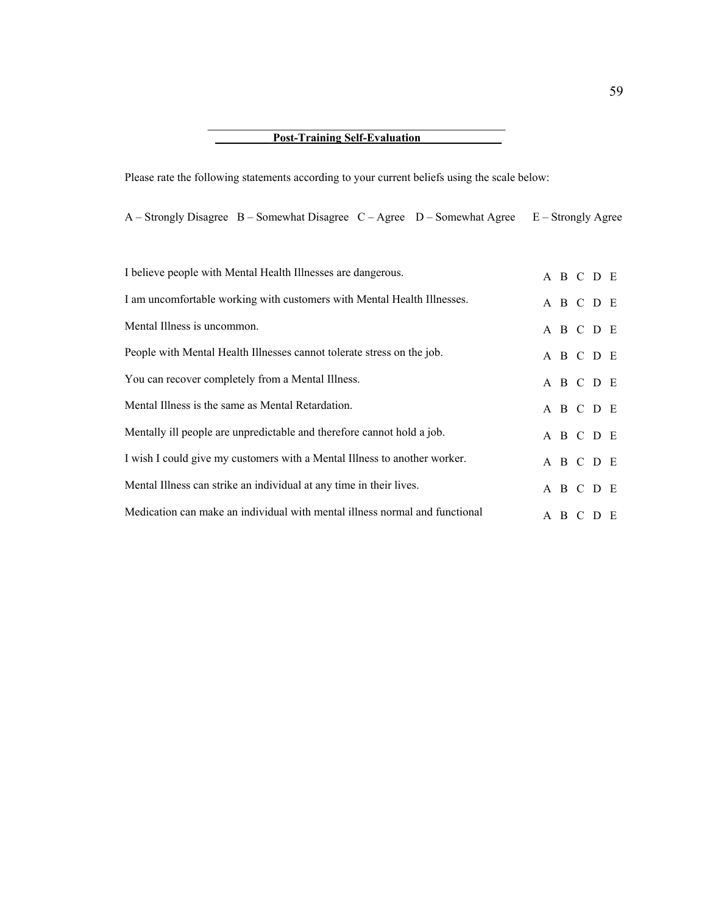## Post-Training Self-Evaluation

Please rate the following statements according to your current beliefs using the scale below:

A – Strongly Disagree B – Somewhat Disagree C – Agree D – Somewhat Agree E – Strongly Agree

| I believe people with Mental Health Illnesses are dangerous.                |  | A B C D E |  |
|-----------------------------------------------------------------------------|--|-----------|--|
| I am uncomfortable working with customers with Mental Health Illnesses.     |  | A B C D E |  |
| Mental Illness is uncommon.                                                 |  | A B C D E |  |
| People with Mental Health Illnesses cannot tolerate stress on the job.      |  | A B C D E |  |
| You can recover completely from a Mental Illness.                           |  | A B C D E |  |
| Mental Illness is the same as Mental Retardation.                           |  | A B C D E |  |
| Mentally ill people are unpredictable and therefore cannot hold a job.      |  | A B C D E |  |
| I wish I could give my customers with a Mental Illness to another worker.   |  | A B C D E |  |
| Mental Illness can strike an individual at any time in their lives.         |  | A B C D E |  |
| Medication can make an individual with mental illness normal and functional |  | A B C D E |  |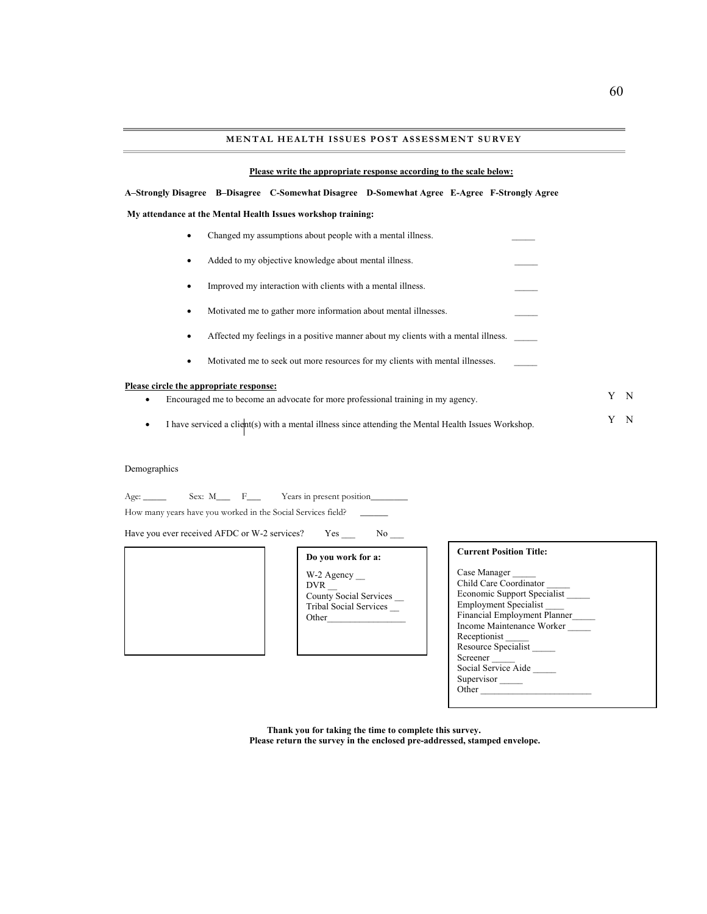#### **Please write the appropriate response according to the scale below:**

**A–Strongly Disagree B–Disagree C-Somewhat Disagree D-Somewhat Agree E-Agree F-Strongly Agree** 

 **My attendance at the Mental Health Issues workshop training:** 

- Changed my assumptions about people with a mental illness.
- Added to my objective knowledge about mental illness.
- Improved my interaction with clients with a mental illness.
- Motivated me to gather more information about mental illnesses.
- Affected my feelings in a positive manner about my clients with a mental illness.
- Motivated me to seek out more resources for my clients with mental illnesses.

#### **Please circle the appropriate response:**

- Encouraged me to become an advocate for more professional training in my agency.
- I have serviced a client(s) with a mental illness since attending the Mental Health Issues Workshop.

#### Demographics

Age: \_\_\_\_\_ Sex: M\_\_\_ F\_\_\_ Years in present position\_\_\_\_\_\_\_\_

How many years have you worked in the Social Services field?

Have you ever received AFDC or W-2 services? Yes \_\_\_ No \_\_

|  | Do you work for a:                                                                       |
|--|------------------------------------------------------------------------------------------|
|  | W-2 Agency_<br><b>DVR</b><br>County Social Servi<br><b>Tribal Social Servic</b><br>Other |
|  |                                                                                          |

W-2 Agency \_\_ DVR \_\_ County Social Services \_\_ Tribal Social Services \_\_ Other\_\_\_\_\_\_\_\_\_\_\_\_\_\_\_\_\_

#### **Current Position Title:**

| Case Manager                        |  |
|-------------------------------------|--|
| Child Care Coordinator              |  |
| Economic Support Specialist         |  |
| <b>Employment Specialist</b>        |  |
| <b>Financial Employment Planner</b> |  |
| Income Maintenance Worker           |  |
| Receptionist                        |  |
| Resource Specialist                 |  |
| Screener                            |  |
| Social Service Aide                 |  |
| Supervisor                          |  |
| Other                               |  |

**Thank you for taking the time to complete this survey. Please return the survey in the enclosed pre-addressed, stamped envelope.** Y N

Y N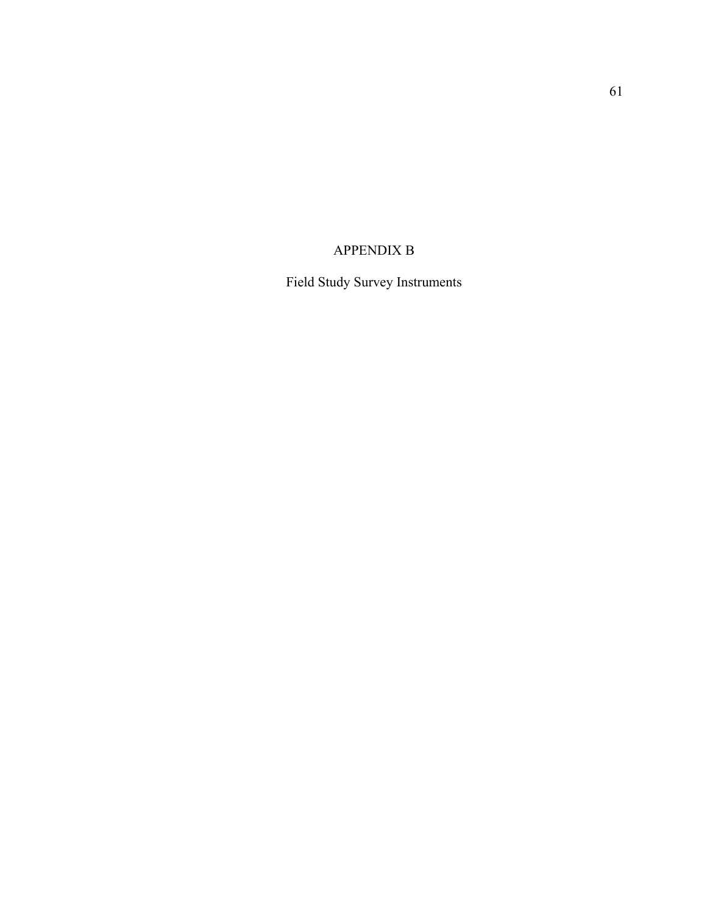# APPENDIX B

Field Study Survey Instruments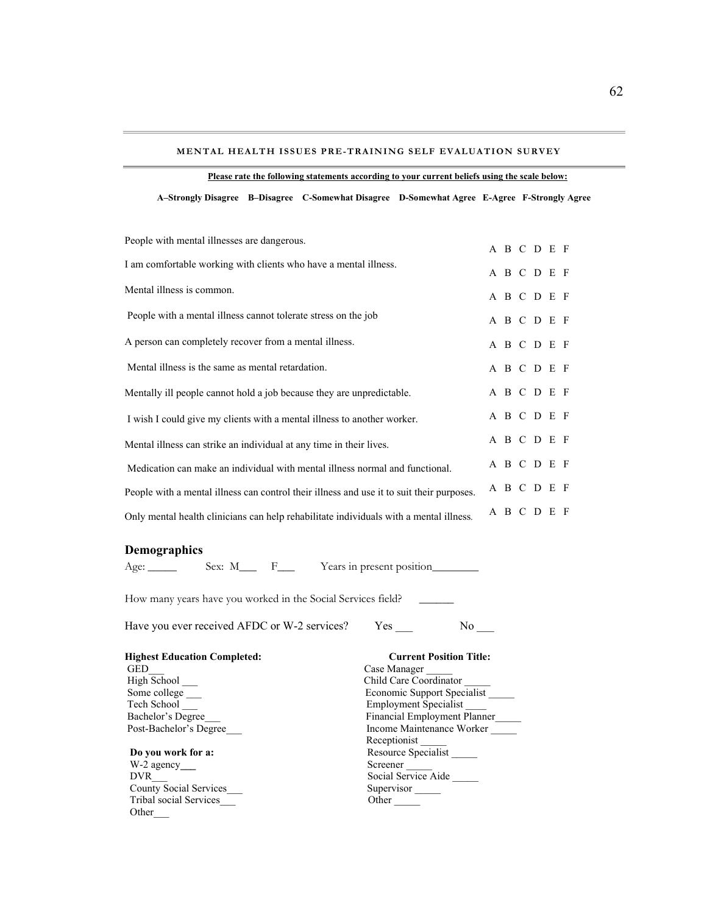#### **MENTAL HEALTH I SSUES PRE-TRAINING SELF EVALUATION SURVEY**

**A–Strongly Disagree B–Disagree C-Somewhat Disagree D-Somewhat Agree E-Agree F-Strongly Agree** 

| People with mental illnesses are dangerous.                                               |  | A B C D E F |  |
|-------------------------------------------------------------------------------------------|--|-------------|--|
| I am comfortable working with clients who have a mental illness.                          |  | A B C D E F |  |
| Mental illness is common.                                                                 |  |             |  |
|                                                                                           |  | A B C D E F |  |
| People with a mental illness cannot tolerate stress on the job                            |  | A B C D E F |  |
| A person can completely recover from a mental illness.                                    |  | A B C D E F |  |
| Mental illness is the same as mental retardation.                                         |  | A B C D E F |  |
| Mentally ill people cannot hold a job because they are unpredictable.                     |  | A B C D E F |  |
| I wish I could give my clients with a mental illness to another worker.                   |  | A B C D E F |  |
| Mental illness can strike an individual at any time in their lives.                       |  | A B C D E F |  |
| Medication can make an individual with mental illness normal and functional.              |  | A B C D E F |  |
| People with a mental illness can control their illness and use it to suit their purposes. |  | A B C D E F |  |
| Only mental health clinicians can help rehabilitate individuals with a mental illness.    |  | A B C D E F |  |

#### **Demographics**

Other\_\_\_

Age: \_\_\_\_\_ Sex: M\_\_\_ F\_\_\_ Years in present position\_\_\_\_\_\_\_\_

How many years have you worked in the Social Services field?

Have you ever received AFDC or W-2 services? Yes \_\_\_\_ No \_\_\_

| <b>Highest Education Completed:</b> | <b>Current Position Title:</b> |
|-------------------------------------|--------------------------------|
| <b>GED</b>                          | Case Manager                   |
| High School                         | Child Care Coordinator         |
| Some college                        | Economic Support Specialist    |
| Tech School                         | <b>Employment Specialist</b>   |
| Bachelor's Degree                   | Financial Employment Planner   |
| Post-Bachelor's Degree              | Income Maintenance Worker      |
|                                     | Receptionist                   |
| Do you work for a:                  | Resource Specialist            |
| $W-2$ agency                        | Screener                       |
| <b>DVR</b>                          | Social Service Aide            |
| <b>County Social Services</b>       | Supervisor                     |
| <b>Tribal social Services</b>       | Other                          |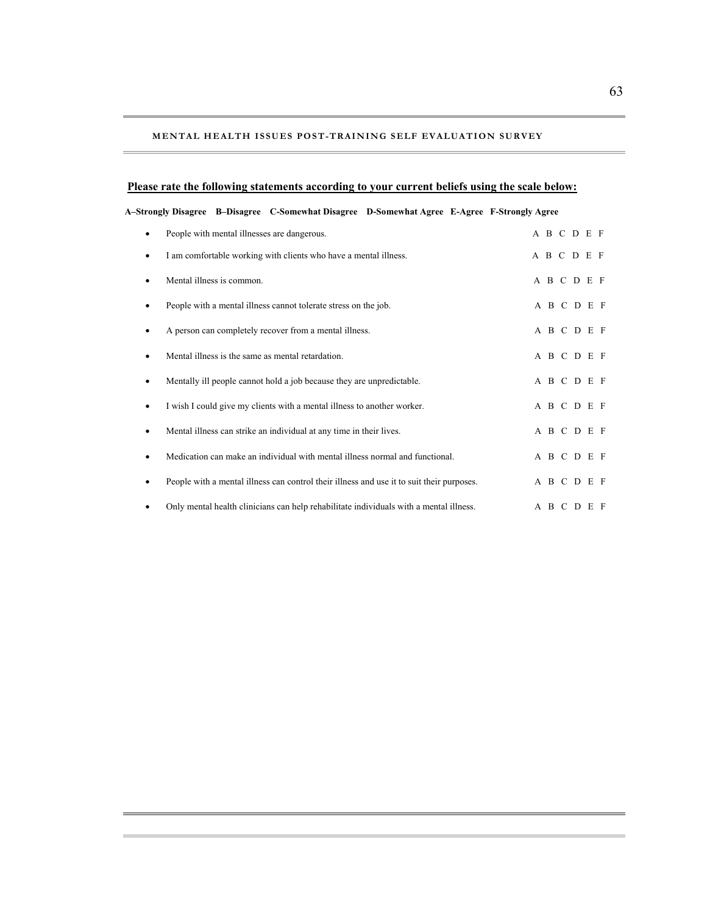#### **MENTAL HEALTH I SSUES POST-TRAINING SELF EVALUATION SURVEY**

#### **Please rate the following statements according to your current beliefs using the scale below:**

#### **A–Strongly Disagree B–Disagree C-Somewhat Disagree D-Somewhat Agree E-Agree F-Strongly Agree**

|   | People with mental illnesses are dangerous.                                               |  |  | A B C D E F |  |
|---|-------------------------------------------------------------------------------------------|--|--|-------------|--|
| ٠ | I am comfortable working with clients who have a mental illness.                          |  |  | A B C D E F |  |
| ٠ | Mental illness is common.                                                                 |  |  | A B C D E F |  |
| ٠ | People with a mental illness cannot tolerate stress on the job.                           |  |  | A B C D E F |  |
|   | A person can completely recover from a mental illness.                                    |  |  | A B C D E F |  |
| ٠ | Mental illness is the same as mental retardation.                                         |  |  | A B C D E F |  |
| ٠ | Mentally ill people cannot hold a job because they are unpredictable.                     |  |  | A B C D E F |  |
| ٠ | I wish I could give my clients with a mental illness to another worker.                   |  |  | A B C D E F |  |
| ٠ | Mental illness can strike an individual at any time in their lives.                       |  |  | A B C D E F |  |
| ٠ | Medication can make an individual with mental illness normal and functional.              |  |  | A B C D E F |  |
| ٠ | People with a mental illness can control their illness and use it to suit their purposes. |  |  | A B C D E F |  |
|   | Only mental health clinicians can help rehabilitate individuals with a mental illness.    |  |  | A B C D E F |  |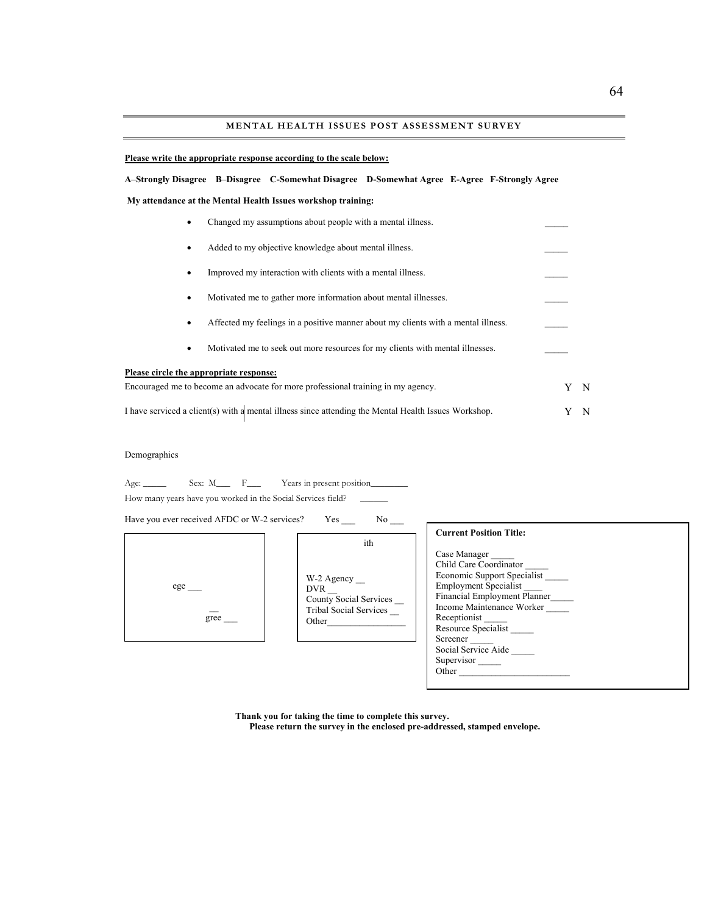#### **MENTAL HEALTH ISSUES POST ASSESSMENT SURVEY**

#### **Please write the appropriate response according to the scale below:**

#### **what Agree E-Agree F-Strongly Agree A–Strongly Disagree B–Disagree C-Somewhat Disagree D-Some**

 **My attendance at the Mental Health Issues workshop training:** 

| ٠         | Changed my assumptions about people with a mental illness.                                           |   |     |
|-----------|------------------------------------------------------------------------------------------------------|---|-----|
| $\bullet$ | Added to my objective knowledge about mental illness.                                                |   |     |
| ٠         | Improved my interaction with clients with a mental illness.                                          |   |     |
| ٠         | Motivated me to gather more information about mental illnesses.                                      |   |     |
| $\bullet$ | Affected my feelings in a positive manner about my clients with a mental illness.                    |   |     |
| $\bullet$ | Motivated me to seek out more resources for my clients with mental illnesses.                        |   |     |
|           | Please circle the appropriate response:                                                              |   |     |
|           | Encouraged me to become an advocate for more professional training in my agency.                     | Y | - N |
|           | I have serviced a client(s) with a mental illness since attending the Mental Health Issues Workshop. |   | N   |

#### Demographics

| Age: $\qquad \qquad$ | Sex: M | Years in present position                                    |  |
|----------------------|--------|--------------------------------------------------------------|--|
|                      |        | How many years have you worked in the Social Services field? |  |

Have you ever received AFDC or W-2 services? Yes \_\_\_\_\_\_ No \_



| W-2 Agency                    |
|-------------------------------|
| <b>DVR</b>                    |
| County Social Services        |
| <b>Tribal Social Services</b> |
| Other                         |
|                               |

ith

| <b>Current Position Title:</b> |
|--------------------------------|
| Case Manager                   |
| Child Care Coordinator         |
| Economic Support Specialist    |
| <b>Employment Specialist</b>   |
| Financial Employment Planner   |
| Income Maintenance Worker      |
| Receptionist                   |
| Resource Specialist            |
| Screener                       |
| Social Service Aide            |
| Supervisor                     |
| Other                          |

 **Thank you for taking the time to complete this survey.**

**Please return the survey in the enclosed pre-addressed, stamped envelope.**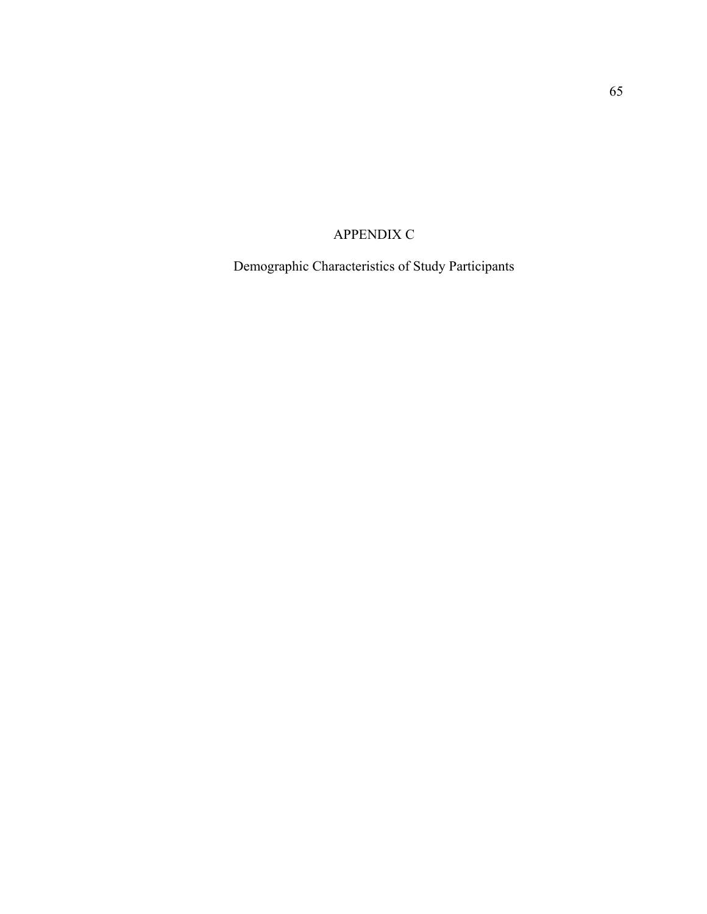# APPENDIX C

Demographic Characteristics of Study Participants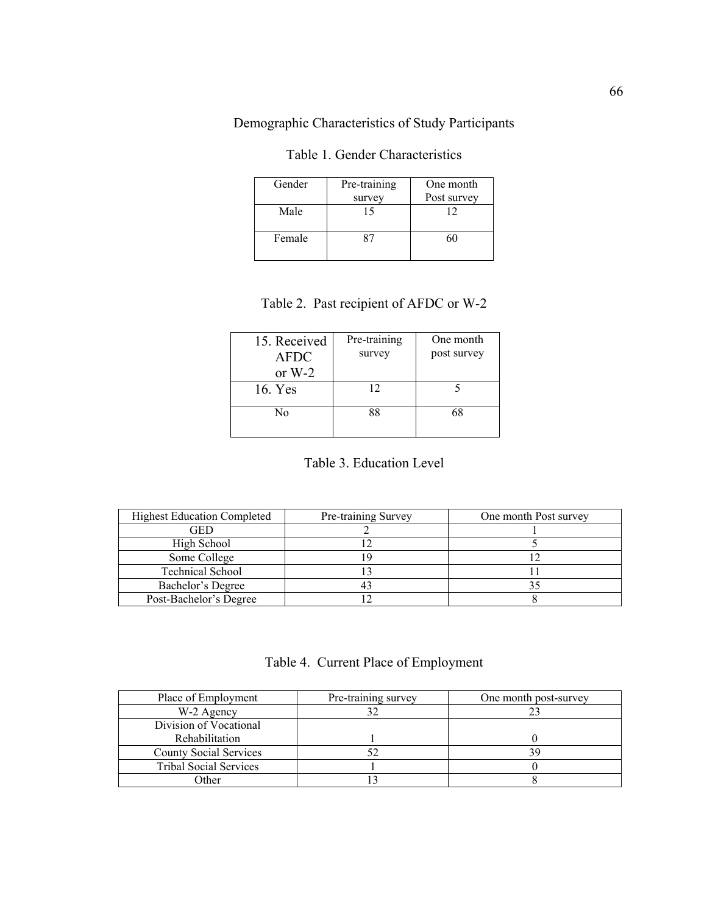Demographic Characteristics of Study Participants

| Gender | Pre-training<br>survey | One month<br>Post survey |
|--------|------------------------|--------------------------|
| Male   |                        | 12                       |
| Female |                        |                          |

Table 1. Gender Characteristics

## Table 2. Past recipient of AFDC or W-2

| 15. Received<br><b>AFDC</b><br>or $W-2$ | Pre-training<br>survey | One month<br>post survey |
|-----------------------------------------|------------------------|--------------------------|
| 16. Yes                                 | 12                     |                          |
| No                                      | 88                     | 68                       |

## Table 3. Education Level

| <b>Highest Education Completed</b> | Pre-training Survey | One month Post survey |
|------------------------------------|---------------------|-----------------------|
| GED                                |                     |                       |
| High School                        |                     |                       |
| Some College                       |                     |                       |
| <b>Technical School</b>            |                     |                       |
| Bachelor's Degree                  |                     |                       |
| Post-Bachelor's Degree             |                     |                       |

|  |  |  | Table 4. Current Place of Employment |
|--|--|--|--------------------------------------|
|--|--|--|--------------------------------------|

| Place of Employment           | Pre-training survey | One month post-survey |
|-------------------------------|---------------------|-----------------------|
| W-2 Agency                    |                     |                       |
| Division of Vocational        |                     |                       |
| Rehabilitation                |                     |                       |
| <b>County Social Services</b> |                     |                       |
| <b>Tribal Social Services</b> |                     |                       |
| )ther                         |                     |                       |